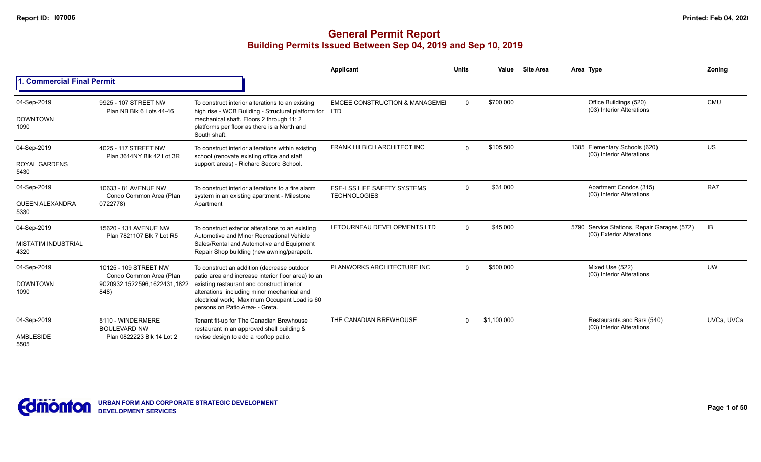|                                    |                                                    |                                                                                                                                                                                                                                   | Applicant                                                 | <b>Units</b>          | Value       | <b>Site Area</b>                                           | Area Type                                                                | Zoning     |
|------------------------------------|----------------------------------------------------|-----------------------------------------------------------------------------------------------------------------------------------------------------------------------------------------------------------------------------------|-----------------------------------------------------------|-----------------------|-------------|------------------------------------------------------------|--------------------------------------------------------------------------|------------|
| 1. Commercial Final Permit         |                                                    |                                                                                                                                                                                                                                   |                                                           |                       |             |                                                            |                                                                          |            |
| 04-Sep-2019                        | 9925 - 107 STREET NW<br>Plan NB Blk 6 Lots 44-46   | To construct interior alterations to an existing<br>high rise - WCB Building - Structural platform for LTD                                                                                                                        | <b>EMCEE CONSTRUCTION &amp; MANAGEMEI</b>                 | $\Omega$              | \$700,000   |                                                            | Office Buildings (520)<br>(03) Interior Alterations                      | <b>CMU</b> |
| <b>DOWNTOWN</b><br>1090            |                                                    | mechanical shaft. Floors 2 through 11; 2<br>platforms per floor as there is a North and<br>South shaft.                                                                                                                           |                                                           |                       |             |                                                            |                                                                          |            |
| 04-Sep-2019                        | 4025 - 117 STREET NW<br>Plan 3614NY Blk 42 Lot 3R  | To construct interior alterations within existing<br>school (renovate existing office and staff                                                                                                                                   | FRANK HILBICH ARCHITECT INC                               | \$105,500<br>$\Omega$ |             | 1385 Elementary Schools (620)<br>(03) Interior Alterations | US.                                                                      |            |
| <b>ROYAL GARDENS</b><br>5430       |                                                    | support areas) - Richard Secord School.                                                                                                                                                                                           |                                                           |                       |             |                                                            |                                                                          |            |
| 04-Sep-2019                        | 10633 - 81 AVENUE NW<br>Condo Common Area (Plan    | To construct interior alterations to a fire alarm<br>system in an existing apartment - Milestone                                                                                                                                  | <b>ESE-LSS LIFE SAFETY SYSTEMS</b><br><b>TECHNOLOGIES</b> | $\Omega$              | \$31,000    |                                                            | Apartment Condos (315)<br>(03) Interior Alterations                      | RA7        |
| QUEEN ALEXANDRA<br>5330            | 0722778)                                           | Apartment                                                                                                                                                                                                                         |                                                           |                       |             |                                                            |                                                                          |            |
| 04-Sep-2019                        | 15620 - 131 AVENUE NW<br>Plan 7821107 Blk 7 Lot R5 | To construct exterior alterations to an existing<br>Automotive and Minor Recreational Vehicle                                                                                                                                     | LETOURNEAU DEVELOPMENTS LTD                               | $\Omega$              | \$45,000    |                                                            | 5790 Service Stations, Repair Garages (572)<br>(03) Exterior Alterations | IB         |
| <b>MISTATIM INDUSTRIAL</b><br>4320 |                                                    | Sales/Rental and Automotive and Equipment<br>Repair Shop building (new awning/parapet).                                                                                                                                           |                                                           |                       |             |                                                            |                                                                          |            |
| 04-Sep-2019                        | 10125 - 109 STREET NW<br>Condo Common Area (Plan   | To construct an addition (decrease outdoor                                                                                                                                                                                        | PLANWORKS ARCHITECTURE INC                                | $\Omega$              | \$500,000   |                                                            | Mixed Use (522)<br>(03) Interior Alterations                             | <b>UW</b>  |
| <b>DOWNTOWN</b><br>1090            | 9020932,1522596,1622431,1822<br>848)               | patio area and increase interior floor area) to an<br>existing restaurant and construct interior<br>alterations including minor mechanical and<br>electrical work; Maximum Occupant Load is 60<br>persons on Patio Area- - Greta. |                                                           |                       |             |                                                            |                                                                          |            |
| 04-Sep-2019                        | 5110 - WINDERMERE<br><b>BOULEVARD NW</b>           | Tenant fit-up for The Canadian Brewhouse<br>restaurant in an approved shell building &                                                                                                                                            | THE CANADIAN BREWHOUSE                                    | $\Omega$              | \$1,100,000 |                                                            | Restaurants and Bars (540)<br>(03) Interior Alterations                  | UVCa. UVCa |
| <b>AMBLESIDE</b><br>5505           | Plan 0822223 Blk 14 Lot 2                          | revise design to add a rooftop patio.                                                                                                                                                                                             |                                                           |                       |             |                                                            |                                                                          |            |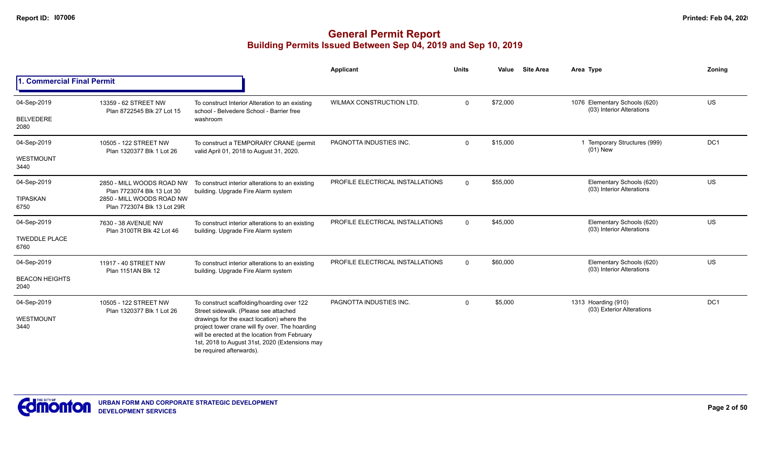|                               |                                                          |                                                                                                                                                                                                                              | Applicant                        | <b>Units</b>   | Value    | <b>Site Area</b> | Area Type                                                  | Zoning          |
|-------------------------------|----------------------------------------------------------|------------------------------------------------------------------------------------------------------------------------------------------------------------------------------------------------------------------------------|----------------------------------|----------------|----------|------------------|------------------------------------------------------------|-----------------|
| 1. Commercial Final Permit    |                                                          |                                                                                                                                                                                                                              |                                  |                |          |                  |                                                            |                 |
| 04-Sep-2019                   | 13359 - 62 STREET NW<br>Plan 8722545 Blk 27 Lot 15       | To construct Interior Alteration to an existing<br>school - Belvedere School - Barrier free                                                                                                                                  | WILMAX CONSTRUCTION LTD.         | $\mathbf{0}$   | \$72,000 |                  | 1076 Elementary Schools (620)<br>(03) Interior Alterations | US              |
| <b>BELVEDERE</b><br>2080      |                                                          | washroom                                                                                                                                                                                                                     |                                  |                |          |                  |                                                            |                 |
| 04-Sep-2019                   | 10505 - 122 STREET NW<br>Plan 1320377 Blk 1 Lot 26       | To construct a TEMPORARY CRANE (permit<br>valid April 01, 2018 to August 31, 2020.                                                                                                                                           | PAGNOTTA INDUSTIES INC.          | $\mathbf{0}$   | \$15,000 |                  | Temporary Structures (999)<br>$(01)$ New                   | DC <sub>1</sub> |
| WESTMOUNT<br>3440             |                                                          |                                                                                                                                                                                                                              |                                  |                |          |                  |                                                            |                 |
| 04-Sep-2019                   | 2850 - MILL WOODS ROAD NW<br>Plan 7723074 Blk 13 Lot 30  | To construct interior alterations to an existing<br>building. Upgrade Fire Alarm system                                                                                                                                      | PROFILE ELECTRICAL INSTALLATIONS | $\Omega$       | \$55,000 |                  | Elementary Schools (620)<br>(03) Interior Alterations      | US              |
| TIPASKAN<br>6750              | 2850 - MILL WOODS ROAD NW<br>Plan 7723074 Blk 13 Lot 29R |                                                                                                                                                                                                                              |                                  |                |          |                  |                                                            |                 |
| 04-Sep-2019                   | 7630 - 38 AVENUE NW<br>Plan 3100TR Blk 42 Lot 46         | To construct interior alterations to an existing<br>building. Upgrade Fire Alarm system                                                                                                                                      | PROFILE ELECTRICAL INSTALLATIONS | $\overline{0}$ | \$45,000 |                  | Elementary Schools (620)<br>(03) Interior Alterations      | US              |
| <b>TWEDDLE PLACE</b><br>6760  |                                                          |                                                                                                                                                                                                                              |                                  |                |          |                  |                                                            |                 |
| 04-Sep-2019                   | 11917 - 40 STREET NW<br>Plan 1151AN Blk 12               | To construct interior alterations to an existing<br>building. Upgrade Fire Alarm system                                                                                                                                      | PROFILE ELECTRICAL INSTALLATIONS | $\Omega$       | \$60,000 |                  | Elementary Schools (620)<br>(03) Interior Alterations      | <b>US</b>       |
| <b>BEACON HEIGHTS</b><br>2040 |                                                          |                                                                                                                                                                                                                              |                                  |                |          |                  |                                                            |                 |
| 04-Sep-2019                   | 10505 - 122 STREET NW<br>Plan 1320377 Blk 1 Lot 26       | To construct scaffolding/hoarding over 122<br>Street sidewalk. (Please see attached                                                                                                                                          | PAGNOTTA INDUSTIES INC.          | $\Omega$       | \$5,000  |                  | 1313 Hoarding (910)<br>(03) Exterior Alterations           | DC <sub>1</sub> |
| WESTMOUNT<br>3440             |                                                          | drawings for the exact location) where the<br>project tower crane will fly over. The hoarding<br>will be erected at the location from February<br>1st, 2018 to August 31st, 2020 (Extensions may<br>be required afterwards). |                                  |                |          |                  |                                                            |                 |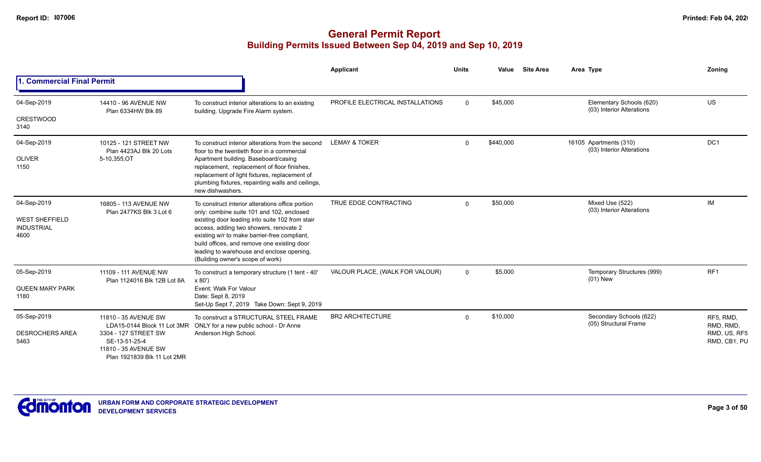|                                                                   |                                                                                                                      |                                                                                                                                                                                                                                                                                                                                                                            | Applicant                        | <b>Units</b> | Value     | <b>Site Area</b> | Area Type                                             | Zoning                                                 |
|-------------------------------------------------------------------|----------------------------------------------------------------------------------------------------------------------|----------------------------------------------------------------------------------------------------------------------------------------------------------------------------------------------------------------------------------------------------------------------------------------------------------------------------------------------------------------------------|----------------------------------|--------------|-----------|------------------|-------------------------------------------------------|--------------------------------------------------------|
| <b>Commercial Final Permit</b>                                    |                                                                                                                      |                                                                                                                                                                                                                                                                                                                                                                            |                                  |              |           |                  |                                                       |                                                        |
| 04-Sep-2019<br><b>CRESTWOOD</b><br>3140                           | 14410 - 96 AVENUE NW<br>Plan 6334HW Blk 89                                                                           | To construct interior alterations to an existing<br>building. Upgrade Fire Alarm system.                                                                                                                                                                                                                                                                                   | PROFILE ELECTRICAL INSTALLATIONS | $\Omega$     | \$45,000  |                  | Elementary Schools (620)<br>(03) Interior Alterations | <b>US</b>                                              |
| 04-Sep-2019<br><b>OLIVER</b><br>1150                              | 10125 - 121 STREET NW<br>Plan 4423AJ Blk 20 Lots<br>5-10,355,OT                                                      | To construct interior alterations from the second<br>floor to the twentieth floor in a commercial<br>Apartment building. Baseboard/casing<br>replacement, replacement of floor finishes,<br>replacement of light fixtures, replacement of<br>plumbing fixtures, repainting walls and ceilings,<br>new dishwashers.                                                         | <b>LEMAY &amp; TOKER</b>         | $\Omega$     | \$440,000 |                  | 16105 Apartments (310)<br>(03) Interior Alterations   | DC <sub>1</sub>                                        |
| 04-Sep-2019<br><b>WEST SHEFFIELD</b><br><b>INDUSTRIAL</b><br>4600 | 16805 - 113 AVENUE NW<br>Plan 2477KS Blk 3 Lot 6                                                                     | To construct interior alterations office portion<br>only: combine suite 101 and 102, enclosed<br>existing door leading into suite 102 from stair<br>access, adding two showers, renovate 2<br>existing w/r to make barrier-free compliant,<br>build offices, and remove one existing door<br>leading to warehouse and enclose opening.<br>(Building owner's scope of work) | TRUE EDGE CONTRACTING            | $\Omega$     | \$50,000  |                  | Mixed Use (522)<br>(03) Interior Alterations          | <b>IM</b>                                              |
| 05-Sep-2019<br><b>QUEEN MARY PARK</b><br>1180                     | 11109 - 111 AVENUE NW<br>Plan 1124016 Blk 12B Lot 8A                                                                 | To construct a temporary structure (1 tent - 40'<br>x 80'<br>Event: Walk For Valour<br>Date: Sept 8, 2019<br>Set-Up Sept 7, 2019 Take Down: Sept 9, 2019                                                                                                                                                                                                                   | VALOUR PLACE, (WALK FOR VALOUR)  | $\Omega$     | \$5,000   |                  | Temporary Structures (999)<br>$(01)$ New              | RF <sub>1</sub>                                        |
| 05-Sep-2019<br><b>DESROCHERS AREA</b><br>5463                     | 11810 - 35 AVENUE SW<br>3304 - 127 STREET SW<br>SE-13-51-25-4<br>11810 - 35 AVENUE SW<br>Plan 1921839 Blk 11 Lot 2MR | To construct a STRUCTURAL STEEL FRAME<br>LDA15-0144 Block 11 Lot 3MR ONLY for a new public school - Dr Anne<br>Anderson High School.                                                                                                                                                                                                                                       | <b>BR2 ARCHITECTURE</b>          | $\Omega$     | \$10,000  |                  | Secondary Schools (622)<br>(05) Structural Frame      | RF5, RMD,<br>RMD, RMD,<br>RMD, US, RF5<br>RMD, CB1, PU |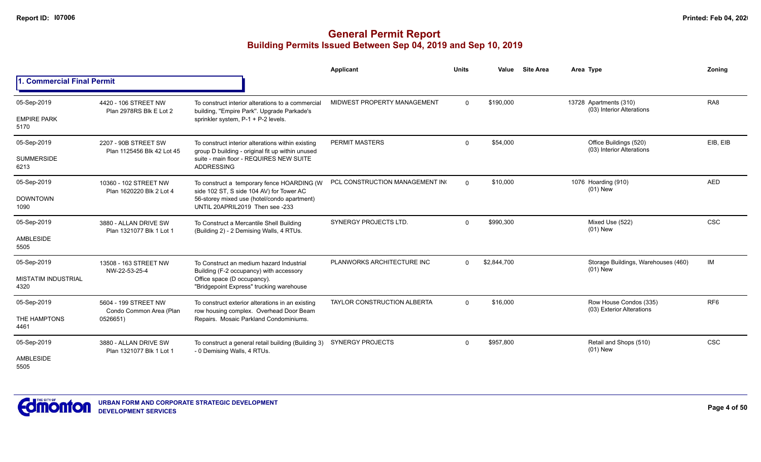|                                                   |                                                             |                                                                                                                                                                           | Applicant                          | <b>Units</b> | Value       | <b>Site Area</b> | Area Type                                           | Zoning          |
|---------------------------------------------------|-------------------------------------------------------------|---------------------------------------------------------------------------------------------------------------------------------------------------------------------------|------------------------------------|--------------|-------------|------------------|-----------------------------------------------------|-----------------|
| 1. Commercial Final Permit                        |                                                             |                                                                                                                                                                           |                                    |              |             |                  |                                                     |                 |
| 05-Sep-2019<br><b>EMPIRE PARK</b><br>5170         | 4420 - 106 STREET NW<br>Plan 2978RS Blk E Lot 2             | To construct interior alterations to a commercial<br>building, "Empire Park". Upgrade Parkade's<br>sprinkler system, P-1 + P-2 levels.                                    | MIDWEST PROPERTY MANAGEMENT        | $\Omega$     | \$190,000   |                  | 13728 Apartments (310)<br>(03) Interior Alterations | RA <sub>8</sub> |
| 05-Sep-2019<br><b>SUMMERSIDE</b><br>6213          | 2207 - 90B STREET SW<br>Plan 1125456 Blk 42 Lot 45          | To construct interior alterations within existing<br>group D building - original fit up within unused<br>suite - main floor - REQUIRES NEW SUITE<br><b>ADDRESSING</b>     | <b>PERMIT MASTERS</b>              | $\mathbf 0$  | \$54,000    |                  | Office Buildings (520)<br>(03) Interior Alterations | EIB, EIB        |
| 05-Sep-2019<br><b>DOWNTOWN</b><br>1090            | 10360 - 102 STREET NW<br>Plan 1620220 Blk 2 Lot 4           | To construct a temporary fence HOARDING (W)<br>side 102 ST, S side 104 AV) for Tower AC<br>56-storey mixed use (hotel/condo apartment)<br>UNTIL 20APRIL2019 Then see -233 | PCL CONSTRUCTION MANAGEMENT IN     | $\Omega$     | \$10,000    |                  | 1076 Hoarding (910)<br>$(01)$ New                   | <b>AED</b>      |
| 05-Sep-2019<br>AMBLESIDE<br>5505                  | 3880 - ALLAN DRIVE SW<br>Plan 1321077 Blk 1 Lot 1           | To Construct a Mercantile Shell Building<br>(Building 2) - 2 Demising Walls, 4 RTUs.                                                                                      | SYNERGY PROJECTS LTD.              | $\Omega$     | \$990,300   |                  | Mixed Use (522)<br>$(01)$ New                       | <b>CSC</b>      |
| 05-Sep-2019<br><b>MISTATIM INDUSTRIAL</b><br>4320 | 13508 - 163 STREET NW<br>NW-22-53-25-4                      | To Construct an medium hazard Industrial<br>Building (F-2 occupancy) with accessory<br>Office space (D occupancy).<br>"Bridgepoint Express" trucking warehouse            | PLANWORKS ARCHITECTURE INC         | $\Omega$     | \$2,844,700 |                  | Storage Buildings, Warehouses (460)<br>$(01)$ New   | IM              |
| 05-Sep-2019<br>THE HAMPTONS<br>4461               | 5604 - 199 STREET NW<br>Condo Common Area (Plan<br>0526651) | To construct exterior alterations in an existing<br>row housing complex. Overhead Door Beam<br>Repairs. Mosaic Parkland Condominiums.                                     | <b>TAYLOR CONSTRUCTION ALBERTA</b> | $\Omega$     | \$16,000    |                  | Row House Condos (335)<br>(03) Exterior Alterations | RF <sub>6</sub> |
| 05-Sep-2019<br>AMBLESIDE<br>5505                  | 3880 - ALLAN DRIVE SW<br>Plan 1321077 Blk 1 Lot 1           | To construct a general retail building (Building 3)<br>- 0 Demising Walls, 4 RTUs.                                                                                        | <b>SYNERGY PROJECTS</b>            | $\Omega$     | \$957,800   |                  | Retail and Shops (510)<br>$(01)$ New                | <b>CSC</b>      |

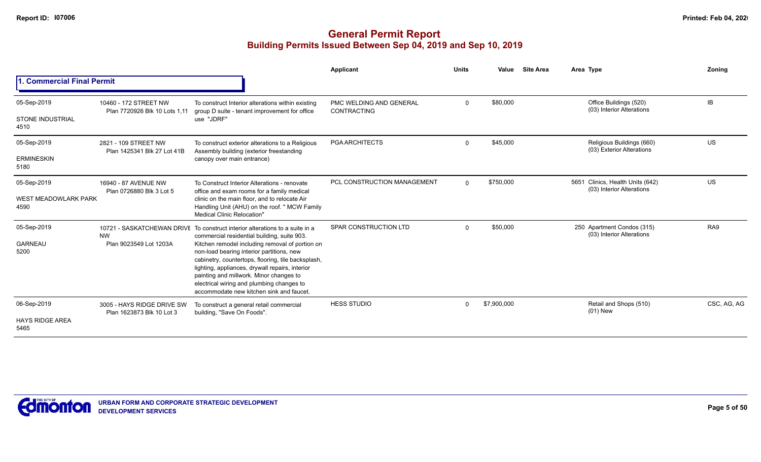|                                                    |                                                         |                                                                                                                                                                                                                                                                                                                                                                                                                                                                          | <b>Applicant</b>                              | <b>Units</b> | Value       | <b>Site Area</b> | Area Type                                                     | Zoning      |
|----------------------------------------------------|---------------------------------------------------------|--------------------------------------------------------------------------------------------------------------------------------------------------------------------------------------------------------------------------------------------------------------------------------------------------------------------------------------------------------------------------------------------------------------------------------------------------------------------------|-----------------------------------------------|--------------|-------------|------------------|---------------------------------------------------------------|-------------|
| <b>Commercial Final Permit</b>                     |                                                         |                                                                                                                                                                                                                                                                                                                                                                                                                                                                          |                                               |              |             |                  |                                                               |             |
| 05-Sep-2019<br><b>STONE INDUSTRIAL</b><br>4510     | 10460 - 172 STREET NW<br>Plan 7720926 Blk 10 Lots 1,11  | To construct Interior alterations within existing<br>group D suite - tenant improvement for office<br>use "JDRF"                                                                                                                                                                                                                                                                                                                                                         | PMC WELDING AND GENERAL<br><b>CONTRACTING</b> | $\mathbf 0$  | \$80,000    |                  | Office Buildings (520)<br>(03) Interior Alterations           | IB          |
| 05-Sep-2019<br><b>ERMINESKIN</b><br>5180           | 2821 - 109 STREET NW<br>Plan 1425341 Blk 27 Lot 41B     | To construct exterior alterations to a Religious<br>Assembly building (exterior freestanding<br>canopy over main entrance)                                                                                                                                                                                                                                                                                                                                               | <b>PGA ARCHITECTS</b>                         | $\Omega$     | \$45,000    |                  | Religious Buildings (660)<br>(03) Exterior Alterations        | <b>US</b>   |
| 05-Sep-2019<br><b>WEST MEADOWLARK PARK</b><br>4590 | 16940 - 87 AVENUE NW<br>Plan 0726880 Blk 3 Lot 5        | To Construct Interior Alterations - renovate<br>office and exam rooms for a family medical<br>clinic on the main floor, and to relocate Air<br>Handling Unit (AHU) on the roof. " MCW Family<br>Medical Clinic Relocation"                                                                                                                                                                                                                                               | PCL CONSTRUCTION MANAGEMENT                   | $\Omega$     | \$750,000   |                  | 5651 Clinics, Health Units (642)<br>(03) Interior Alterations | US          |
| 05-Sep-2019<br><b>GARNEAU</b><br>5200              | <b>NW</b><br>Plan 9023549 Lot 1203A                     | 10721 - SASKATCHEWAN DRIVE To construct interior alterations to a suite in a<br>commercial residential building, suite 903.<br>Kitchen remodel including removal of portion on<br>non-load bearing interior partitions, new<br>cabinetry, countertops, flooring, tile backsplash,<br>lighting, appliances, drywall repairs, interior<br>painting and millwork. Minor changes to<br>electrical wiring and plumbing changes to<br>accommodate new kitchen sink and faucet. | SPAR CONSTRUCTION LTD                         | $\Omega$     | \$50,000    |                  | 250 Apartment Condos (315)<br>(03) Interior Alterations       | RA9         |
| 06-Sep-2019<br><b>HAYS RIDGE AREA</b><br>5465      | 3005 - HAYS RIDGE DRIVE SW<br>Plan 1623873 Blk 10 Lot 3 | To construct a general retail commercial<br>building, "Save On Foods".                                                                                                                                                                                                                                                                                                                                                                                                   | <b>HESS STUDIO</b>                            | $\Omega$     | \$7,900,000 |                  | Retail and Shops (510)<br>$(01)$ New                          | CSC, AG, AG |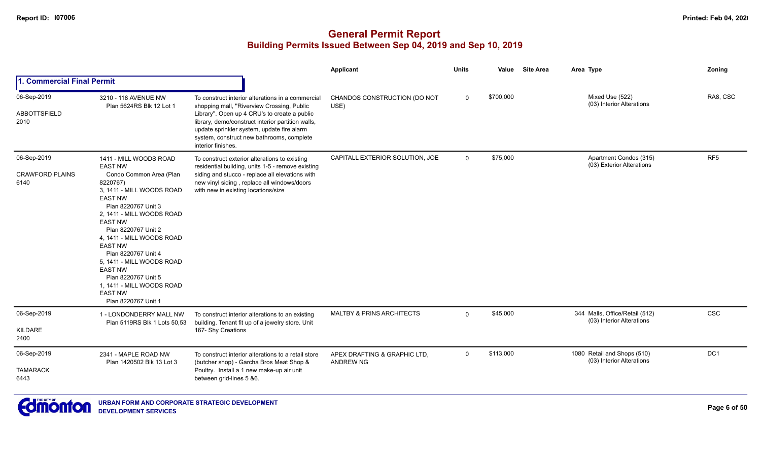|                                               |                                                                                                                                                                                                                                                                                                                                                                                                                                               |                                                                                                                                                                                                                                                                                                                       | Applicant                                        | <b>Units</b> | Value     | <b>Site Area</b> | Area Type                                                   | Zoning          |
|-----------------------------------------------|-----------------------------------------------------------------------------------------------------------------------------------------------------------------------------------------------------------------------------------------------------------------------------------------------------------------------------------------------------------------------------------------------------------------------------------------------|-----------------------------------------------------------------------------------------------------------------------------------------------------------------------------------------------------------------------------------------------------------------------------------------------------------------------|--------------------------------------------------|--------------|-----------|------------------|-------------------------------------------------------------|-----------------|
| 1. Commercial Final Permit                    |                                                                                                                                                                                                                                                                                                                                                                                                                                               |                                                                                                                                                                                                                                                                                                                       |                                                  |              |           |                  |                                                             |                 |
| 06-Sep-2019<br>ABBOTTSFIELD<br>2010           | 3210 - 118 AVENUE NW<br>Plan 5624RS Blk 12 Lot 1                                                                                                                                                                                                                                                                                                                                                                                              | To construct interior alterations in a commercial<br>shopping mall, "Riverview Crossing, Public<br>Library". Open up 4 CRU's to create a public<br>library, demo/construct interior partition walls,<br>update sprinkler system, update fire alarm<br>system, construct new bathrooms, complete<br>interior finishes. | CHANDOS CONSTRUCTION (DO NOT<br>USE)             | $\Omega$     | \$700,000 |                  | Mixed Use (522)<br>(03) Interior Alterations                | RA8, CSC        |
| 06-Sep-2019<br><b>CRAWFORD PLAINS</b><br>6140 | 1411 - MILL WOODS ROAD<br><b>EAST NW</b><br>Condo Common Area (Plan<br>8220767)<br>3, 1411 - MILL WOODS ROAD<br><b>EAST NW</b><br>Plan 8220767 Unit 3<br>2, 1411 - MILL WOODS ROAD<br><b>EAST NW</b><br>Plan 8220767 Unit 2<br>4, 1411 - MILL WOODS ROAD<br><b>EAST NW</b><br>Plan 8220767 Unit 4<br>5. 1411 - MILL WOODS ROAD<br><b>EAST NW</b><br>Plan 8220767 Unit 5<br>1, 1411 - MILL WOODS ROAD<br><b>EAST NW</b><br>Plan 8220767 Unit 1 | To construct exterior alterations to existing<br>residential building, units 1-5 - remove existing<br>siding and stucco - replace all elevations with<br>new vinyl siding, replace all windows/doors<br>with new in existing locations/size                                                                           | CAPITALL EXTERIOR SOLUTION, JOE                  | $\Omega$     | \$75,000  |                  | Apartment Condos (315)<br>(03) Exterior Alterations         | RF <sub>5</sub> |
| 06-Sep-2019<br>KILDARE<br>2400                | 1 - LONDONDERRY MALL NW<br>Plan 5119RS Blk 1 Lots 50,53                                                                                                                                                                                                                                                                                                                                                                                       | To construct interior alterations to an existing<br>building. Tenant fit up of a jewelry store. Unit<br>167- Shy Creations                                                                                                                                                                                            | MALTBY & PRINS ARCHITECTS                        | $\Omega$     | \$45,000  |                  | 344 Malls, Office/Retail (512)<br>(03) Interior Alterations | CSC             |
| 06-Sep-2019<br><b>TAMARACK</b><br>6443        | 2341 - MAPLE ROAD NW<br>Plan 1420502 Blk 13 Lot 3                                                                                                                                                                                                                                                                                                                                                                                             | To construct interior alterations to a retail store<br>(butcher shop) - Garcha Bros Meat Shop &<br>Poultry. Install a 1 new make-up air unit<br>between grid-lines 5 &6.                                                                                                                                              | APEX DRAFTING & GRAPHIC LTD.<br><b>ANDREW NG</b> | $\mathbf{0}$ | \$113,000 |                  | 1080 Retail and Shops (510)<br>(03) Interior Alterations    | DC1             |

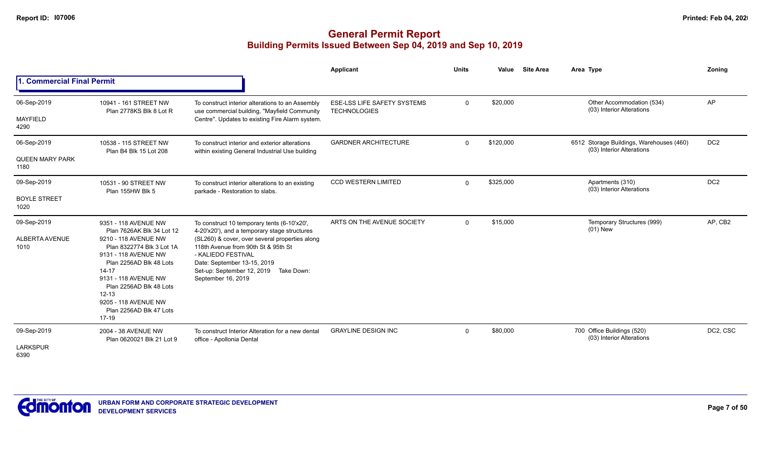|                                               |                                                                                                                                                                                                                                                                                                    |                                                                                                                                                                                                                                                                                                             | <b>Applicant</b>                                          | <b>Units</b>   | Value     | <b>Site Area</b> | Area Type                                                             | Zoning          |
|-----------------------------------------------|----------------------------------------------------------------------------------------------------------------------------------------------------------------------------------------------------------------------------------------------------------------------------------------------------|-------------------------------------------------------------------------------------------------------------------------------------------------------------------------------------------------------------------------------------------------------------------------------------------------------------|-----------------------------------------------------------|----------------|-----------|------------------|-----------------------------------------------------------------------|-----------------|
| 1. Commercial Final Permit                    |                                                                                                                                                                                                                                                                                                    |                                                                                                                                                                                                                                                                                                             |                                                           |                |           |                  |                                                                       |                 |
| 06-Sep-2019<br><b>MAYFIELD</b><br>4290        | 10941 - 161 STREET NW<br>Plan 2778KS Blk 8 Lot R                                                                                                                                                                                                                                                   | To construct interior alterations to an Assembly<br>use commercial building, "Mayfield Community<br>Centre". Updates to existing Fire Alarm system.                                                                                                                                                         | <b>ESE-LSS LIFE SAFETY SYSTEMS</b><br><b>TECHNOLOGIES</b> | $\mathbf 0$    | \$20,000  |                  | Other Accommodation (534)<br>(03) Interior Alterations                | AP              |
| 06-Sep-2019<br><b>QUEEN MARY PARK</b><br>1180 | 10538 - 115 STREET NW<br>Plan B4 Blk 15 Lot 208                                                                                                                                                                                                                                                    | To construct interior and exterior alterations<br>within existing General Industrial Use building                                                                                                                                                                                                           | <b>GARDNER ARCHITECTURE</b>                               | $\mathbf 0$    | \$120,000 |                  | 6512 Storage Buildings, Warehouses (460)<br>(03) Interior Alterations | DC <sub>2</sub> |
| 09-Sep-2019<br><b>BOYLE STREET</b><br>1020    | 10531 - 90 STREET NW<br>Plan 155HW Blk 5                                                                                                                                                                                                                                                           | To construct interior alterations to an existing<br>parkade - Restoration to slabs.                                                                                                                                                                                                                         | <b>CCD WESTERN LIMITED</b>                                | $\mathbf 0$    | \$325,000 |                  | Apartments (310)<br>(03) Interior Alterations                         | DC <sub>2</sub> |
| 09-Sep-2019<br>ALBERTA AVENUE<br>1010         | 9351 - 118 AVENUE NW<br>Plan 7626AK Blk 34 Lot 12<br>9210 - 118 AVENUE NW<br>Plan 8322774 Blk 3 Lot 1A<br>9131 - 118 AVENUE NW<br>Plan 2256AD Blk 48 Lots<br>$14 - 17$<br>9131 - 118 AVENUE NW<br>Plan 2256AD Blk 48 Lots<br>$12 - 13$<br>9205 - 118 AVENUE NW<br>Plan 2256AD Blk 47 Lots<br>17-19 | To construct 10 temporary tents (6-10'x20',<br>4-20'x20'), and a temporary stage structures<br>(SL260) & cover, over several properties along<br>118th Avenue from 90th St & 95th St<br>- KALIEDO FESTIVAL<br>Date: September 13-15, 2019<br>Set-up: September 12, 2019<br>Take Down:<br>September 16, 2019 | ARTS ON THE AVENUE SOCIETY                                | $\overline{0}$ | \$15,000  |                  | Temporary Structures (999)<br>$(01)$ New                              | AP, CB2         |
| 09-Sep-2019<br><b>LARKSPUR</b><br>6390        | 2004 - 38 AVENUE NW<br>Plan 0620021 Blk 21 Lot 9                                                                                                                                                                                                                                                   | To construct Interior Alteration for a new dental<br>office - Apollonia Dental                                                                                                                                                                                                                              | <b>GRAYLINE DESIGN INC</b>                                | $\mathbf 0$    | \$80,000  |                  | 700 Office Buildings (520)<br>(03) Interior Alterations               | DC2, CSC        |

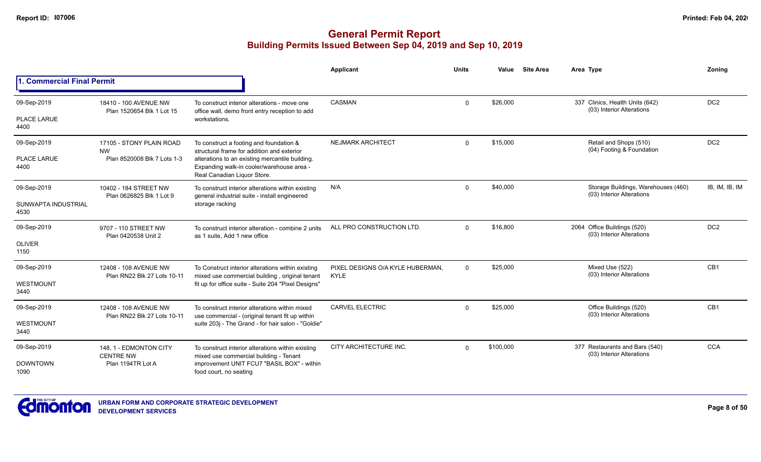|                             |                                                      |                                                                                                                             | Applicant                                | <b>Units</b>   | Value     | <b>Site Area</b> | Area Type                                                        | Zoning          |
|-----------------------------|------------------------------------------------------|-----------------------------------------------------------------------------------------------------------------------------|------------------------------------------|----------------|-----------|------------------|------------------------------------------------------------------|-----------------|
| 1. Commercial Final Permit  |                                                      |                                                                                                                             |                                          |                |           |                  |                                                                  |                 |
| 09-Sep-2019                 | 18410 - 100 AVENUE NW<br>Plan 1520654 Blk 1 Lot 15   | To construct interior alterations - move one<br>office wall, demo front entry reception to add                              | <b>CASMAN</b>                            | $\mathbf 0$    | \$26,000  |                  | 337 Clinics, Health Units (642)<br>(03) Interior Alterations     | DC <sub>2</sub> |
| PLACE LARUE<br>4400         |                                                      | workstations.                                                                                                               |                                          |                |           |                  |                                                                  |                 |
| 09-Sep-2019                 | 17105 - STONY PLAIN ROAD<br><b>NW</b>                | To construct a footing and foundation &<br>structural frame for addition and exterior                                       | <b>NEJMARK ARCHITECT</b>                 | $\mathbf{0}$   | \$15,000  |                  | Retail and Shops (510)<br>(04) Footing & Foundation              | DC <sub>2</sub> |
| PLACE LARUE<br>4400         | Plan 8520008 Blk 7 Lots 1-3                          | alterations to an existing mercantile building.<br>Expanding walk-in cooler/warehouse area -<br>Real Canadian Liquor Store. |                                          |                |           |                  |                                                                  |                 |
| 09-Sep-2019                 | 10402 - 184 STREET NW<br>Plan 0626825 Blk 1 Lot 9    | To construct interior alterations within existing<br>general industrial suite - install engineered                          | N/A                                      | $\Omega$       | \$40,000  |                  | Storage Buildings, Warehouses (460)<br>(03) Interior Alterations | IB, IM, IB, IM  |
| SUNWAPTA INDUSTRIAL<br>4530 |                                                      | storage racking                                                                                                             |                                          |                |           |                  |                                                                  |                 |
| 09-Sep-2019                 | 9707 - 110 STREET NW<br>Plan 0420538 Unit 2          | To construct interior alteration - combine 2 units<br>as 1 suite. Add 1 new office                                          | ALL PRO CONSTRUCTION LTD.                | $\Omega$       | \$16,800  |                  | 2064 Office Buildings (520)<br>(03) Interior Alterations         | DC <sub>2</sub> |
| <b>OLIVER</b><br>1150       |                                                      |                                                                                                                             |                                          |                |           |                  |                                                                  |                 |
| 09-Sep-2019                 | 12408 - 108 AVENUE NW<br>Plan RN22 Blk 27 Lots 10-11 | To Construct interior alterations within existing<br>mixed use commercial building, original tenant                         | PIXEL DESIGNS O/A KYLE HUBERMAN.<br>KYLE | $\overline{0}$ | \$25,000  |                  | Mixed Use (522)<br>(03) Interior Alterations                     | CB1             |
| WESTMOUNT<br>3440           |                                                      | fit up for office suite - Suite 204 "Pixel Designs"                                                                         |                                          |                |           |                  |                                                                  |                 |
| 09-Sep-2019                 | 12408 - 108 AVENUE NW                                | To construct interior alterations within mixed<br>use commercial - (original tenant fit up within                           | <b>CARVEL ELECTRIC</b>                   | $\mathbf{0}$   | \$25,000  |                  | Office Buildings (520)<br>(03) Interior Alterations              | CB1             |
| WESTMOUNT<br>3440           | Plan RN22 Blk 27 Lots 10-11                          | suite 203j - The Grand - for hair salon - "Goldie"                                                                          |                                          |                |           |                  |                                                                  |                 |
| 09-Sep-2019                 | 148, 1 - EDMONTON CITY<br><b>CENTRE NW</b>           | To construct interior alterations within existing<br>mixed use commercial building - Tenant                                 | CITY ARCHITECTURE INC.                   | $\Omega$       | \$100,000 |                  | 377 Restaurants and Bars (540)<br>(03) Interior Alterations      | <b>CCA</b>      |
| <b>DOWNTOWN</b><br>1090     | Plan 1194TR Lot A                                    | improvement UNIT FCU7 "BASIL BOX" - within<br>food court, no seating                                                        |                                          |                |           |                  |                                                                  |                 |

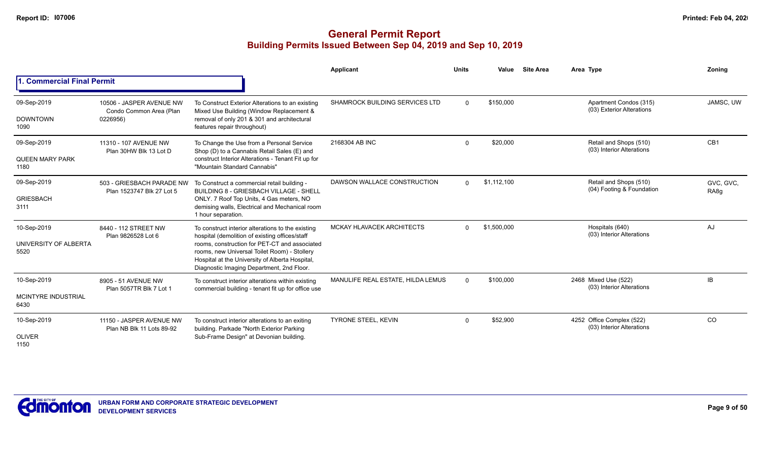|                                    |                                                                 |                                                                                                                                                                                               | <b>Applicant</b>                  | <b>Units</b> | Value       | <b>Site Area</b> | Area Type                                              | Zonina                        |
|------------------------------------|-----------------------------------------------------------------|-----------------------------------------------------------------------------------------------------------------------------------------------------------------------------------------------|-----------------------------------|--------------|-------------|------------------|--------------------------------------------------------|-------------------------------|
| 1. Commercial Final Permit         |                                                                 |                                                                                                                                                                                               |                                   |              |             |                  |                                                        |                               |
| 09-Sep-2019<br><b>DOWNTOWN</b>     | 10506 - JASPER AVENUE NW<br>Condo Common Area (Plan<br>0226956) | To Construct Exterior Alterations to an existing<br>Mixed Use Building (Window Replacement &<br>removal of only 201 & 301 and architectural                                                   | SHAMROCK BUILDING SERVICES LTD    | $\Omega$     | \$150,000   |                  | Apartment Condos (315)<br>(03) Exterior Alterations    | JAMSC, UW                     |
| 1090                               |                                                                 | features repair throughout)                                                                                                                                                                   |                                   |              |             |                  |                                                        |                               |
| 09-Sep-2019                        | 11310 - 107 AVENUE NW<br>Plan 30HW Blk 13 Lot D                 | To Change the Use from a Personal Service<br>Shop (D) to a Cannabis Retail Sales (E) and                                                                                                      | 2168304 AB INC                    | $\Omega$     | \$20,000    |                  | Retail and Shops (510)<br>(03) Interior Alterations    | CB <sub>1</sub>               |
| QUEEN MARY PARK<br>1180            |                                                                 | construct Interior Alterations - Tenant Fit up for<br>"Mountain Standard Cannabis"                                                                                                            |                                   |              |             |                  |                                                        |                               |
| 09-Sep-2019                        | 503 - GRIESBACH PARADE NW<br>Plan 1523747 Blk 27 Lot 5          | To Construct a commercial retail building -<br><b>BUILDING 8 - GRIESBACH VILLAGE - SHELL</b>                                                                                                  | DAWSON WALLACE CONSTRUCTION       | $\Omega$     | \$1,112,100 |                  | Retail and Shops (510)<br>(04) Footing & Foundation    | GVC, GVC,<br>RA <sub>8g</sub> |
| <b>GRIESBACH</b><br>3111           |                                                                 | ONLY. 7 Roof Top Units, 4 Gas meters, NO<br>demising walls, Electrical and Mechanical room<br>1 hour separation.                                                                              |                                   |              |             |                  |                                                        |                               |
| 10-Sep-2019                        | 8440 - 112 STREET NW<br>Plan 9826528 Lot 6                      | To construct interior alterations to the existing<br>hospital (demolition of existing offices/staff                                                                                           | MCKAY HLAVACEK ARCHITECTS         | $\Omega$     | \$1,500,000 |                  | Hospitals (640)<br>(03) Interior Alterations           | AJ                            |
| UNIVERSITY OF ALBERTA<br>5520      |                                                                 | rooms, construction for PET-CT and associated<br>rooms, new Universal Toilet Room) - Stollery<br>Hospital at the University of Alberta Hospital,<br>Diagnostic Imaging Department, 2nd Floor. |                                   |              |             |                  |                                                        |                               |
| 10-Sep-2019                        | 8905 - 51 AVENUE NW<br>Plan 5057TR Blk 7 Lot 1                  | To construct interior alterations within existing<br>commercial building - tenant fit up for office use                                                                                       | MANULIFE REAL ESTATE, HILDA LEMUS | $\Omega$     | \$100,000   |                  | 2468 Mixed Use (522)<br>(03) Interior Alterations      | IB                            |
| <b>MCINTYRE INDUSTRIAL</b><br>6430 |                                                                 |                                                                                                                                                                                               |                                   |              |             |                  |                                                        |                               |
| 10-Sep-2019                        | 11150 - JASPER AVENUE NW<br>Plan NB Blk 11 Lots 89-92           | To construct interior alterations to an exiting<br>building. Parkade "North Exterior Parking                                                                                                  | <b>TYRONE STEEL, KEVIN</b>        | $\Omega$     | \$52,900    |                  | 4252 Office Complex (522)<br>(03) Interior Alterations | CO                            |
| <b>OLIVER</b><br>1150              |                                                                 | Sub-Frame Design" at Devonian building.                                                                                                                                                       |                                   |              |             |                  |                                                        |                               |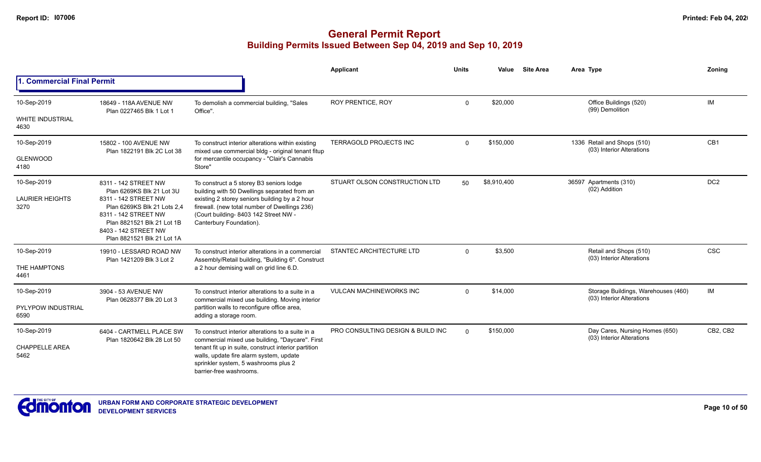|                                               |                                                                                                                                                                |                                                                                                                                                                                                                                                                            | <b>Applicant</b>                  | <b>Units</b> | Value       | <b>Site Area</b> | Area Type                                                        | Zoning          |
|-----------------------------------------------|----------------------------------------------------------------------------------------------------------------------------------------------------------------|----------------------------------------------------------------------------------------------------------------------------------------------------------------------------------------------------------------------------------------------------------------------------|-----------------------------------|--------------|-------------|------------------|------------------------------------------------------------------|-----------------|
| 1. Commercial Final Permit                    |                                                                                                                                                                |                                                                                                                                                                                                                                                                            |                                   |              |             |                  |                                                                  |                 |
| 10-Sep-2019                                   | 18649 - 118A AVENUE NW<br>Plan 0227465 Blk 1 Lot 1                                                                                                             | To demolish a commercial building, "Sales<br>Office".                                                                                                                                                                                                                      | <b>ROY PRENTICE, ROY</b>          | $\mathbf{0}$ | \$20,000    |                  | Office Buildings (520)<br>(99) Demolition                        | <b>IM</b>       |
| <b>WHITE INDUSTRIAL</b><br>4630               |                                                                                                                                                                |                                                                                                                                                                                                                                                                            |                                   |              |             |                  |                                                                  |                 |
| 10-Sep-2019                                   | 15802 - 100 AVENUE NW<br>Plan 1822191 Blk 2C Lot 38                                                                                                            | To construct interior alterations within existing<br>mixed use commercial bldg - original tenant fitup                                                                                                                                                                     | TERRAGOLD PROJECTS INC            | $\mathbf{0}$ | \$150,000   |                  | 1336 Retail and Shops (510)<br>(03) Interior Alterations         | CB <sub>1</sub> |
| <b>GLENWOOD</b><br>4180                       |                                                                                                                                                                | for mercantile occupancy - "Clair's Cannabis<br>Store"                                                                                                                                                                                                                     |                                   |              |             |                  |                                                                  |                 |
| 10-Sep-2019<br><b>LAURIER HEIGHTS</b><br>3270 | 8311 - 142 STREET NW<br>Plan 6269KS Blk 21 Lot 3U<br>8311 - 142 STREET NW<br>Plan 6269KS Blk 21 Lots 2.4<br>8311 - 142 STREET NW<br>Plan 8821521 Blk 21 Lot 1B | To construct a 5 storey B3 seniors lodge<br>building with 50 Dwellings separated from an<br>existing 2 storey seniors building by a 2 hour<br>firewall. (new total number of Dwellings 236)<br>(Court building- 8403 142 Street NW -<br>Canterbury Foundation).            | STUART OLSON CONSTRUCTION LTD     | 50           | \$8,910,400 |                  | 36597 Apartments (310)<br>(02) Addition                          | DC <sub>2</sub> |
|                                               | 8403 - 142 STREET NW<br>Plan 8821521 Blk 21 Lot 1A                                                                                                             |                                                                                                                                                                                                                                                                            |                                   |              |             |                  |                                                                  |                 |
| 10-Sep-2019<br>THE HAMPTONS<br>4461           | 19910 - LESSARD ROAD NW<br>Plan 1421209 Blk 3 Lot 2                                                                                                            | To construct interior alterations in a commercial<br>Assembly/Retail building, "Building 6". Construct<br>a 2 hour demising wall on grid line 6.D.                                                                                                                         | STANTEC ARCHITECTURE LTD          | $\mathbf{0}$ | \$3,500     |                  | Retail and Shops (510)<br>(03) Interior Alterations              | <b>CSC</b>      |
| 10-Sep-2019                                   | 3904 - 53 AVENUE NW<br>Plan 0628377 Blk 20 Lot 3                                                                                                               | To construct interior alterations to a suite in a<br>commercial mixed use building. Moving interior                                                                                                                                                                        | <b>VULCAN MACHINEWORKS INC</b>    | $\Omega$     | \$14,000    |                  | Storage Buildings, Warehouses (460)<br>(03) Interior Alterations | IM              |
| PYLYPOW INDUSTRIAL<br>6590                    |                                                                                                                                                                | partition walls to reconfigure office area,<br>adding a storage room.                                                                                                                                                                                                      |                                   |              |             |                  |                                                                  |                 |
| 10-Sep-2019<br><b>CHAPPELLE AREA</b><br>5462  | 6404 - CARTMELL PLACE SW<br>Plan 1820642 Blk 28 Lot 50                                                                                                         | To construct interior alterations to a suite in a<br>commercial mixed use building, "Daycare". First<br>tenant fit up in suite, construct interior partition<br>walls, update fire alarm system, update<br>sprinkler system, 5 washrooms plus 2<br>barrier-free washrooms. | PRO CONSULTING DESIGN & BUILD INC | $\Omega$     | \$150,000   |                  | Day Cares, Nursing Homes (650)<br>(03) Interior Alterations      | CB2, CB2        |

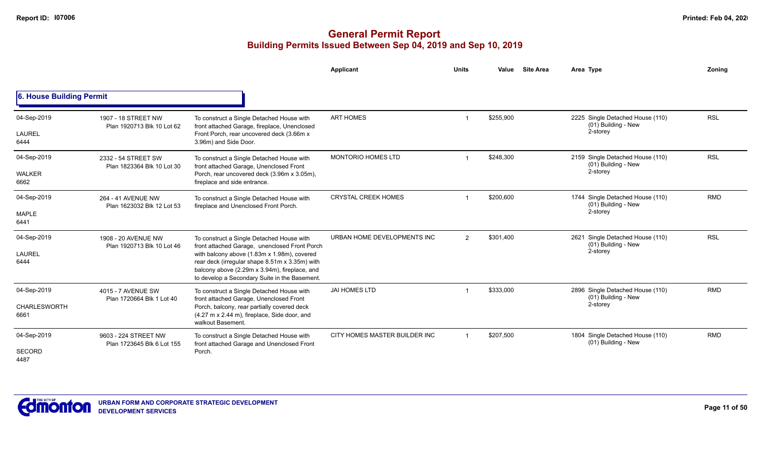|                                            |                                                    |                                                                                                                                                                                                                                                                                               | Applicant                     | <b>Units</b>   | <b>Site Area</b><br>Value | Area Type                                                           | Zoning     |
|--------------------------------------------|----------------------------------------------------|-----------------------------------------------------------------------------------------------------------------------------------------------------------------------------------------------------------------------------------------------------------------------------------------------|-------------------------------|----------------|---------------------------|---------------------------------------------------------------------|------------|
| 6. House Building Permit                   |                                                    |                                                                                                                                                                                                                                                                                               |                               |                |                           |                                                                     |            |
| 04-Sep-2019<br>LAUREL<br>6444              | 1907 - 18 STREET NW<br>Plan 1920713 Blk 10 Lot 62  | To construct a Single Detached House with<br>front attached Garage, fireplace, Unenclosed<br>Front Porch, rear uncovered deck (3.66m x<br>3.96m) and Side Door.                                                                                                                               | <b>ART HOMES</b>              |                | \$255,900                 | 2225 Single Detached House (110)<br>(01) Building - New<br>2-storey | <b>RSL</b> |
| 04-Sep-2019<br>WALKER<br>6662              | 2332 - 54 STREET SW<br>Plan 1823364 Blk 10 Lot 30  | To construct a Single Detached House with<br>front attached Garage, Unenclosed Front<br>Porch, rear uncovered deck (3.96m x 3.05m),<br>fireplace and side entrance.                                                                                                                           | <b>MONTORIO HOMES LTD</b>     |                | \$248,300                 | 2159 Single Detached House (110)<br>(01) Building - New<br>2-storey | <b>RSL</b> |
| 04-Sep-2019<br><b>MAPLE</b><br>6441        | 264 - 41 AVENUE NW<br>Plan 1623032 Blk 12 Lot 53   | To construct a Single Detached House with<br>fireplace and Unenclosed Front Porch.                                                                                                                                                                                                            | <b>CRYSTAL CREEK HOMES</b>    |                | \$200,600                 | 1744 Single Detached House (110)<br>(01) Building - New<br>2-storey | <b>RMD</b> |
| 04-Sep-2019<br><b>LAUREL</b><br>6444       | 1908 - 20 AVENUE NW<br>Plan 1920713 Blk 10 Lot 46  | To construct a Single Detached House with<br>front attached Garage, unenclosed Front Porch<br>with balcony above (1.83m x 1.98m), covered<br>rear deck (irregular shape 8.51m x 3.35m) with<br>balcony above (2.29m x 3.94m), fireplace, and<br>to develop a Secondary Suite in the Basement. | URBAN HOME DEVELOPMENTS INC   | $\overline{2}$ | \$301,400                 | 2621 Single Detached House (110)<br>(01) Building - New<br>2-storey | <b>RSL</b> |
| 04-Sep-2019<br><b>CHARLESWORTH</b><br>6661 | 4015 - 7 AVENUE SW<br>Plan 1720664 Blk 1 Lot 40    | To construct a Single Detached House with<br>front attached Garage, Unenclosed Front<br>Porch, balcony, rear partially covered deck<br>(4.27 m x 2.44 m), fireplace, Side door, and<br>walkout Basement.                                                                                      | <b>JAI HOMES LTD</b>          |                | \$333,000                 | 2896 Single Detached House (110)<br>(01) Building - New<br>2-storey | <b>RMD</b> |
| 04-Sep-2019<br>SECORD<br>4487              | 9603 - 224 STREET NW<br>Plan 1723645 Blk 6 Lot 155 | To construct a Single Detached House with<br>front attached Garage and Unenclosed Front<br>Porch.                                                                                                                                                                                             | CITY HOMES MASTER BUILDER INC | $\mathbf 1$    | \$207,500                 | 1804 Single Detached House (110)<br>(01) Building - New             | <b>RMD</b> |

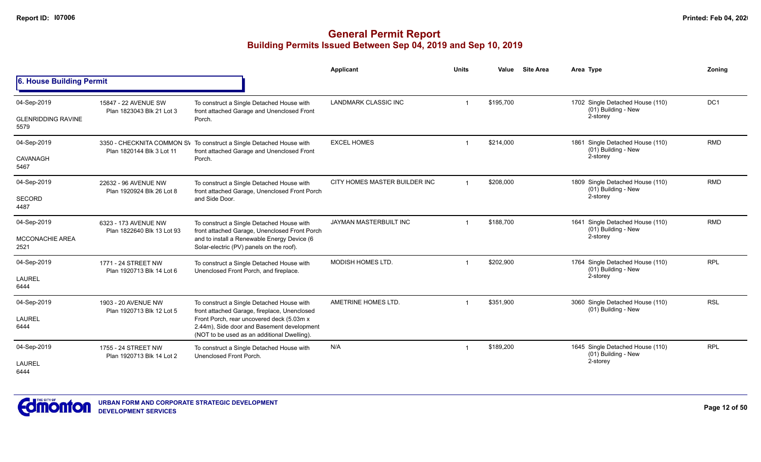|                                                  |                                                    |                                                                                                                                                                                                                                     | <b>Applicant</b>              | <b>Units</b> | Value     | <b>Site Area</b> | Area Type                                                           | Zonina          |
|--------------------------------------------------|----------------------------------------------------|-------------------------------------------------------------------------------------------------------------------------------------------------------------------------------------------------------------------------------------|-------------------------------|--------------|-----------|------------------|---------------------------------------------------------------------|-----------------|
| 6. House Building Permit                         |                                                    |                                                                                                                                                                                                                                     |                               |              |           |                  |                                                                     |                 |
| 04-Sep-2019<br><b>GLENRIDDING RAVINE</b><br>5579 | 15847 - 22 AVENUE SW<br>Plan 1823043 Blk 21 Lot 3  | To construct a Single Detached House with<br>front attached Garage and Unenclosed Front<br>Porch.                                                                                                                                   | LANDMARK CLASSIC INC          |              | \$195,700 |                  | 1702 Single Detached House (110)<br>(01) Building - New<br>2-storey | DC <sub>1</sub> |
| 04-Sep-2019<br><b>CAVANAGH</b><br>5467           | Plan 1820144 Blk 3 Lot 11                          | 3350 - CHECKNITA COMMON SV To construct a Single Detached House with<br>front attached Garage and Unenclosed Front<br>Porch.                                                                                                        | <b>EXCEL HOMES</b>            | -1           | \$214,000 |                  | 1861 Single Detached House (110)<br>(01) Building - New<br>2-storey | <b>RMD</b>      |
| 04-Sep-2019<br><b>SECORD</b><br>4487             | 22632 - 96 AVENUE NW<br>Plan 1920924 Blk 26 Lot 8  | To construct a Single Detached House with<br>front attached Garage, Unenclosed Front Porch<br>and Side Door.                                                                                                                        | CITY HOMES MASTER BUILDER INC | -1           | \$208,000 |                  | 1809 Single Detached House (110)<br>(01) Building - New<br>2-storey | <b>RMD</b>      |
| 04-Sep-2019<br><b>MCCONACHIE AREA</b><br>2521    | 6323 - 173 AVENUE NW<br>Plan 1822640 Blk 13 Lot 93 | To construct a Single Detached House with<br>front attached Garage, Unenclosed Front Porch<br>and to install a Renewable Energy Device (6<br>Solar-electric (PV) panels on the roof).                                               | JAYMAN MASTERBUILT INC        | -1           | \$188,700 |                  | 1641 Single Detached House (110)<br>(01) Building - New<br>2-storey | <b>RMD</b>      |
| 04-Sep-2019<br>LAUREL<br>6444                    | 1771 - 24 STREET NW<br>Plan 1920713 Blk 14 Lot 6   | To construct a Single Detached House with<br>Unenclosed Front Porch, and fireplace.                                                                                                                                                 | <b>MODISH HOMES LTD.</b>      |              | \$202,900 |                  | 1764 Single Detached House (110)<br>(01) Building - New<br>2-storey | <b>RPL</b>      |
| 04-Sep-2019<br>LAUREL<br>6444                    | 1903 - 20 AVENUE NW<br>Plan 1920713 Blk 12 Lot 5   | To construct a Single Detached House with<br>front attached Garage, fireplace, Unenclosed<br>Front Porch, rear uncovered deck (5.03m x<br>2.44m), Side door and Basement development<br>(NOT to be used as an additional Dwelling). | AMETRINE HOMES LTD.           |              | \$351,900 |                  | 3060 Single Detached House (110)<br>(01) Building - New             | <b>RSL</b>      |
| 04-Sep-2019<br><b>LAUREL</b><br>6444             | 1755 - 24 STREET NW<br>Plan 1920713 Blk 14 Lot 2   | To construct a Single Detached House with<br>Unenclosed Front Porch.                                                                                                                                                                | N/A                           | -1           | \$189,200 |                  | 1645 Single Detached House (110)<br>(01) Building - New<br>2-storey | <b>RPL</b>      |

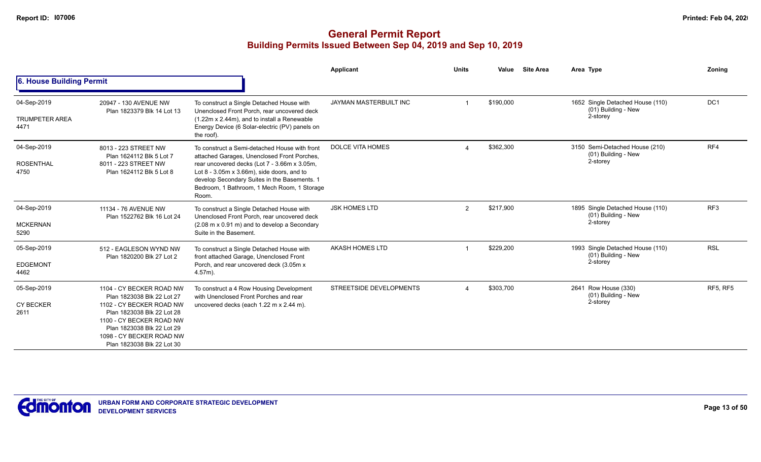|                                              |                                                                                                                                                                                                                                      |                                                                                                                                                                                                                                                                                                          | Applicant                      | <b>Units</b> | Value     | <b>Site Area</b> | Area Type                                                           | Zoning          |
|----------------------------------------------|--------------------------------------------------------------------------------------------------------------------------------------------------------------------------------------------------------------------------------------|----------------------------------------------------------------------------------------------------------------------------------------------------------------------------------------------------------------------------------------------------------------------------------------------------------|--------------------------------|--------------|-----------|------------------|---------------------------------------------------------------------|-----------------|
| 6. House Building Permit                     |                                                                                                                                                                                                                                      |                                                                                                                                                                                                                                                                                                          |                                |              |           |                  |                                                                     |                 |
| 04-Sep-2019<br><b>TRUMPETER AREA</b><br>4471 | 20947 - 130 AVENUE NW<br>Plan 1823379 Blk 14 Lot 13                                                                                                                                                                                  | To construct a Single Detached House with<br>Unenclosed Front Porch, rear uncovered deck<br>(1.22m x 2.44m), and to install a Renewable<br>Energy Device (6 Solar-electric (PV) panels on<br>the roof).                                                                                                  | <b>JAYMAN MASTERBUILT INC</b>  |              | \$190,000 |                  | 1652 Single Detached House (110)<br>(01) Building - New<br>2-storey | DC1             |
| 04-Sep-2019<br><b>ROSENTHAL</b><br>4750      | 8013 - 223 STREET NW<br>Plan 1624112 Blk 5 Lot 7<br>8011 - 223 STREET NW<br>Plan 1624112 Blk 5 Lot 8                                                                                                                                 | To construct a Semi-detached House with front<br>attached Garages, Unenclosed Front Porches,<br>rear uncovered decks (Lot 7 - 3.66m x 3.05m,<br>Lot $8 - 3.05$ m x $3.66$ m), side doors, and to<br>develop Secondary Suites in the Basements. 1<br>Bedroom, 1 Bathroom, 1 Mech Room, 1 Storage<br>Room. | <b>DOLCE VITA HOMES</b>        |              | \$362,300 |                  | 3150 Semi-Detached House (210)<br>(01) Building - New<br>2-storey   | RF4             |
| 04-Sep-2019<br><b>MCKERNAN</b><br>5290       | 11134 - 76 AVENUE NW<br>Plan 1522762 Blk 16 Lot 24                                                                                                                                                                                   | To construct a Single Detached House with<br>Unenclosed Front Porch, rear uncovered deck<br>(2.08 m x 0.91 m) and to develop a Secondary<br>Suite in the Basement.                                                                                                                                       | <b>JSK HOMES LTD</b>           | 2            | \$217,900 |                  | 1895 Single Detached House (110)<br>(01) Building - New<br>2-storey | RF <sub>3</sub> |
| 05-Sep-2019<br><b>EDGEMONT</b><br>4462       | 512 - EAGLESON WYND NW<br>Plan 1820200 Blk 27 Lot 2                                                                                                                                                                                  | To construct a Single Detached House with<br>front attached Garage, Unenclosed Front<br>Porch, and rear uncovered deck (3.05m x<br>$4.57m$ ).                                                                                                                                                            | AKASH HOMES LTD                |              | \$229,200 |                  | 1993 Single Detached House (110)<br>(01) Building - New<br>2-storey | <b>RSL</b>      |
| 05-Sep-2019<br><b>CY BECKER</b><br>2611      | 1104 - CY BECKER ROAD NW<br>Plan 1823038 Blk 22 Lot 27<br>1102 - CY BECKER ROAD NW<br>Plan 1823038 Blk 22 Lot 28<br>1100 - CY BECKER ROAD NW<br>Plan 1823038 Blk 22 Lot 29<br>1098 - CY BECKER ROAD NW<br>Plan 1823038 Blk 22 Lot 30 | To construct a 4 Row Housing Development<br>with Unenclosed Front Porches and rear<br>uncovered decks (each 1.22 m x 2.44 m).                                                                                                                                                                            | <b>STREETSIDE DEVELOPMENTS</b> |              | \$303,700 |                  | 2641 Row House (330)<br>(01) Building - New<br>2-storey             | <b>RF5, RF5</b> |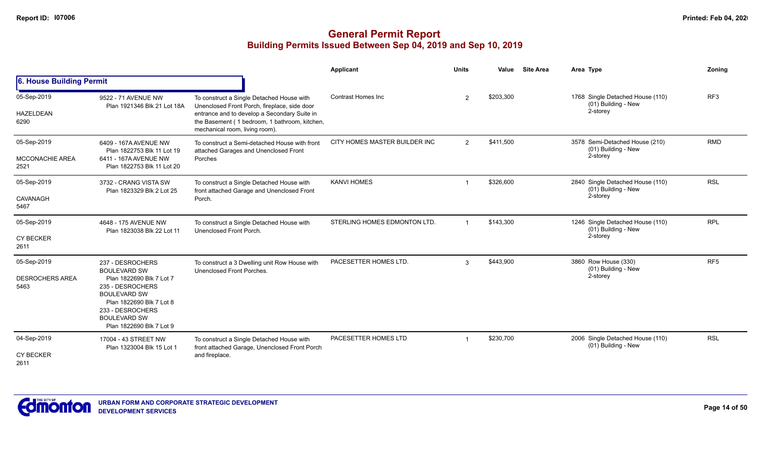|                                               |                                                                                                                                                                                                                   |                                                                                                                                                                                                                              | <b>Applicant</b>              | <b>Units</b>   | Value     | <b>Site Area</b> | Area Type                                                           | Zoning          |
|-----------------------------------------------|-------------------------------------------------------------------------------------------------------------------------------------------------------------------------------------------------------------------|------------------------------------------------------------------------------------------------------------------------------------------------------------------------------------------------------------------------------|-------------------------------|----------------|-----------|------------------|---------------------------------------------------------------------|-----------------|
| 6. House Building Permit                      |                                                                                                                                                                                                                   |                                                                                                                                                                                                                              |                               |                |           |                  |                                                                     |                 |
| 05-Sep-2019<br><b>HAZELDEAN</b><br>6290       | 9522 - 71 AVENUE NW<br>Plan 1921346 Blk 21 Lot 18A                                                                                                                                                                | To construct a Single Detached House with<br>Unenclosed Front Porch, fireplace, side door<br>entrance and to develop a Secondary Suite in<br>the Basement (1 bedroom, 1 bathroom, kitchen,<br>mechanical room, living room). | Contrast Homes Inc.           | 2              | \$203,300 |                  | 1768 Single Detached House (110)<br>(01) Building - New<br>2-storey | RF3             |
| 05-Sep-2019<br><b>MCCONACHIE AREA</b><br>2521 | 6409 - 167A AVENUE NW<br>Plan 1822753 Blk 11 Lot 19<br>6411 - 167A AVENUE NW<br>Plan 1822753 Blk 11 Lot 20                                                                                                        | To construct a Semi-detached House with front<br>attached Garages and Unenclosed Front<br>Porches                                                                                                                            | CITY HOMES MASTER BUILDER INC | $\overline{2}$ | \$411,500 |                  | 3578 Semi-Detached House (210)<br>(01) Building - New<br>2-storey   | <b>RMD</b>      |
| 05-Sep-2019<br>CAVANAGH<br>5467               | 3732 - CRANG VISTA SW<br>Plan 1823329 Blk 2 Lot 25                                                                                                                                                                | To construct a Single Detached House with<br>front attached Garage and Unenclosed Front<br>Porch.                                                                                                                            | <b>KANVI HOMES</b>            |                | \$326,600 |                  | 2840 Single Detached House (110)<br>(01) Building - New<br>2-storey | <b>RSL</b>      |
| 05-Sep-2019<br><b>CY BECKER</b><br>2611       | 4648 - 175 AVENUE NW<br>Plan 1823038 Blk 22 Lot 11                                                                                                                                                                | To construct a Single Detached House with<br>Unenclosed Front Porch.                                                                                                                                                         | STERLING HOMES EDMONTON LTD.  | $\overline{1}$ | \$143,300 |                  | 1246 Single Detached House (110)<br>(01) Building - New<br>2-storey | <b>RPL</b>      |
| 05-Sep-2019<br><b>DESROCHERS AREA</b><br>5463 | 237 - DESROCHERS<br><b>BOULEVARD SW</b><br>Plan 1822690 Blk 7 Lot 7<br>235 - DESROCHERS<br><b>BOULEVARD SW</b><br>Plan 1822690 Blk 7 Lot 8<br>233 - DESROCHERS<br><b>BOULEVARD SW</b><br>Plan 1822690 Blk 7 Lot 9 | To construct a 3 Dwelling unit Row House with<br>Unenclosed Front Porches.                                                                                                                                                   | PACESETTER HOMES LTD.         | 3              | \$443,900 |                  | 3860 Row House (330)<br>(01) Building - New<br>2-storey             | RF <sub>5</sub> |
| 04-Sep-2019<br><b>CY BECKER</b><br>2611       | 17004 - 43 STREET NW<br>Plan 1323004 Blk 15 Lot 1                                                                                                                                                                 | To construct a Single Detached House with<br>front attached Garage, Unenclosed Front Porch<br>and fireplace.                                                                                                                 | PACESETTER HOMES LTD          |                | \$230,700 |                  | 2006 Single Detached House (110)<br>(01) Building - New             | <b>RSL</b>      |

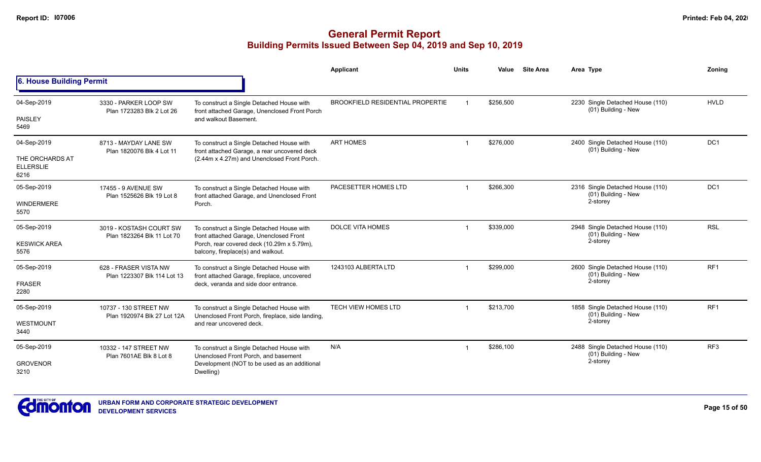|                                             |                                                       |                                                                                               | Applicant                               | <b>Units</b> | Value                            | <b>Site Area</b>                 | Area Type                                               | Zonina          |
|---------------------------------------------|-------------------------------------------------------|-----------------------------------------------------------------------------------------------|-----------------------------------------|--------------|----------------------------------|----------------------------------|---------------------------------------------------------|-----------------|
| 6. House Building Permit                    |                                                       |                                                                                               |                                         |              |                                  |                                  |                                                         |                 |
| 04-Sep-2019                                 | 3330 - PARKER LOOP SW<br>Plan 1723283 Blk 2 Lot 26    | To construct a Single Detached House with<br>front attached Garage, Unenclosed Front Porch    | <b>BROOKFIELD RESIDENTIAL PROPERTIE</b> |              | \$256,500                        |                                  | 2230 Single Detached House (110)<br>(01) Building - New | <b>HVLD</b>     |
| <b>PAISLEY</b><br>5469                      |                                                       | and walkout Basement.                                                                         |                                         |              |                                  |                                  |                                                         |                 |
| 04-Sep-2019                                 | 8713 - MAYDAY LANE SW<br>Plan 1820076 Blk 4 Lot 11    | To construct a Single Detached House with<br>front attached Garage, a rear uncovered deck     | <b>ART HOMES</b>                        |              | \$276,000                        |                                  | 2400 Single Detached House (110)<br>(01) Building - New | DC <sub>1</sub> |
| THE ORCHARDS AT<br><b>ELLERSLIE</b><br>6216 |                                                       | (2.44m x 4.27m) and Unenclosed Front Porch.                                                   |                                         |              |                                  |                                  |                                                         |                 |
| 05-Sep-2019                                 | 17455 - 9 AVENUE SW<br>Plan 1525626 Blk 19 Lot 8      | To construct a Single Detached House with<br>front attached Garage, and Unenclosed Front      | PACESETTER HOMES LTD                    |              | \$266,300                        |                                  | 2316 Single Detached House (110)<br>(01) Building - New | DC1             |
| <b>WINDERMERE</b><br>5570                   |                                                       | Porch.                                                                                        |                                         |              |                                  |                                  | 2-storey                                                |                 |
| 05-Sep-2019                                 | 3019 - KOSTASH COURT SW<br>Plan 1823264 Blk 11 Lot 70 | To construct a Single Detached House with<br>front attached Garage, Unenclosed Front          | <b>DOLCE VITA HOMES</b>                 |              | \$339,000<br>(01) Building - New | 2948 Single Detached House (110) | <b>RSL</b>                                              |                 |
| <b>KESWICK AREA</b><br>5576                 |                                                       | Porch, rear covered deck (10.29m x 5.79m),<br>balcony, fireplace(s) and walkout.              |                                         |              |                                  | 2-storey                         |                                                         |                 |
| 05-Sep-2019                                 | 628 - FRASER VISTA NW<br>Plan 1223307 Blk 114 Lot 13  | To construct a Single Detached House with<br>front attached Garage, fireplace, uncovered      | 1243103 ALBERTA LTD                     |              | \$299,000                        |                                  | 2600 Single Detached House (110)<br>(01) Building - New | RF <sub>1</sub> |
| <b>FRASER</b><br>2280                       |                                                       | deck, veranda and side door entrance.                                                         |                                         |              |                                  |                                  | 2-storey                                                |                 |
| 05-Sep-2019                                 | 10737 - 130 STREET NW                                 | To construct a Single Detached House with<br>Unenclosed Front Porch, fireplace, side landing, | <b>TECH VIEW HOMES LTD</b>              |              | \$213,700                        |                                  | 1858 Single Detached House (110)<br>(01) Building - New | RF <sub>1</sub> |
| <b>WESTMOUNT</b><br>3440                    | Plan 1920974 Blk 27 Lot 12A                           | and rear uncovered deck.                                                                      |                                         |              |                                  |                                  | 2-storey                                                |                 |
| 05-Sep-2019                                 | 10332 - 147 STREET NW<br>Plan 7601AE Blk 8 Lot 8      | To construct a Single Detached House with<br>Unenclosed Front Porch, and basement             | N/A                                     |              | \$286,100                        |                                  | 2488 Single Detached House (110)<br>(01) Building - New | RF <sub>3</sub> |
| <b>GROVENOR</b><br>3210                     |                                                       | Development (NOT to be used as an additional<br>Dwelling)                                     |                                         |              |                                  |                                  | 2-storey                                                |                 |

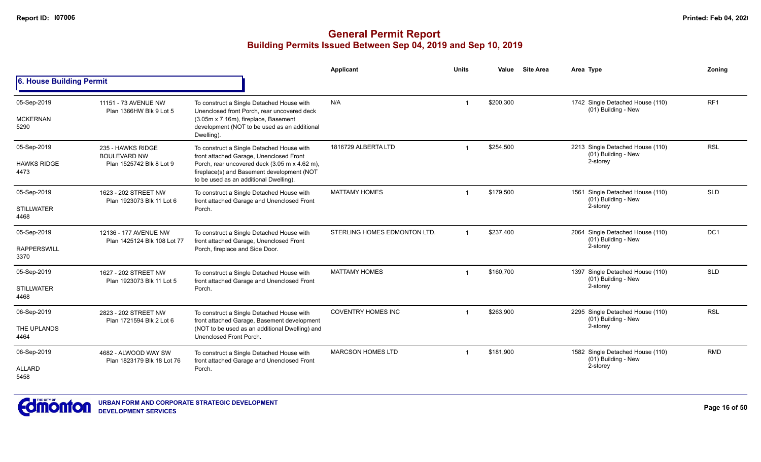|                                           |                                                                      |                                                                                                                                                                                                                               | Applicant                    | <b>Units</b>         | Value     | <b>Site Area</b> | Area Type                                                           | Zoning                                                                                     |
|-------------------------------------------|----------------------------------------------------------------------|-------------------------------------------------------------------------------------------------------------------------------------------------------------------------------------------------------------------------------|------------------------------|----------------------|-----------|------------------|---------------------------------------------------------------------|--------------------------------------------------------------------------------------------|
| 6. House Building Permit                  |                                                                      |                                                                                                                                                                                                                               |                              |                      |           |                  |                                                                     | RF <sub>1</sub><br><b>RSL</b><br><b>SLD</b><br>DC <sub>1</sub><br><b>SLD</b><br><b>RSL</b> |
| 05-Sep-2019<br><b>MCKERNAN</b><br>5290    | 11151 - 73 AVENUE NW<br>Plan 1366HW Blk 9 Lot 5                      | To construct a Single Detached House with<br>Unenclosed front Porch, rear uncovered deck<br>(3.05m x 7.16m), fireplace, Basement<br>development (NOT to be used as an additional<br>Dwelling).                                | N/A                          | $\overline{ }$       | \$200,300 |                  | 1742 Single Detached House (110)<br>(01) Building - New             |                                                                                            |
| 05-Sep-2019<br><b>HAWKS RIDGE</b><br>4473 | 235 - HAWKS RIDGE<br><b>BOULEVARD NW</b><br>Plan 1525742 Blk 8 Lot 9 | To construct a Single Detached House with<br>front attached Garage, Unenclosed Front<br>Porch, rear uncovered deck (3.05 m x 4.62 m),<br>fireplace(s) and Basement development (NOT<br>to be used as an additional Dwelling). | 1816729 ALBERTA LTD          |                      | \$254,500 |                  | 2213 Single Detached House (110)<br>(01) Building - New<br>2-storey |                                                                                            |
| 05-Sep-2019<br><b>STILLWATER</b><br>4468  | 1623 - 202 STREET NW<br>Plan 1923073 Blk 11 Lot 6                    | To construct a Single Detached House with<br>front attached Garage and Unenclosed Front<br>Porch.                                                                                                                             | <b>MATTAMY HOMES</b>         | 1                    | \$179,500 |                  | 1561 Single Detached House (110)<br>(01) Building - New<br>2-storey |                                                                                            |
| 05-Sep-2019<br><b>RAPPERSWILL</b><br>3370 | 12136 - 177 AVENUE NW<br>Plan 1425124 Blk 108 Lot 77                 | To construct a Single Detached House with<br>front attached Garage, Unenclosed Front<br>Porch, fireplace and Side Door.                                                                                                       | STERLING HOMES EDMONTON LTD. | $\blacktriangleleft$ | \$237,400 |                  | 2064 Single Detached House (110)<br>(01) Building - New<br>2-storey |                                                                                            |
| 05-Sep-2019<br><b>STILLWATER</b><br>4468  | 1627 - 202 STREET NW<br>Plan 1923073 Blk 11 Lot 5                    | To construct a Single Detached House with<br>front attached Garage and Unenclosed Front<br>Porch.                                                                                                                             | <b>MATTAMY HOMES</b>         | $\overline{1}$       | \$160,700 |                  | 1397 Single Detached House (110)<br>(01) Building - New<br>2-storey |                                                                                            |
| 06-Sep-2019<br>THE UPLANDS<br>4464        | 2823 - 202 STREET NW<br>Plan 1721594 Blk 2 Lot 6                     | To construct a Single Detached House with<br>front attached Garage, Basement development<br>(NOT to be used as an additional Dwelling) and<br>Unenclosed Front Porch.                                                         | <b>COVENTRY HOMES INC</b>    |                      | \$263,900 |                  | 2295 Single Detached House (110)<br>(01) Building - New<br>2-storey |                                                                                            |
| 06-Sep-2019<br><b>ALLARD</b><br>5458      | 4682 - ALWOOD WAY SW<br>Plan 1823179 Blk 18 Lot 76                   | To construct a Single Detached House with<br>front attached Garage and Unenclosed Front<br>Porch.                                                                                                                             | <b>MARCSON HOMES LTD</b>     |                      | \$181,900 |                  | 1582 Single Detached House (110)<br>(01) Building - New<br>2-storey | <b>RMD</b>                                                                                 |

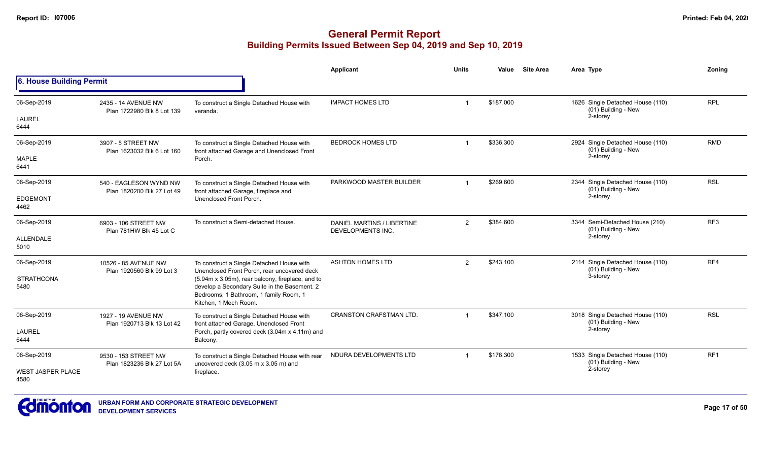|                           |                                                      |                                                                                                                                                                     | <b>Applicant</b>                                | Units          | Value     | <b>Site Area</b> | Area Type                                               | Zoning          |
|---------------------------|------------------------------------------------------|---------------------------------------------------------------------------------------------------------------------------------------------------------------------|-------------------------------------------------|----------------|-----------|------------------|---------------------------------------------------------|-----------------|
| 6. House Building Permit  |                                                      |                                                                                                                                                                     |                                                 |                |           |                  |                                                         |                 |
| 06-Sep-2019               | 2435 - 14 AVENUE NW<br>Plan 1722980 Blk 8 Lot 139    | To construct a Single Detached House with<br>veranda.                                                                                                               | <b>IMPACT HOMES LTD</b>                         | $\mathbf 1$    | \$187,000 |                  | 1626 Single Detached House (110)<br>(01) Building - New | <b>RPL</b>      |
| <b>LAUREL</b><br>6444     |                                                      |                                                                                                                                                                     |                                                 |                |           |                  | 2-storey                                                |                 |
| 06-Sep-2019               | 3907 - 5 STREET NW<br>Plan 1623032 Blk 6 Lot 160     | To construct a Single Detached House with<br>front attached Garage and Unenclosed Front                                                                             | <b>BEDROCK HOMES LTD</b>                        |                | \$336,300 |                  | 2924 Single Detached House (110)<br>(01) Building - New | <b>RMD</b>      |
| <b>MAPLE</b><br>6441      |                                                      | Porch.                                                                                                                                                              |                                                 |                |           |                  | 2-storey                                                |                 |
| 06-Sep-2019               | 540 - EAGLESON WYND NW<br>Plan 1820200 Blk 27 Lot 49 | To construct a Single Detached House with<br>front attached Garage, fireplace and                                                                                   | PARKWOOD MASTER BUILDER                         | $\overline{1}$ | \$269,600 |                  | 2344 Single Detached House (110)<br>(01) Building - New | <b>RSL</b>      |
| <b>EDGEMONT</b><br>4462   |                                                      | Unenclosed Front Porch.                                                                                                                                             |                                                 |                |           |                  | 2-storey                                                |                 |
| 06-Sep-2019               | 6903 - 106 STREET NW<br>Plan 781HW Blk 45 Lot C      | To construct a Semi-detached House.                                                                                                                                 | DANIEL MARTINS / LIBERTINE<br>DEVELOPMENTS INC. | 2              | \$384,600 |                  | 3344 Semi-Detached House (210)<br>(01) Building - New   | RF <sub>3</sub> |
| ALLENDALE<br>5010         |                                                      |                                                                                                                                                                     |                                                 |                |           |                  | 2-storey                                                |                 |
| 06-Sep-2019               | 10526 - 85 AVENUE NW<br>Plan 1920560 Blk 99 Lot 3    | To construct a Single Detached House with<br>Unenclosed Front Porch, rear uncovered deck                                                                            | <b>ASHTON HOMES LTD</b>                         | $\overline{2}$ | \$243,100 |                  | 2114 Single Detached House (110)<br>(01) Building - New | RF4             |
| <b>STRATHCONA</b><br>5480 |                                                      | (5.94m x 3.05m), rear balcony, fireplace, and to<br>develop a Secondary Suite in the Basement. 2<br>Bedrooms, 1 Bathroom, 1 family Room, 1<br>Kitchen. 1 Mech Room. |                                                 |                |           |                  | 3-storey                                                |                 |
| 06-Sep-2019               | 1927 - 19 AVENUE NW<br>Plan 1920713 Blk 13 Lot 42    | To construct a Single Detached House with<br>front attached Garage, Unenclosed Front                                                                                | <b>CRANSTON CRAFSTMAN LTD.</b>                  | $\mathbf 1$    | \$347,100 |                  | 3018 Single Detached House (110)<br>(01) Building - New | <b>RSL</b>      |
| <b>LAUREL</b><br>6444     |                                                      | Porch, partly covered deck (3.04m x 4.11m) and<br>Balcony.                                                                                                          |                                                 |                |           |                  | 2-storey                                                |                 |
| 06-Sep-2019               | 9530 - 153 STREET NW<br>Plan 1823236 Blk 27 Lot 5A   | To construct a Single Detached House with rear<br>uncovered deck (3.05 m x 3.05 m) and                                                                              | NDURA DEVELOPMENTS LTD                          |                | \$176,300 |                  | 1533 Single Detached House (110)<br>(01) Building - New | RF <sub>1</sub> |
| WEST JASPER PLACE<br>4580 |                                                      | fireplace.                                                                                                                                                          |                                                 |                |           |                  | 2-storey                                                |                 |

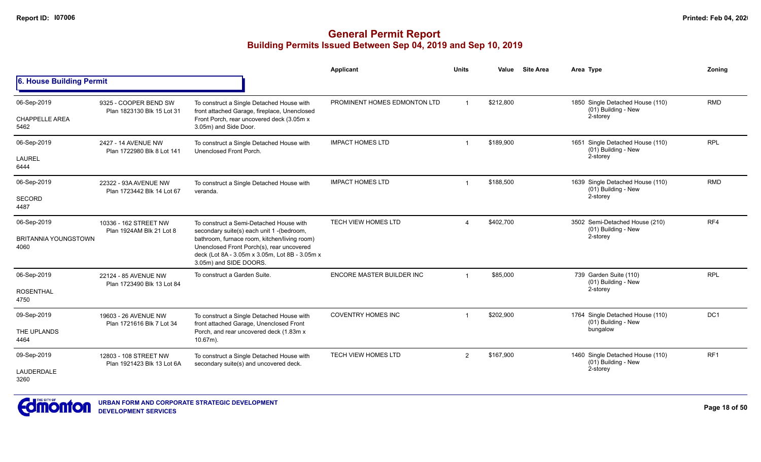|                                                    |                                                     |                                                                                                                                                                                                                                                              | Applicant                    | <b>Units</b>   | Value     | <b>Site Area</b> | Area Type                                                           | Zoning          |
|----------------------------------------------------|-----------------------------------------------------|--------------------------------------------------------------------------------------------------------------------------------------------------------------------------------------------------------------------------------------------------------------|------------------------------|----------------|-----------|------------------|---------------------------------------------------------------------|-----------------|
| 6. House Building Permit                           |                                                     |                                                                                                                                                                                                                                                              |                              |                |           |                  |                                                                     |                 |
| 06-Sep-2019<br><b>CHAPPELLE AREA</b><br>5462       | 9325 - COOPER BEND SW<br>Plan 1823130 Blk 15 Lot 31 | To construct a Single Detached House with<br>front attached Garage, fireplace, Unenclosed<br>Front Porch, rear uncovered deck (3.05m x<br>3.05m) and Side Door.                                                                                              | PROMINENT HOMES EDMONTON LTD | $\overline{1}$ | \$212,800 |                  | 1850 Single Detached House (110)<br>(01) Building - New<br>2-storey | <b>RMD</b>      |
| 06-Sep-2019<br><b>LAUREL</b><br>6444               | 2427 - 14 AVENUE NW<br>Plan 1722980 Blk 8 Lot 141   | To construct a Single Detached House with<br>Unenclosed Front Porch.                                                                                                                                                                                         | <b>IMPACT HOMES LTD</b>      | -1             | \$189,900 |                  | 1651 Single Detached House (110)<br>(01) Building - New<br>2-storey | <b>RPL</b>      |
| 06-Sep-2019<br><b>SECORD</b><br>4487               | 22322 - 93A AVENUE NW<br>Plan 1723442 Blk 14 Lot 67 | To construct a Single Detached House with<br>veranda.                                                                                                                                                                                                        | <b>IMPACT HOMES LTD</b>      |                | \$188,500 |                  | 1639 Single Detached House (110)<br>(01) Building - New<br>2-storey | <b>RMD</b>      |
| 06-Sep-2019<br><b>BRITANNIA YOUNGSTOWN</b><br>4060 | 10336 - 162 STREET NW<br>Plan 1924AM Blk 21 Lot 8   | To construct a Semi-Detached House with<br>secondary suite(s) each unit 1-(bedroom,<br>bathroom, furnace room, kitchen/living room)<br>Unenclosed Front Porch(s), rear uncovered<br>deck (Lot 8A - 3.05m x 3.05m, Lot 8B - 3.05m x<br>3.05m) and SIDE DOORS. | TECH VIEW HOMES LTD          | $\Delta$       | \$402,700 |                  | 3502 Semi-Detached House (210)<br>(01) Building - New<br>2-storey   | RF4             |
| 06-Sep-2019<br><b>ROSENTHAL</b><br>4750            | 22124 - 85 AVENUE NW<br>Plan 1723490 Blk 13 Lot 84  | To construct a Garden Suite.                                                                                                                                                                                                                                 | ENCORE MASTER BUILDER INC    | $\overline{1}$ | \$85,000  |                  | 739 Garden Suite (110)<br>(01) Building - New<br>2-storey           | <b>RPL</b>      |
| 09-Sep-2019<br>THE UPLANDS<br>4464                 | 19603 - 26 AVENUE NW<br>Plan 1721616 Blk 7 Lot 34   | To construct a Single Detached House with<br>front attached Garage, Unenclosed Front<br>Porch, and rear uncovered deck (1.83m x<br>$10.67m$ ).                                                                                                               | <b>COVENTRY HOMES INC</b>    |                | \$202,900 |                  | 1764 Single Detached House (110)<br>(01) Building - New<br>bungalow | DC <sub>1</sub> |
| 09-Sep-2019<br>LAUDERDALE<br>3260                  | 12803 - 108 STREET NW<br>Plan 1921423 Blk 13 Lot 6A | To construct a Single Detached House with<br>secondary suite(s) and uncovered deck.                                                                                                                                                                          | TECH VIEW HOMES LTD          | $\overline{2}$ | \$167,900 |                  | 1460 Single Detached House (110)<br>(01) Building - New<br>2-storey | RF <sub>1</sub> |

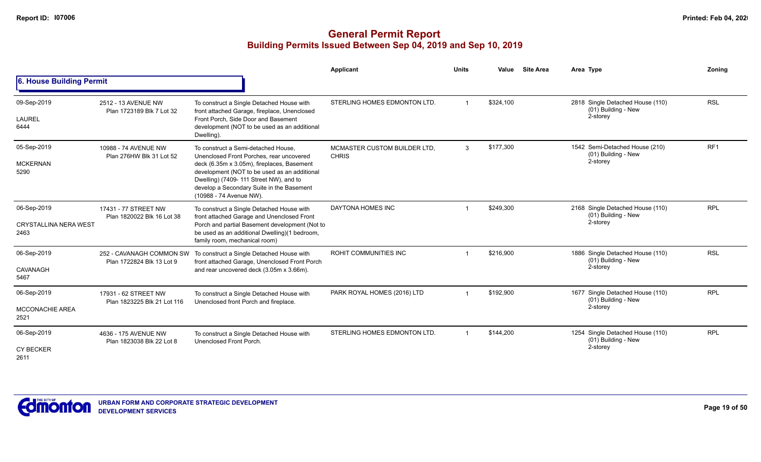|                                                     |                                                       |                                                                                                                                                                                                                                                                                                  | <b>Applicant</b>                             | <b>Units</b>            | Value     | <b>Site Area</b> | Area Type                                                           | Zonina          |
|-----------------------------------------------------|-------------------------------------------------------|--------------------------------------------------------------------------------------------------------------------------------------------------------------------------------------------------------------------------------------------------------------------------------------------------|----------------------------------------------|-------------------------|-----------|------------------|---------------------------------------------------------------------|-----------------|
| 6. House Building Permit                            |                                                       |                                                                                                                                                                                                                                                                                                  |                                              |                         |           |                  |                                                                     |                 |
| 09-Sep-2019<br>LAUREL<br>6444                       | 2512 - 13 AVENUE NW<br>Plan 1723189 Blk 7 Lot 32      | To construct a Single Detached House with<br>front attached Garage, fireplace, Unenclosed<br>Front Porch, Side Door and Basement<br>development (NOT to be used as an additional<br>Dwelling).                                                                                                   | STERLING HOMES EDMONTON LTD.                 |                         | \$324,100 |                  | 2818 Single Detached House (110)<br>(01) Building - New<br>2-storey | <b>RSL</b>      |
| 05-Sep-2019<br><b>MCKERNAN</b><br>5290              | 10988 - 74 AVENUE NW<br>Plan 276HW Blk 31 Lot 52      | To construct a Semi-detached House.<br>Unenclosed Front Porches, rear uncovered<br>deck (6.35m x 3.05m), fireplaces, Basement<br>development (NOT to be used as an additional<br>Dwelling) (7409- 111 Street NW), and to<br>develop a Secondary Suite in the Basement<br>(10988 - 74 Avenue NW). | MCMASTER CUSTOM BUILDER LTD.<br><b>CHRIS</b> | $\mathbf{3}$            | \$177,300 |                  | 1542 Semi-Detached House (210)<br>(01) Building - New<br>2-storey   | RF <sub>1</sub> |
| 06-Sep-2019<br><b>CRYSTALLINA NERA WEST</b><br>2463 | 17431 - 77 STREET NW<br>Plan 1820022 Blk 16 Lot 38    | To construct a Single Detached House with<br>front attached Garage and Unenclosed Front<br>Porch and partial Basement development (Not to<br>be used as an additional Dwelling)(1 bedroom,<br>family room, mechanical room)                                                                      | DAYTONA HOMES INC                            |                         | \$249,300 |                  | 2168 Single Detached House (110)<br>(01) Building - New<br>2-storey | <b>RPL</b>      |
| 06-Sep-2019<br>CAVANAGH<br>5467                     | 252 - CAVANAGH COMMON SW<br>Plan 1722824 Blk 13 Lot 9 | To construct a Single Detached House with<br>front attached Garage, Unenclosed Front Porch<br>and rear uncovered deck (3.05m x 3.66m).                                                                                                                                                           | ROHIT COMMUNITIES INC                        |                         | \$216.900 |                  | 1886 Single Detached House (110)<br>(01) Building - New<br>2-storey | <b>RSL</b>      |
| 06-Sep-2019<br><b>MCCONACHIE AREA</b><br>2521       | 17931 - 62 STREET NW<br>Plan 1823225 Blk 21 Lot 116   | To construct a Single Detached House with<br>Unenclosed front Porch and fireplace.                                                                                                                                                                                                               | PARK ROYAL HOMES (2016) LTD                  | $\overline{1}$          | \$192,900 |                  | 1677 Single Detached House (110)<br>(01) Building - New<br>2-storey | <b>RPL</b>      |
| 06-Sep-2019<br><b>CY BECKER</b><br>2611             | 4636 - 175 AVENUE NW<br>Plan 1823038 Blk 22 Lot 8     | To construct a Single Detached House with<br>Unenclosed Front Porch.                                                                                                                                                                                                                             | STERLING HOMES EDMONTON LTD.                 | $\overline{\mathbf{1}}$ | \$144.200 |                  | 1254 Single Detached House (110)<br>(01) Building - New<br>2-storey | <b>RPL</b>      |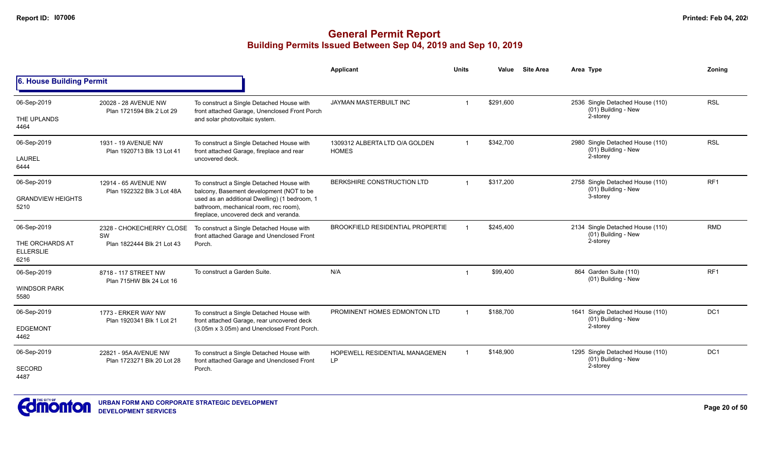|                                             |                                                     |                                                                                                                                  | Applicant                                      | <b>Units</b>   | Value     | <b>Site Area</b> | Area Type                                                           | Zoning          |
|---------------------------------------------|-----------------------------------------------------|----------------------------------------------------------------------------------------------------------------------------------|------------------------------------------------|----------------|-----------|------------------|---------------------------------------------------------------------|-----------------|
| 6. House Building Permit                    |                                                     |                                                                                                                                  |                                                |                |           |                  |                                                                     |                 |
| 06-Sep-2019                                 | 20028 - 28 AVENUE NW<br>Plan 1721594 Blk 2 Lot 29   | To construct a Single Detached House with<br>front attached Garage, Unenclosed Front Porch                                       | JAYMAN MASTERBUILT INC                         |                | \$291,600 |                  | 2536 Single Detached House (110)<br>(01) Building - New<br>2-storey | <b>RSL</b>      |
| THE UPLANDS<br>4464                         |                                                     | and solar photovoltaic system.                                                                                                   |                                                |                |           |                  |                                                                     |                 |
| 06-Sep-2019                                 | 1931 - 19 AVENUE NW<br>Plan 1920713 Blk 13 Lot 41   | To construct a Single Detached House with<br>front attached Garage, fireplace and rear                                           | 1309312 ALBERTA LTD O/A GOLDEN<br><b>HOMES</b> | $\overline{1}$ | \$342.700 |                  | 2980 Single Detached House (110)<br>(01) Building - New             | <b>RSL</b>      |
| <b>LAUREL</b><br>6444                       |                                                     | uncovered deck.                                                                                                                  |                                                |                |           |                  | 2-storey                                                            |                 |
| 06-Sep-2019                                 | 12914 - 65 AVENUE NW<br>Plan 1922322 Blk 3 Lot 48A  | To construct a Single Detached House with<br>balcony, Basement development (NOT to be                                            | BERKSHIRE CONSTRUCTION LTD                     | $\overline{1}$ | \$317,200 |                  | 2758 Single Detached House (110)<br>(01) Building - New             | RF <sub>1</sub> |
| <b>GRANDVIEW HEIGHTS</b><br>5210            |                                                     | used as an additional Dwelling) (1 bedroom, 1<br>bathroom, mechanical room, rec room),<br>fireplace, uncovered deck and veranda. |                                                |                |           |                  | 3-storey                                                            |                 |
| 06-Sep-2019                                 | 2328 - CHOKECHERRY CLOSE<br>SW                      | To construct a Single Detached House with<br>front attached Garage and Unenclosed Front                                          | <b>BROOKFIELD RESIDENTIAL PROPERTIE</b>        |                | \$245.400 |                  | 2134 Single Detached House (110)<br>(01) Building - New             | <b>RMD</b>      |
| THE ORCHARDS AT<br><b>ELLERSLIE</b><br>6216 | Plan 1822444 Blk 21 Lot 43                          | Porch.                                                                                                                           |                                                |                |           |                  | 2-storey                                                            |                 |
| 06-Sep-2019                                 | 8718 - 117 STREET NW<br>Plan 715HW Blk 24 Lot 16    | To construct a Garden Suite.                                                                                                     | N/A                                            |                | \$99,400  |                  | 864 Garden Suite (110)<br>(01) Building - New                       | RF <sub>1</sub> |
| <b>WINDSOR PARK</b><br>5580                 |                                                     |                                                                                                                                  |                                                |                |           |                  |                                                                     |                 |
| 06-Sep-2019                                 | 1773 - ERKER WAY NW                                 | To construct a Single Detached House with<br>front attached Garage, rear uncovered deck                                          | PROMINENT HOMES EDMONTON LTD                   | $\overline{1}$ | \$188.700 |                  | 1641 Single Detached House (110)<br>(01) Building - New             | DC <sub>1</sub> |
| <b>EDGEMONT</b><br>4462                     | Plan 1920341 Blk 1 Lot 21                           | (3.05m x 3.05m) and Unenclosed Front Porch.                                                                                      |                                                |                |           |                  | 2-storey                                                            |                 |
| 06-Sep-2019                                 | 22821 - 95A AVENUE NW<br>Plan 1723271 Blk 20 Lot 28 | To construct a Single Detached House with<br>front attached Garage and Unenclosed Front                                          | HOPEWELL RESIDENTIAL MANAGEMEN<br>LP           | -1             | \$148,900 |                  | 1295 Single Detached House (110)<br>(01) Building - New             | DC <sub>1</sub> |
| <b>SECORD</b><br>4487                       |                                                     | Porch.                                                                                                                           |                                                |                |           |                  | 2-storey                                                            |                 |

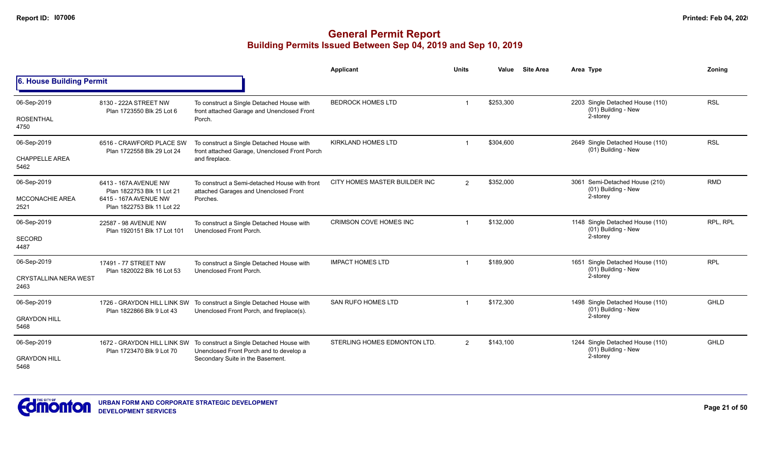|                                      |                                                          |                                                                                            | <b>Applicant</b>              | <b>Units</b>   | Value     | <b>Site Area</b> | Area Type                                               | Zonina      |
|--------------------------------------|----------------------------------------------------------|--------------------------------------------------------------------------------------------|-------------------------------|----------------|-----------|------------------|---------------------------------------------------------|-------------|
| 6. House Building Permit             |                                                          |                                                                                            |                               |                |           |                  |                                                         |             |
| 06-Sep-2019                          | 8130 - 222A STREET NW<br>Plan 1723550 Blk 25 Lot 6       | To construct a Single Detached House with<br>front attached Garage and Unenclosed Front    | <b>BEDROCK HOMES LTD</b>      |                | \$253,300 |                  | 2203 Single Detached House (110)<br>(01) Building - New | <b>RSL</b>  |
| <b>ROSENTHAL</b><br>4750             |                                                          | Porch.                                                                                     |                               |                |           | 2-storey         |                                                         |             |
| 06-Sep-2019                          | 6516 - CRAWFORD PLACE SW<br>Plan 1722558 Blk 29 Lot 24   | To construct a Single Detached House with<br>front attached Garage, Unenclosed Front Porch | <b>KIRKLAND HOMES LTD</b>     |                | \$304,600 |                  | 2649 Single Detached House (110)<br>(01) Building - New | <b>RSL</b>  |
| <b>CHAPPELLE AREA</b><br>5462        |                                                          | and fireplace.                                                                             |                               |                |           |                  |                                                         |             |
| 06-Sep-2019                          | 6413 - 167A AVENUE NW<br>Plan 1822753 Blk 11 Lot 21      | To construct a Semi-detached House with front<br>attached Garages and Unenclosed Front     | CITY HOMES MASTER BUILDER INC | $\overline{2}$ | \$352,000 |                  | 3061 Semi-Detached House (210)<br>(01) Building - New   | <b>RMD</b>  |
| <b>MCCONACHIE AREA</b><br>2521       | 6415 - 167A AVENUE NW<br>Plan 1822753 Blk 11 Lot 22      | Porches.                                                                                   |                               |                |           | 2-storey         |                                                         |             |
| 06-Sep-2019                          | 22587 - 98 AVENUE NW<br>Plan 1920151 Blk 17 Lot 101      | To construct a Single Detached House with<br>Unenclosed Front Porch.                       | CRIMSON COVE HOMES INC        |                | \$132,000 |                  | 1148 Single Detached House (110)<br>(01) Building - New | RPL, RPL    |
| <b>SECORD</b><br>4487                |                                                          |                                                                                            |                               |                |           |                  | 2-storey                                                |             |
| 06-Sep-2019                          | 17491 - 77 STREET NW<br>Plan 1820022 Blk 16 Lot 53       | To construct a Single Detached House with<br>Unenclosed Front Porch.                       | <b>IMPACT HOMES LTD</b>       | -1             | \$189,900 |                  | 1651 Single Detached House (110)<br>(01) Building - New | <b>RPL</b>  |
| <b>CRYSTALLINA NERA WEST</b><br>2463 |                                                          |                                                                                            |                               |                |           |                  | 2-storey                                                |             |
| 06-Sep-2019                          | 1726 - GRAYDON HILL LINK SW<br>Plan 1822866 Blk 9 Lot 43 | To construct a Single Detached House with<br>Unenclosed Front Porch, and fireplace(s).     | <b>SAN RUFO HOMES LTD</b>     |                | \$172,300 |                  | 1498 Single Detached House (110)<br>(01) Building - New | <b>GHLD</b> |
| <b>GRAYDON HILL</b><br>5468          |                                                          |                                                                                            |                               |                |           |                  | 2-storey                                                |             |
| 06-Sep-2019                          | 1672 - GRAYDON HILL LINK SW<br>Plan 1723470 Blk 9 Lot 70 | To construct a Single Detached House with<br>Unenclosed Front Porch and to develop a       | STERLING HOMES EDMONTON LTD.  | $\overline{2}$ | \$143,100 |                  | 1244 Single Detached House (110)<br>(01) Building - New | <b>GHLD</b> |
| <b>GRAYDON HILL</b><br>5468          |                                                          | Secondary Suite in the Basement.                                                           |                               |                |           |                  | 2-storey                                                |             |

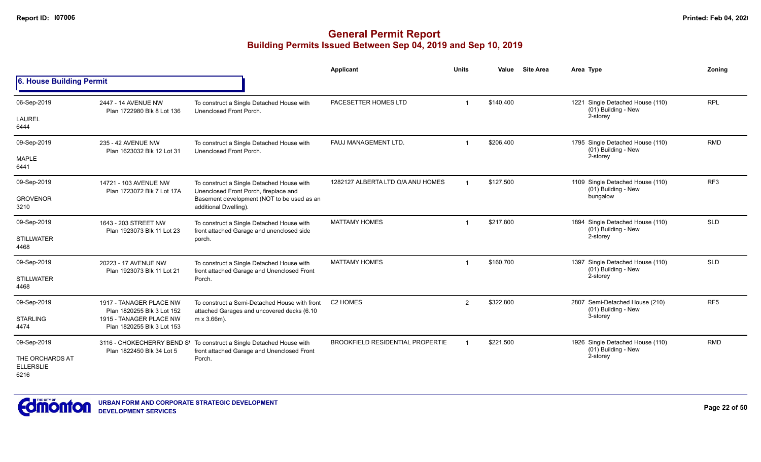|                                             |                                                       |                                                                                                                    | Applicant                               | <b>Units</b>   | Value     | <b>Site Area</b> | Area Type                                               | Zoning          |
|---------------------------------------------|-------------------------------------------------------|--------------------------------------------------------------------------------------------------------------------|-----------------------------------------|----------------|-----------|------------------|---------------------------------------------------------|-----------------|
| 6. House Building Permit                    |                                                       |                                                                                                                    |                                         |                |           |                  |                                                         |                 |
| 06-Sep-2019                                 | 2447 - 14 AVENUE NW<br>Plan 1722980 Blk 8 Lot 136     | To construct a Single Detached House with<br>Unenclosed Front Porch.                                               | PACESETTER HOMES LTD                    | $\mathbf 1$    | \$140,400 |                  | 1221 Single Detached House (110)<br>(01) Building - New | <b>RPL</b>      |
| <b>LAUREL</b><br>6444                       |                                                       |                                                                                                                    |                                         |                |           |                  | 2-storey                                                |                 |
| 09-Sep-2019                                 | 235 - 42 AVENUE NW<br>Plan 1623032 Blk 12 Lot 31      | To construct a Single Detached House with<br>Unenclosed Front Porch.                                               | FAUJ MANAGEMENT LTD.                    |                | \$206,400 |                  | 1795 Single Detached House (110)<br>(01) Building - New | <b>RMD</b>      |
| <b>MAPLE</b><br>6441                        |                                                       |                                                                                                                    |                                         |                |           |                  | 2-storey                                                |                 |
| 09-Sep-2019                                 | 14721 - 103 AVENUE NW<br>Plan 1723072 Blk 7 Lot 17A   | To construct a Single Detached House with<br>Unenclosed Front Porch, fireplace and                                 | 1282127 ALBERTA LTD O/A ANU HOMES       |                | \$127,500 |                  | 1109 Single Detached House (110)<br>(01) Building - New | RF3             |
| <b>GROVENOR</b><br>3210                     |                                                       | Basement development (NOT to be used as an<br>additional Dwelling).                                                |                                         |                |           |                  | bungalow                                                |                 |
| 09-Sep-2019                                 | 1643 - 203 STREET NW<br>Plan 1923073 Blk 11 Lot 23    | To construct a Single Detached House with<br>front attached Garage and unenclosed side                             | <b>MATTAMY HOMES</b>                    |                | \$217,800 |                  | 1894 Single Detached House (110)<br>(01) Building - New | <b>SLD</b>      |
| <b>STILLWATER</b><br>4468                   |                                                       | porch.                                                                                                             |                                         |                |           |                  | 2-storey                                                |                 |
| 09-Sep-2019                                 | 20223 - 17 AVENUE NW<br>Plan 1923073 Blk 11 Lot 21    | To construct a Single Detached House with<br>front attached Garage and Unenclosed Front                            | <b>MATTAMY HOMES</b>                    | $\mathbf 1$    | \$160,700 |                  | 1397 Single Detached House (110)<br>(01) Building - New | <b>SLD</b>      |
| <b>STILLWATER</b><br>4468                   |                                                       | Porch.                                                                                                             |                                         |                |           |                  | 2-storey                                                |                 |
| 09-Sep-2019                                 | 1917 - TANAGER PLACE NW<br>Plan 1820255 Blk 3 Lot 152 | To construct a Semi-Detached House with front<br>attached Garages and uncovered decks (6.10                        | C <sub>2</sub> HOMES                    | $\overline{2}$ | \$322,800 |                  | 2807 Semi-Detached House (210)<br>(01) Building - New   | RF <sub>5</sub> |
| <b>STARLING</b>                             | 1915 - TANAGER PLACE NW                               | $m \times 3.66m$ ).                                                                                                |                                         |                |           |                  | 3-storey                                                |                 |
| 4474                                        | Plan 1820255 Blk 3 Lot 153                            |                                                                                                                    |                                         |                |           |                  |                                                         |                 |
| 09-Sep-2019                                 | Plan 1822450 Blk 34 Lot 5                             | 3116 - CHOKECHERRY BEND S\ To construct a Single Detached House with<br>front attached Garage and Unenclosed Front | <b>BROOKFIELD RESIDENTIAL PROPERTIE</b> |                | \$221,500 |                  | 1926 Single Detached House (110)<br>(01) Building - New | <b>RMD</b>      |
| THE ORCHARDS AT<br><b>ELLERSLIE</b><br>6216 |                                                       | Porch.                                                                                                             |                                         |                |           |                  | 2-storey                                                |                 |

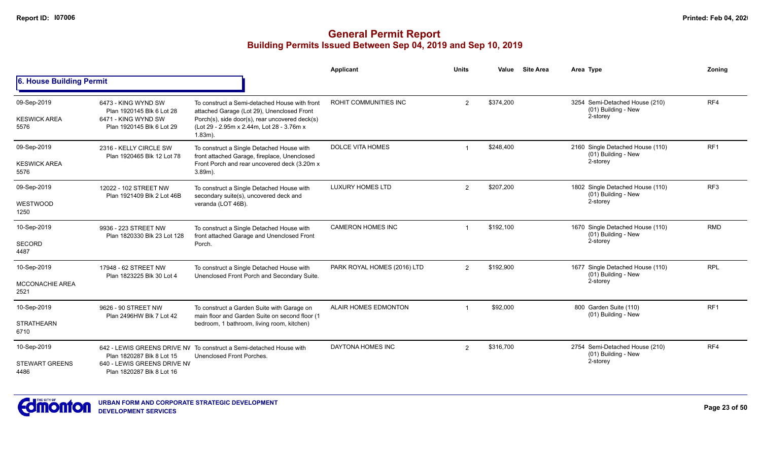|                                               |                                                                                                      |                                                                                                                                                                                                          | Applicant                    | <b>Units</b> | Value     | <b>Site Area</b> | Area Type                                                             | Zonina          |
|-----------------------------------------------|------------------------------------------------------------------------------------------------------|----------------------------------------------------------------------------------------------------------------------------------------------------------------------------------------------------------|------------------------------|--------------|-----------|------------------|-----------------------------------------------------------------------|-----------------|
| 6. House Building Permit                      |                                                                                                      |                                                                                                                                                                                                          |                              |              |           |                  |                                                                       |                 |
| 09-Sep-2019<br><b>KESWICK AREA</b><br>5576    | 6473 - KING WYND SW<br>Plan 1920145 Blk 6 Lot 28<br>6471 - KING WYND SW<br>Plan 1920145 Blk 6 Lot 29 | To construct a Semi-detached House with front<br>attached Garage (Lot 29), Unenclosed Front<br>Porch(s), side door(s), rear uncovered deck(s)<br>(Lot 29 - 2.95m x 2.44m, Lot 28 - 3.76m x<br>$1.83m$ ). | <b>ROHIT COMMUNITIES INC</b> | 2            | \$374,200 |                  | 3254 Semi-Detached House (210)<br>(01) Building - New<br>2-storey     | RF4             |
| 09-Sep-2019<br><b>KESWICK AREA</b><br>5576    | 2316 - KELLY CIRCLE SW<br>Plan 1920465 Blk 12 Lot 78                                                 | To construct a Single Detached House with<br>front attached Garage, fireplace, Unenclosed<br>Front Porch and rear uncovered deck (3.20m x)<br>$3.89m$ ).                                                 | <b>DOLCE VITA HOMES</b>      |              | \$248.400 |                  | 2160 Single Detached House (110)<br>$(01)$ Building - New<br>2-storey | RF <sub>1</sub> |
| 09-Sep-2019<br>WESTWOOD<br>1250               | 12022 - 102 STREET NW<br>Plan 1921409 Blk 2 Lot 46B                                                  | To construct a Single Detached House with<br>secondary suite(s), uncovered deck and<br>veranda (LOT 46B).                                                                                                | <b>LUXURY HOMES LTD</b>      | 2            | \$207,200 |                  | 1802 Single Detached House (110)<br>(01) Building - New<br>2-storey   | RF <sub>3</sub> |
| 10-Sep-2019<br>SECORD<br>4487                 | 9936 - 223 STREET NW<br>Plan 1820330 Blk 23 Lot 128                                                  | To construct a Single Detached House with<br>front attached Garage and Unenclosed Front<br>Porch.                                                                                                        | <b>CAMERON HOMES INC</b>     |              | \$192,100 |                  | 1670 Single Detached House (110)<br>(01) Building - New<br>2-storey   | <b>RMD</b>      |
| 10-Sep-2019<br><b>MCCONACHIE AREA</b><br>2521 | 17948 - 62 STREET NW<br>Plan 1823225 Blk 30 Lot 4                                                    | To construct a Single Detached House with<br>Unenclosed Front Porch and Secondary Suite.                                                                                                                 | PARK ROYAL HOMES (2016) LTD  | 2            | \$192,900 |                  | 1677 Single Detached House (110)<br>(01) Building - New<br>2-storey   | <b>RPL</b>      |
| 10-Sep-2019<br><b>STRATHEARN</b><br>6710      | 9626 - 90 STREET NW<br>Plan 2496HW Blk 7 Lot 42                                                      | To construct a Garden Suite with Garage on<br>main floor and Garden Suite on second floor (1<br>bedroom, 1 bathroom, living room, kitchen)                                                               | ALAIR HOMES EDMONTON         |              | \$92,000  |                  | 800 Garden Suite (110)<br>(01) Building - New                         | RF <sub>1</sub> |
| 10-Sep-2019<br><b>STEWART GREENS</b><br>4486  | Plan 1820287 Blk 8 Lot 15<br>640 - LEWIS GREENS DRIVE NV<br>Plan 1820287 Blk 8 Lot 16                | 642 - LEWIS GREENS DRIVE NV To construct a Semi-detached House with<br>Unenclosed Front Porches.                                                                                                         | DAYTONA HOMES INC            | 2            | \$316,700 |                  | 2754 Semi-Detached House (210)<br>(01) Building - New<br>2-storey     | RF4             |

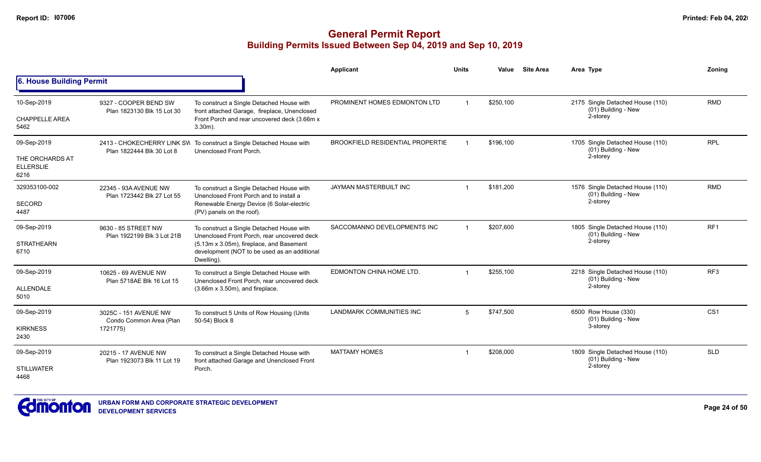|                                              |                                                     |                                                                                                                                                         | Applicant                               | <b>Units</b> | Value     | <b>Site Area</b> | Area Type                                                           | Zoning          |
|----------------------------------------------|-----------------------------------------------------|---------------------------------------------------------------------------------------------------------------------------------------------------------|-----------------------------------------|--------------|-----------|------------------|---------------------------------------------------------------------|-----------------|
| 6. House Building Permit                     |                                                     |                                                                                                                                                         |                                         |              |           |                  |                                                                     |                 |
| 10-Sep-2019<br><b>CHAPPELLE AREA</b><br>5462 | 9327 - COOPER BEND SW<br>Plan 1823130 Blk 15 Lot 30 | To construct a Single Detached House with<br>front attached Garage, fireplace, Unenclosed<br>Front Porch and rear uncovered deck (3.66m x<br>$3.30m$ ). | PROMINENT HOMES EDMONTON LTD            |              | \$250,100 |                  | 2175 Single Detached House (110)<br>(01) Building - New<br>2-storey | <b>RMD</b>      |
|                                              |                                                     |                                                                                                                                                         |                                         |              |           |                  |                                                                     |                 |
| 09-Sep-2019                                  | Plan 1822444 Blk 30 Lot 8                           | 2413 - CHOKECHERRY LINK SW To construct a Single Detached House with<br>Unenclosed Front Porch.                                                         | <b>BROOKFIELD RESIDENTIAL PROPERTIE</b> |              | \$196,100 |                  | 1705 Single Detached House (110)<br>(01) Building - New             | <b>RPL</b>      |
| THE ORCHARDS AT<br><b>ELLERSLIE</b><br>6216  |                                                     |                                                                                                                                                         |                                         |              |           |                  | 2-storey                                                            |                 |
| 329353100-002                                | 22345 - 93A AVENUE NW<br>Plan 1723442 Blk 27 Lot 55 | To construct a Single Detached House with<br>Unenclosed Front Porch and to install a                                                                    | JAYMAN MASTERBUILT INC                  |              | \$181,200 |                  | 1576 Single Detached House (110)<br>(01) Building - New             | <b>RMD</b>      |
| SECORD<br>4487                               |                                                     | Renewable Energy Device (6 Solar-electric<br>(PV) panels on the roof).                                                                                  |                                         |              |           | 2-storey         |                                                                     |                 |
| 09-Sep-2019                                  | 9630 - 85 STREET NW<br>Plan 1922199 Blk 3 Lot 21B   | To construct a Single Detached House with<br>Unenclosed Front Porch, rear uncovered deck                                                                | SACCOMANNO DEVELOPMENTS INC             |              | \$207,600 |                  | 1805 Single Detached House (110)<br>(01) Building - New             | RF <sub>1</sub> |
| <b>STRATHEARN</b><br>6710                    |                                                     | (5.13m x 3.05m), fireplace, and Basement<br>development (NOT to be used as an additional<br>Dwelling).                                                  |                                         | 2-storey     |           |                  |                                                                     |                 |
| 09-Sep-2019                                  | 10625 - 69 AVENUE NW<br>Plan 5718AE Blk 16 Lot 15   | To construct a Single Detached House with<br>Unenclosed Front Porch, rear uncovered deck                                                                | EDMONTON CHINA HOME LTD.                |              | \$255.100 |                  | 2218 Single Detached House (110)<br>(01) Building - New             | RF <sub>3</sub> |
| ALLENDALE<br>5010                            |                                                     | $(3.66m \times 3.50m)$ , and fireplace.                                                                                                                 |                                         |              |           |                  | 2-storey                                                            |                 |
| 09-Sep-2019                                  | 3025C - 151 AVENUE NW<br>Condo Common Area (Plan    | To construct 5 Units of Row Housing (Units<br>50-54) Block 8                                                                                            | <b>LANDMARK COMMUNITIES INC</b>         | 5            | \$747,500 |                  | 6500 Row House (330)<br>(01) Building - New                         | CS <sub>1</sub> |
| <b>KIRKNESS</b><br>2430                      | 1721775)                                            |                                                                                                                                                         |                                         |              |           |                  | 3-storey                                                            |                 |
| 09-Sep-2019                                  | 20215 - 17 AVENUE NW<br>Plan 1923073 Blk 11 Lot 19  | To construct a Single Detached House with<br>front attached Garage and Unenclosed Front                                                                 | <b>MATTAMY HOMES</b>                    |              | \$208,000 |                  | 1809 Single Detached House (110)<br>(01) Building - New             | <b>SLD</b>      |
| <b>STILLWATER</b><br>4468                    |                                                     | Porch.                                                                                                                                                  |                                         |              |           |                  | 2-storey                                                            |                 |

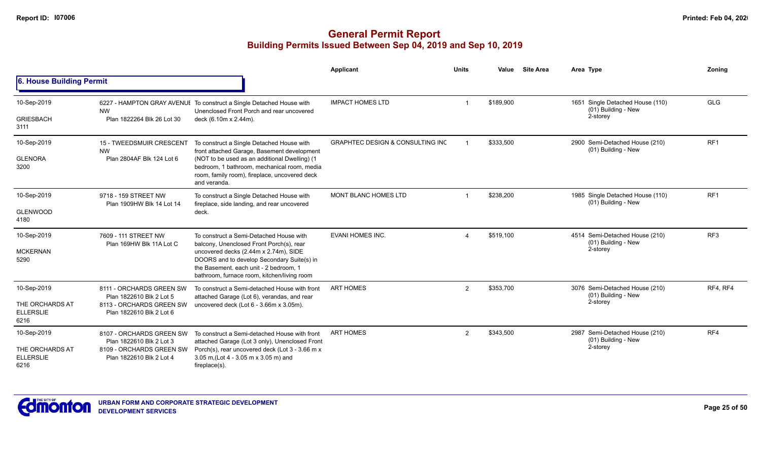|                                                            |                                                                                                              |                                                                                                                                                                                                                                                                     | <b>Applicant</b>                            | <b>Units</b>          | Value     | <b>Site Area</b> | Area Type                                                           | Zonina          |
|------------------------------------------------------------|--------------------------------------------------------------------------------------------------------------|---------------------------------------------------------------------------------------------------------------------------------------------------------------------------------------------------------------------------------------------------------------------|---------------------------------------------|-----------------------|-----------|------------------|---------------------------------------------------------------------|-----------------|
| 6. House Building Permit                                   |                                                                                                              |                                                                                                                                                                                                                                                                     |                                             |                       |           |                  |                                                                     |                 |
| 10-Sep-2019<br><b>GRIESBACH</b><br>3111                    | <b>NW</b><br>Plan 1822264 Blk 26 Lot 30                                                                      | 6227 - HAMPTON GRAY AVENUE To construct a Single Detached House with<br>Unenclosed Front Porch and rear uncovered<br>deck (6.10m x 2.44m).                                                                                                                          | <b>IMPACT HOMES LTD</b>                     |                       | \$189,900 |                  | 1651 Single Detached House (110)<br>(01) Building - New<br>2-storey | <b>GLG</b>      |
| 10-Sep-2019<br><b>GLENORA</b><br>3200                      | 15 - TWEEDSMUIR CRESCENT<br><b>NW</b><br>Plan 2804AF Blk 124 Lot 6                                           | To construct a Single Detached House with<br>front attached Garage, Basement development<br>(NOT to be used as an additional Dwelling) (1<br>bedroom, 1 bathroom, mechanical room, media<br>room, family room), fireplace, uncovered deck<br>and veranda.           | <b>GRAPHTEC DESIGN &amp; CONSULTING INC</b> |                       | \$333,500 |                  | 2900 Semi-Detached House (210)<br>(01) Building - New               | RF <sub>1</sub> |
| 10-Sep-2019<br><b>GLENWOOD</b><br>4180                     | 9718 - 159 STREET NW<br>Plan 1909HW Blk 14 Lot 14                                                            | To construct a Single Detached House with<br>fireplace, side landing, and rear uncovered<br>deck.                                                                                                                                                                   | <b>MONT BLANC HOMES LTD</b>                 |                       | \$238,200 |                  | 1985 Single Detached House (110)<br>(01) Building - New             | RF <sub>1</sub> |
| 10-Sep-2019<br><b>MCKERNAN</b><br>5290                     | 7609 - 111 STREET NW<br>Plan 169HW Blk 11A Lot C                                                             | To construct a Semi-Detached House with<br>balcony, Unenclosed Front Porch(s), rear<br>uncovered decks (2.44m x 2.74m), SIDE<br>DOORS and to develop Secondary Suite(s) in<br>the Basement, each unit - 2 bedroom, 1<br>bathroom, furnace room, kitchen/living room | <b>EVANI HOMES INC.</b>                     | $\boldsymbol{\Delta}$ | \$519,100 |                  | 4514 Semi-Detached House (210)<br>(01) Building - New<br>2-storey   | RF <sub>3</sub> |
| 10-Sep-2019<br>THE ORCHARDS AT<br><b>ELLERSLIE</b><br>6216 | 8111 - ORCHARDS GREEN SW<br>Plan 1822610 Blk 2 Lot 5<br>8113 - ORCHARDS GREEN SW<br>Plan 1822610 Blk 2 Lot 6 | To construct a Semi-detached House with front<br>attached Garage (Lot 6), verandas, and rear<br>uncovered deck (Lot 6 - 3.66m x 3.05m).                                                                                                                             | <b>ART HOMES</b>                            | $\overline{2}$        | \$353,700 |                  | 3076 Semi-Detached House (210)<br>(01) Building - New<br>2-storey   | RF4, RF4        |
| 10-Sep-2019<br>THE ORCHARDS AT<br><b>ELLERSLIE</b><br>6216 | 8107 - ORCHARDS GREEN SW<br>Plan 1822610 Blk 2 Lot 3<br>8109 - ORCHARDS GREEN SW<br>Plan 1822610 Blk 2 Lot 4 | To construct a Semi-detached House with front<br>attached Garage (Lot 3 only), Unenclosed Front<br>Porch(s), rear uncovered deck (Lot 3 - 3.66 m x<br>3.05 m, (Lot 4 - 3.05 m x 3.05 m) and<br>$fireplace(s)$ .                                                     | <b>ART HOMES</b>                            | $\overline{2}$        | \$343,500 |                  | 2987 Semi-Detached House (210)<br>(01) Building - New<br>2-storey   | RF4             |

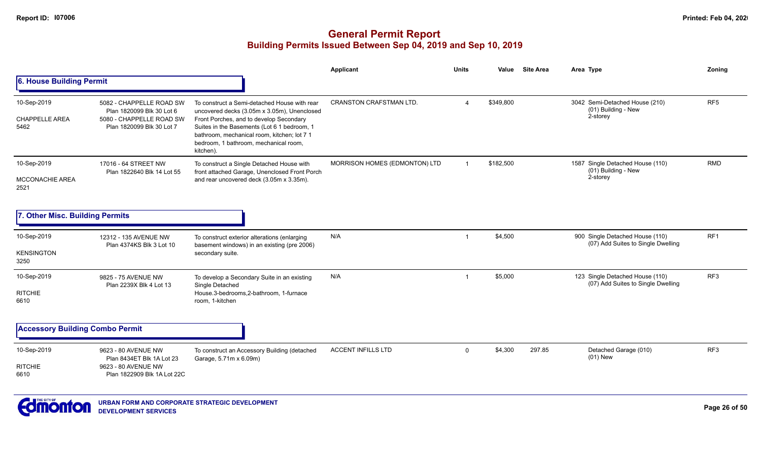#### **General Permit Report Building Permits Issued Between Sep 04, 2019 and Sep 10, 2019**

|                                              |                                                                                                                |                                                                                                                                                                                                                                                                                            | <b>Applicant</b>               | <b>Units</b>   | Value     | <b>Site Area</b> | Area Type                                                             | Zoning          |
|----------------------------------------------|----------------------------------------------------------------------------------------------------------------|--------------------------------------------------------------------------------------------------------------------------------------------------------------------------------------------------------------------------------------------------------------------------------------------|--------------------------------|----------------|-----------|------------------|-----------------------------------------------------------------------|-----------------|
| 6. House Building Permit                     |                                                                                                                |                                                                                                                                                                                                                                                                                            |                                |                |           |                  |                                                                       |                 |
| 10-Sep-2019<br><b>CHAPPELLE AREA</b><br>5462 | 5082 - CHAPPELLE ROAD SW<br>Plan 1820099 Blk 30 Lot 6<br>5080 - CHAPPELLE ROAD SW<br>Plan 1820099 Blk 30 Lot 7 | To construct a Semi-detached House with rear<br>uncovered decks (3.05m x 3.05m), Unenclosed<br>Front Porches, and to develop Secondary<br>Suites in the Basements (Lot 6 1 bedroom, 1<br>bathroom, mechanical room, kitchen; lot 7 1<br>bedroom, 1 bathroom, mechanical room,<br>kitchen). | <b>CRANSTON CRAFSTMAN LTD.</b> | $\Delta$       | \$349,800 |                  | 3042 Semi-Detached House (210)<br>(01) Building - New<br>2-storey     | RF <sub>5</sub> |
| 10-Sep-2019<br>MCCONACHIE AREA<br>2521       | 17016 - 64 STREET NW<br>Plan 1822640 Blk 14 Lot 55                                                             | To construct a Single Detached House with<br>front attached Garage, Unenclosed Front Porch<br>and rear uncovered deck (3.05m x 3.35m).                                                                                                                                                     | MORRISON HOMES (EDMONTON) LTD  | $\overline{1}$ | \$182,500 |                  | 1587 Single Detached House (110)<br>(01) Building - New<br>2-storey   | <b>RMD</b>      |
| 7. Other Misc. Building Permits              |                                                                                                                |                                                                                                                                                                                                                                                                                            |                                |                |           |                  |                                                                       |                 |
| 10-Sep-2019<br><b>KENSINGTON</b><br>3250     | 12312 - 135 AVENUE NW<br>Plan 4374KS Blk 3 Lot 10                                                              | To construct exterior alterations (enlarging<br>basement windows) in an existing (pre 2006)<br>secondary suite.                                                                                                                                                                            | N/A                            | -1             | \$4,500   |                  | 900 Single Detached House (110)<br>(07) Add Suites to Single Dwelling | RF <sub>1</sub> |
| 10-Sep-2019<br><b>RITCHIE</b><br>6610        | 9825 - 75 AVENUE NW<br>Plan 2239X Blk 4 Lot 13                                                                 | To develop a Secondary Suite in an existing<br>Single Detached<br>House.3-bedrooms,2-bathroom, 1-furnace<br>room, 1-kitchen                                                                                                                                                                | N/A                            | $\overline{1}$ | \$5,000   |                  | 123 Single Detached House (110)<br>(07) Add Suites to Single Dwelling | RF <sub>3</sub> |
| <b>Accessory Building Combo Permit</b>       |                                                                                                                |                                                                                                                                                                                                                                                                                            |                                |                |           |                  |                                                                       |                 |
| 10-Sep-2019<br><b>RITCHIE</b><br>6610        | 9623 - 80 AVENUE NW<br>Plan 8434ET Blk 1A Lot 23<br>9623 - 80 AVENUE NW<br>Plan 1822909 Blk 1A Lot 22C         | To construct an Accessory Building (detached<br>Garage, 5.71m x 6.09m)                                                                                                                                                                                                                     | <b>ACCENT INFILLS LTD</b>      | $\mathbf{0}$   | \$4,300   | 297.85           | Detached Garage (010)<br>$(01)$ New                                   | RF3             |



**Page 26 of 50**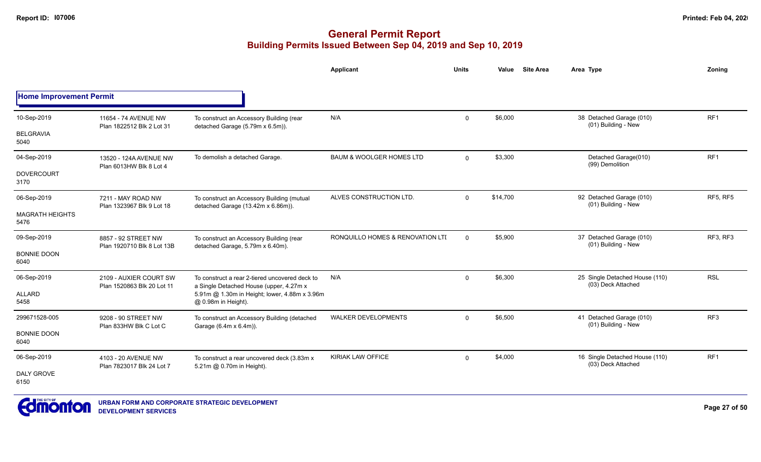|                                |                                                      |                                                                                           | <b>Applicant</b>                    | <b>Units</b> | <b>Site Area</b><br>Value | Area Type                                            | Zoning                                                                   |
|--------------------------------|------------------------------------------------------|-------------------------------------------------------------------------------------------|-------------------------------------|--------------|---------------------------|------------------------------------------------------|--------------------------------------------------------------------------|
| <b>Home Improvement Permit</b> |                                                      |                                                                                           |                                     |              |                           |                                                      |                                                                          |
| 10-Sep-2019                    | 11654 - 74 AVENUE NW<br>Plan 1822512 Blk 2 Lot 31    | To construct an Accessory Building (rear<br>detached Garage (5.79m x 6.5m)).              | N/A                                 | $\Omega$     | \$6,000                   | 38 Detached Garage (010)<br>(01) Building - New      | RF <sub>1</sub>                                                          |
| <b>BELGRAVIA</b><br>5040       |                                                      |                                                                                           |                                     |              |                           |                                                      | RF <sub>1</sub><br>RF5, RF5<br>RF3, RF3<br><b>RSL</b><br>RF <sub>3</sub> |
| 04-Sep-2019                    | 13520 - 124A AVENUE NW<br>Plan 6013HW Blk 8 Lot 4    | To demolish a detached Garage.                                                            | <b>BAUM &amp; WOOLGER HOMES LTD</b> | $\Omega$     | \$3,300                   | Detached Garage(010)<br>(99) Demolition              |                                                                          |
| <b>DOVERCOURT</b><br>3170      |                                                      |                                                                                           |                                     |              |                           |                                                      |                                                                          |
| 06-Sep-2019                    | 7211 - MAY ROAD NW<br>Plan 1323967 Blk 9 Lot 18      | To construct an Accessory Building (mutual<br>detached Garage (13.42m x 6.86m)).          | ALVES CONSTRUCTION LTD.             | $\Omega$     | \$14,700                  | 92 Detached Garage (010)<br>(01) Building - New      |                                                                          |
| <b>MAGRATH HEIGHTS</b><br>5476 |                                                      |                                                                                           |                                     |              |                           |                                                      |                                                                          |
| 09-Sep-2019                    | 8857 - 92 STREET NW<br>Plan 1920710 Blk 8 Lot 13B    | To construct an Accessory Building (rear<br>detached Garage, 5.79m x 6.40m).              | RONQUILLO HOMES & RENOVATION LTI    | $\Omega$     | \$5,900                   | 37 Detached Garage (010)<br>(01) Building - New      |                                                                          |
| <b>BONNIE DOON</b><br>6040     |                                                      |                                                                                           |                                     |              |                           |                                                      |                                                                          |
| 06-Sep-2019                    | 2109 - AUXIER COURT SW<br>Plan 1520863 Blk 20 Lot 11 | To construct a rear 2-tiered uncovered deck to<br>a Single Detached House (upper, 4.27m x | N/A                                 | 0            | \$6,300                   | 25 Single Detached House (110)<br>(03) Deck Attached |                                                                          |
| ALLARD<br>5458                 |                                                      | 5.91m @ 1.30m in Height; lower, 4.88m x 3.96m<br>@ 0.98m in Height).                      |                                     |              |                           |                                                      |                                                                          |
| 299671528-005                  | 9208 - 90 STREET NW                                  | To construct an Accessory Building (detached<br>Garage (6.4m x 6.4m)).                    | <b>WALKER DEVELOPMENTS</b>          | $\mathbf 0$  | \$6,500                   | 41 Detached Garage (010)<br>(01) Building - New      |                                                                          |
| <b>BONNIE DOON</b><br>6040     | Plan 833HW Blk C Lot C                               |                                                                                           |                                     |              |                           |                                                      |                                                                          |
| 06-Sep-2019                    | 4103 - 20 AVENUE NW<br>Plan 7823017 Blk 24 Lot 7     | To construct a rear uncovered deck (3.83m x)<br>5.21m @ 0.70m in Height).                 | <b>KIRIAK LAW OFFICE</b>            | 0            | \$4,000                   | 16 Single Detached House (110)<br>(03) Deck Attached | RF <sub>1</sub>                                                          |
| <b>DALY GROVE</b><br>6150      |                                                      |                                                                                           |                                     |              |                           |                                                      |                                                                          |

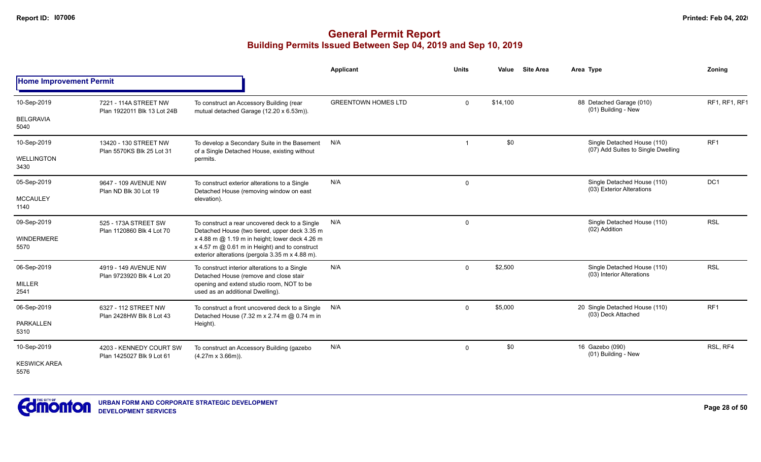|                                |                                                      |                                                                                                                                                    | Applicant                  | <b>Units</b> | Value    | <b>Site Area</b> | Area Type                                                         | Zoning          |
|--------------------------------|------------------------------------------------------|----------------------------------------------------------------------------------------------------------------------------------------------------|----------------------------|--------------|----------|------------------|-------------------------------------------------------------------|-----------------|
| <b>Home Improvement Permit</b> |                                                      |                                                                                                                                                    |                            |              |          |                  |                                                                   |                 |
| 10-Sep-2019                    | 7221 - 114A STREET NW<br>Plan 1922011 Blk 13 Lot 24B | To construct an Accessory Building (rear<br>mutual detached Garage (12.20 x 6.53m)).                                                               | <b>GREENTOWN HOMES LTD</b> | $\Omega$     | \$14,100 |                  | 88 Detached Garage (010)<br>(01) Building - New                   | RF1, RF1, RF1   |
| <b>BELGRAVIA</b><br>5040       |                                                      |                                                                                                                                                    |                            |              |          |                  |                                                                   |                 |
| 10-Sep-2019                    | 13420 - 130 STREET NW<br>Plan 5570KS Blk 25 Lot 31   | To develop a Secondary Suite in the Basement<br>of a Single Detached House, existing without                                                       | N/A                        |              | \$0      |                  | Single Detached House (110)<br>(07) Add Suites to Single Dwelling | RF <sub>1</sub> |
| <b>WELLINGTON</b><br>3430      |                                                      | permits.                                                                                                                                           |                            |              |          |                  |                                                                   |                 |
| 05-Sep-2019                    | 9647 - 109 AVENUE NW<br>Plan ND Blk 30 Lot 19        | To construct exterior alterations to a Single<br>Detached House (removing window on east                                                           | N/A                        | 0            |          |                  | Single Detached House (110)<br>(03) Exterior Alterations          | DC <sub>1</sub> |
| <b>MCCAULEY</b><br>1140        |                                                      | elevation).                                                                                                                                        |                            |              |          |                  |                                                                   |                 |
| 09-Sep-2019                    | 525 - 173A STREET SW                                 | To construct a rear uncovered deck to a Single<br>Detached House (two tiered, upper deck 3.35 m                                                    | N/A                        | 0            |          |                  | Single Detached House (110)<br>(02) Addition                      | <b>RSL</b>      |
| <b>WINDERMERE</b><br>5570      | Plan 1120860 Blk 4 Lot 70                            | x 4.88 m @ 1.19 m in height; lower deck 4.26 m<br>x 4.57 m @ 0.61 m in Height) and to construct<br>exterior alterations (pergola 3.35 m x 4.88 m). |                            |              |          |                  |                                                                   |                 |
| 06-Sep-2019                    | 4919 - 149 AVENUE NW<br>Plan 9723920 Blk 4 Lot 20    | To construct interior alterations to a Single<br>Detached House (remove and close stair                                                            | N/A                        | $\Omega$     | \$2,500  |                  | Single Detached House (110)<br>(03) Interior Alterations          | <b>RSL</b>      |
| <b>MILLER</b><br>2541          |                                                      | opening and extend studio room, NOT to be<br>used as an additional Dwelling).                                                                      |                            |              |          |                  |                                                                   |                 |
| 06-Sep-2019                    | 6327 - 112 STREET NW<br>Plan 2428HW Blk 8 Lot 43     | To construct a front uncovered deck to a Single<br>Detached House (7.32 m x 2.74 m @ 0.74 m in                                                     | N/A                        | $\mathbf 0$  | \$5,000  |                  | 20 Single Detached House (110)<br>(03) Deck Attached              | RF <sub>1</sub> |
| <b>PARKALLEN</b><br>5310       |                                                      | Height).                                                                                                                                           |                            |              |          |                  |                                                                   |                 |
| 10-Sep-2019                    | 4203 - KENNEDY COURT SW<br>Plan 1425027 Blk 9 Lot 61 | To construct an Accessory Building (gazebo<br>$(4.27m \times 3.66m)$ ).                                                                            | N/A                        | $\mathbf 0$  | \$0      |                  | 16 Gazebo (090)<br>(01) Building - New                            | RSL, RF4        |
| <b>KESWICK AREA</b><br>5576    |                                                      |                                                                                                                                                    |                            |              |          |                  |                                                                   |                 |

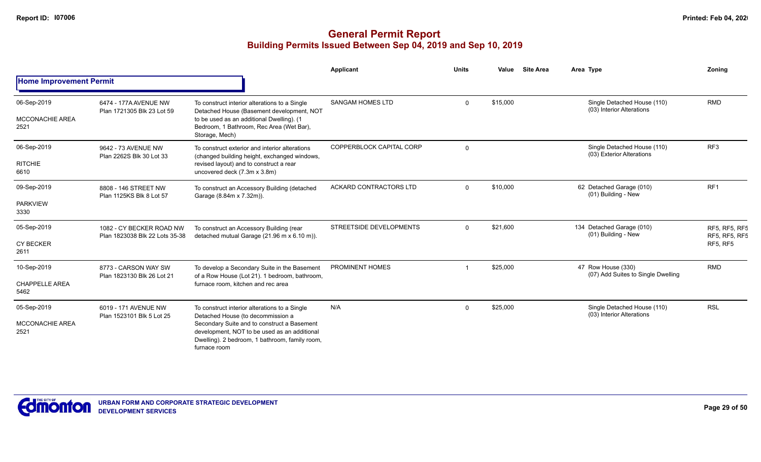|                                               |                                                            |                                                                                                                                                                                                                                                     | Applicant                | <b>Units</b> | Value    | <b>Site Area</b> | Area Type                                                | Zoning                                                   |
|-----------------------------------------------|------------------------------------------------------------|-----------------------------------------------------------------------------------------------------------------------------------------------------------------------------------------------------------------------------------------------------|--------------------------|--------------|----------|------------------|----------------------------------------------------------|----------------------------------------------------------|
| <b>Home Improvement Permit</b>                |                                                            |                                                                                                                                                                                                                                                     |                          |              |          |                  |                                                          |                                                          |
| 06-Sep-2019<br><b>MCCONACHIE AREA</b><br>2521 | 6474 - 177A AVENUE NW<br>Plan 1721305 Blk 23 Lot 59        | To construct interior alterations to a Single<br>Detached House (Basement development, NOT<br>to be used as an additional Dwelling). (1<br>Bedroom, 1 Bathroom, Rec Area (Wet Bar),<br>Storage, Mech)                                               | <b>SANGAM HOMES LTD</b>  | $\Omega$     | \$15,000 |                  | Single Detached House (110)<br>(03) Interior Alterations | <b>RMD</b>                                               |
| 06-Sep-2019<br><b>RITCHIE</b><br>6610         | 9642 - 73 AVENUE NW<br>Plan 2262S Blk 30 Lot 33            | To construct exterior and interior alterations<br>(changed building height, exchanged windows,<br>revised layout) and to construct a rear<br>uncovered deck (7.3m x 3.8m)                                                                           | COPPERBLOCK CAPITAL CORP | $\mathbf 0$  |          |                  | Single Detached House (110)<br>(03) Exterior Alterations | RF <sub>3</sub>                                          |
| 09-Sep-2019<br><b>PARKVIEW</b><br>3330        | 8808 - 146 STREET NW<br>Plan 1125KS Blk 8 Lot 57           | To construct an Accessory Building (detached<br>Garage (8.84m x 7.32m)).                                                                                                                                                                            | ACKARD CONTRACTORS LTD   | $\Omega$     | \$10,000 |                  | 62 Detached Garage (010)<br>(01) Building - New          | RF <sub>1</sub>                                          |
| 05-Sep-2019<br><b>CY BECKER</b><br>2611       | 1082 - CY BECKER ROAD NW<br>Plan 1823038 Blk 22 Lots 35-38 | To construct an Accessory Building (rear<br>detached mutual Garage (21.96 m x 6.10 m)).                                                                                                                                                             | STREETSIDE DEVELOPMENTS  | $\Omega$     | \$21,600 |                  | 134 Detached Garage (010)<br>(01) Building - New         | <b>RF5. RF5. RF5</b><br>RF5, RF5, RF5<br><b>RF5, RF5</b> |
| 10-Sep-2019<br><b>CHAPPELLE AREA</b><br>5462  | 8773 - CARSON WAY SW<br>Plan 1823130 Blk 26 Lot 21         | To develop a Secondary Suite in the Basement<br>of a Row House (Lot 21). 1 bedroom, bathroom,<br>furnace room, kitchen and rec area                                                                                                                 | PROMINENT HOMES          |              | \$25,000 |                  | 47 Row House (330)<br>(07) Add Suites to Single Dwelling | <b>RMD</b>                                               |
| 05-Sep-2019<br><b>MCCONACHIE AREA</b><br>2521 | 6019 - 171 AVENUE NW<br>Plan 1523101 Blk 5 Lot 25          | To construct interior alterations to a Single<br>Detached House (to decommission a<br>Secondary Suite and to construct a Basement<br>development, NOT to be used as an additional<br>Dwelling). 2 bedroom, 1 bathroom, family room,<br>furnace room | N/A                      | $\Omega$     | \$25,000 |                  | Single Detached House (110)<br>(03) Interior Alterations | <b>RSL</b>                                               |

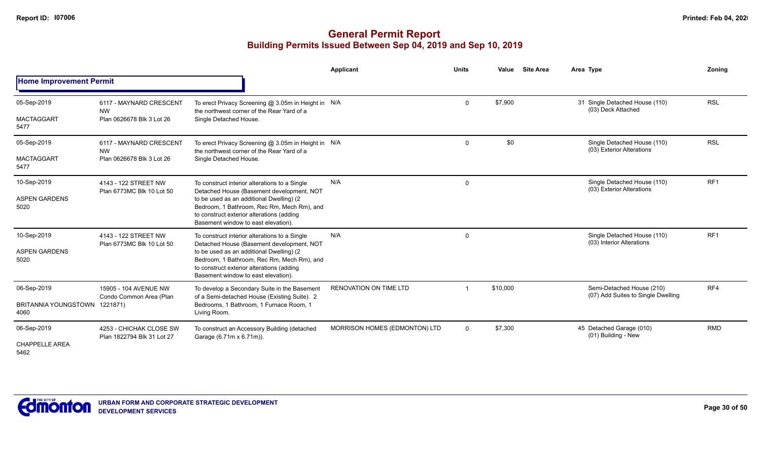|                                                      |                                                                   |                                                                                                                                                                                                                                                                          | Applicant                     | <b>Units</b>   | Value    | <b>Site Area</b> | Area Type                                                       | <b>Zoning</b>   |
|------------------------------------------------------|-------------------------------------------------------------------|--------------------------------------------------------------------------------------------------------------------------------------------------------------------------------------------------------------------------------------------------------------------------|-------------------------------|----------------|----------|------------------|-----------------------------------------------------------------|-----------------|
| <b>Home Improvement Permit</b>                       |                                                                   |                                                                                                                                                                                                                                                                          |                               |                |          |                  |                                                                 |                 |
| 05-Sep-2019<br><b>MACTAGGART</b><br>5477             | 6117 - MAYNARD CRESCENT<br><b>NW</b><br>Plan 0626678 Blk 3 Lot 26 | To erect Privacy Screening @ 3.05m in Height in N/A<br>the northwest corner of the Rear Yard of a<br>Single Detached House.                                                                                                                                              |                               | $\mathbf 0$    | \$7,900  |                  | 31 Single Detached House (110)<br>(03) Deck Attached            | <b>RSL</b>      |
| 05-Sep-2019<br><b>MACTAGGART</b><br>5477             | 6117 - MAYNARD CRESCENT<br><b>NW</b><br>Plan 0626678 Blk 3 Lot 26 | To erect Privacy Screening @ 3.05m in Height in N/A<br>the northwest corner of the Rear Yard of a<br>Single Detached House.                                                                                                                                              |                               | $\overline{0}$ | \$0      |                  | Single Detached House (110)<br>(03) Exterior Alterations        | <b>RSL</b>      |
| 10-Sep-2019<br><b>ASPEN GARDENS</b><br>5020          | 4143 - 122 STREET NW<br>Plan 6773MC Blk 10 Lot 50                 | To construct interior alterations to a Single<br>Detached House (Basement development, NOT<br>to be used as an additional Dwelling) (2<br>Bedroom, 1 Bathroom, Rec Rm, Mech Rm), and<br>to construct exterior alterations (adding<br>Basement window to east elevation). | N/A                           | $\mathbf 0$    |          |                  | Single Detached House (110)<br>(03) Exterior Alterations        | RF <sub>1</sub> |
| 10-Sep-2019<br><b>ASPEN GARDENS</b><br>5020          | 4143 - 122 STREET NW<br>Plan 6773MC Blk 10 Lot 50                 | To construct interior alterations to a Single<br>Detached House (Basement development, NOT<br>to be used as an additional Dwelling) (2<br>Bedroom, 1 Bathroom, Rec Rm, Mech Rm), and<br>to construct exterior alterations (adding<br>Basement window to east elevation). | N/A                           | $\mathbf 0$    |          |                  | Single Detached House (110)<br>(03) Interior Alterations        | RF <sub>1</sub> |
| 06-Sep-2019<br>BRITANNIA YOUNGSTOWN 1221871)<br>4060 | 15905 - 104 AVENUE NW<br>Condo Common Area (Plan                  | To develop a Secondary Suite in the Basement<br>of a Semi-detached House (Existing Suite). 2<br>Bedrooms, 1 Bathroom, 1 Furnace Room, 1<br>Living Room.                                                                                                                  | RENOVATION ON TIME LTD        |                | \$10,000 |                  | Semi-Detached House (210)<br>(07) Add Suites to Single Dwelling | RF4             |
| 06-Sep-2019<br><b>CHAPPELLE AREA</b><br>5462         | 4253 - CHICHAK CLOSE SW<br>Plan 1822794 Blk 31 Lot 27             | To construct an Accessory Building (detached<br>Garage (6.71m x 6.71m)).                                                                                                                                                                                                 | MORRISON HOMES (EDMONTON) LTD | $\mathbf 0$    | \$7,300  |                  | 45 Detached Garage (010)<br>(01) Building - New                 | <b>RMD</b>      |

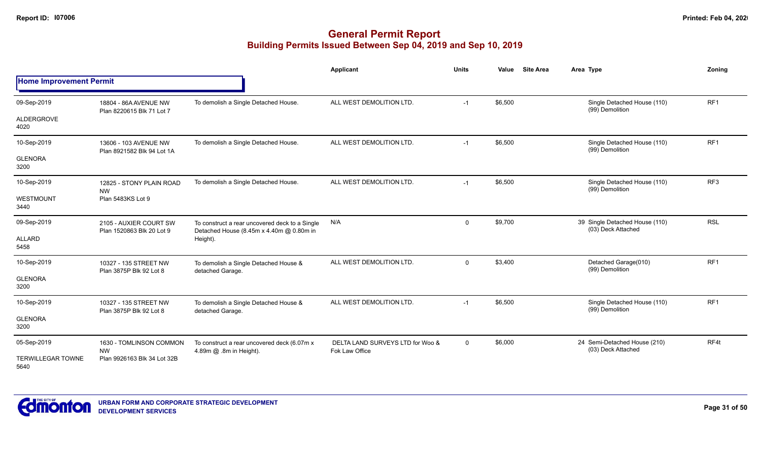|                                  |                                                     |                                                                                            | <b>Applicant</b>                                   | <b>Units</b>   | <b>Site Area</b><br>Value | Area Type                                            | Zoning          |
|----------------------------------|-----------------------------------------------------|--------------------------------------------------------------------------------------------|----------------------------------------------------|----------------|---------------------------|------------------------------------------------------|-----------------|
| <b>Home Improvement Permit</b>   |                                                     |                                                                                            |                                                    |                |                           |                                                      |                 |
| 09-Sep-2019                      | 18804 - 86A AVENUE NW<br>Plan 8220615 Blk 71 Lot 7  | To demolish a Single Detached House.                                                       | ALL WEST DEMOLITION LTD.                           | $-1$           | \$6,500                   | Single Detached House (110)<br>(99) Demolition       | RF1             |
| <b>ALDERGROVE</b><br>4020        |                                                     |                                                                                            |                                                    |                |                           |                                                      |                 |
| 10-Sep-2019                      | 13606 - 103 AVENUE NW<br>Plan 8921582 Blk 94 Lot 1A | To demolish a Single Detached House.                                                       | ALL WEST DEMOLITION LTD.                           | $-1$           | \$6,500                   | Single Detached House (110)<br>(99) Demolition       | RF1             |
| <b>GLENORA</b><br>3200           |                                                     |                                                                                            |                                                    |                |                           |                                                      |                 |
| 10-Sep-2019                      | 12825 - STONY PLAIN ROAD<br><b>NW</b>               | To demolish a Single Detached House.                                                       | ALL WEST DEMOLITION LTD.                           | $-1$           | \$6,500                   | Single Detached House (110)<br>(99) Demolition       | RF3             |
| WESTMOUNT<br>3440                | Plan 5483KS Lot 9                                   |                                                                                            |                                                    |                |                           |                                                      |                 |
| 09-Sep-2019                      | 2105 - AUXIER COURT SW<br>Plan 1520863 Blk 20 Lot 9 | To construct a rear uncovered deck to a Single<br>Detached House (8.45m x 4.40m @ 0.80m in | N/A                                                | $\mathbf 0$    | \$9,700                   | 39 Single Detached House (110)<br>(03) Deck Attached | <b>RSL</b>      |
| <b>ALLARD</b><br>5458            |                                                     | Height).                                                                                   |                                                    |                |                           |                                                      |                 |
| 10-Sep-2019                      | 10327 - 135 STREET NW<br>Plan 3875P Blk 92 Lot 8    | To demolish a Single Detached House &<br>detached Garage.                                  | ALL WEST DEMOLITION LTD.                           | $\mathbf{0}$   | \$3,400                   | Detached Garage(010)<br>(99) Demolition              | RF <sub>1</sub> |
| <b>GLENORA</b><br>3200           |                                                     |                                                                                            |                                                    |                |                           |                                                      |                 |
| 10-Sep-2019                      | 10327 - 135 STREET NW<br>Plan 3875P Blk 92 Lot 8    | To demolish a Single Detached House &<br>detached Garage.                                  | ALL WEST DEMOLITION LTD.                           | $-1$           | \$6,500                   | Single Detached House (110)<br>(99) Demolition       | RF1             |
| <b>GLENORA</b><br>3200           |                                                     |                                                                                            |                                                    |                |                           |                                                      |                 |
| 05-Sep-2019                      | 1630 - TOMLINSON COMMON<br><b>NW</b>                | To construct a rear uncovered deck (6.07m x<br>4.89m @ .8m in Height).                     | DELTA LAND SURVEYS LTD for Woo &<br>Fok Law Office | $\overline{0}$ | \$6,000                   | 24 Semi-Detached House (210)<br>(03) Deck Attached   | RF4t            |
| <b>TERWILLEGAR TOWNE</b><br>5640 | Plan 9926163 Blk 34 Lot 32B                         |                                                                                            |                                                    |                |                           |                                                      |                 |

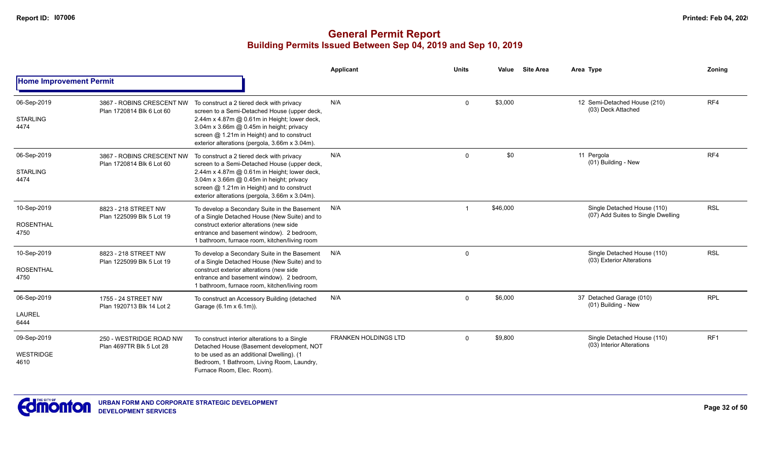|                                         |                                                        |                                                                                                                                                                                                                                                                                       | Applicant                   | <b>Units</b> | Value    | <b>Site Area</b> | Area Type                                                         | Zoning          |
|-----------------------------------------|--------------------------------------------------------|---------------------------------------------------------------------------------------------------------------------------------------------------------------------------------------------------------------------------------------------------------------------------------------|-----------------------------|--------------|----------|------------------|-------------------------------------------------------------------|-----------------|
| <b>Home Improvement Permit</b>          |                                                        |                                                                                                                                                                                                                                                                                       |                             |              |          |                  |                                                                   |                 |
| 06-Sep-2019<br><b>STARLING</b><br>4474  | 3867 - ROBINS CRESCENT NW<br>Plan 1720814 Blk 6 Lot 60 | To construct a 2 tiered deck with privacy<br>screen to a Semi-Detached House (upper deck,<br>2.44m x 4.87m @ 0.61m in Height; lower deck,<br>3.04m x 3.66m @ 0.45m in height; privacy<br>screen @ 1.21m in Height) and to construct<br>exterior alterations (pergola, 3.66m x 3.04m). | N/A                         | $\Omega$     | \$3,000  |                  | 12 Semi-Detached House (210)<br>(03) Deck Attached                | RF4             |
| 06-Sep-2019<br><b>STARLING</b><br>4474  | 3867 - ROBINS CRESCENT NW<br>Plan 1720814 Blk 6 Lot 60 | To construct a 2 tiered deck with privacy<br>screen to a Semi-Detached House (upper deck,<br>2.44m x 4.87m @ 0.61m in Height; lower deck,<br>3.04m x 3.66m @ 0.45m in height; privacy<br>screen @ 1.21m in Height) and to construct<br>exterior alterations (pergola, 3.66m x 3.04m). | N/A                         | $\Omega$     | \$0      |                  | 11 Pergola<br>(01) Building - New                                 | RF4             |
| 10-Sep-2019<br><b>ROSENTHAL</b><br>4750 | 8823 - 218 STREET NW<br>Plan 1225099 Blk 5 Lot 19      | To develop a Secondary Suite in the Basement<br>of a Single Detached House (New Suite) and to<br>construct exterior alterations (new side<br>entrance and basement window). 2 bedroom,<br>1 bathroom, furnace room, kitchen/living room                                               | N/A                         | $\mathbf 1$  | \$46,000 |                  | Single Detached House (110)<br>(07) Add Suites to Single Dwelling | <b>RSL</b>      |
| 10-Sep-2019<br><b>ROSENTHAL</b><br>4750 | 8823 - 218 STREET NW<br>Plan 1225099 Blk 5 Lot 19      | To develop a Secondary Suite in the Basement<br>of a Single Detached House (New Suite) and to<br>construct exterior alterations (new side<br>entrance and basement window). 2 bedroom,<br>1 bathroom, furnace room, kitchen/living room                                               | N/A                         | $\mathbf 0$  |          |                  | Single Detached House (110)<br>(03) Exterior Alterations          | <b>RSL</b>      |
| 06-Sep-2019<br><b>LAUREL</b><br>6444    | 1755 - 24 STREET NW<br>Plan 1920713 Blk 14 Lot 2       | To construct an Accessory Building (detached<br>Garage (6.1m x 6.1m)).                                                                                                                                                                                                                | N/A                         | $\Omega$     | \$6,000  |                  | 37 Detached Garage (010)<br>(01) Building - New                   | <b>RPL</b>      |
| 09-Sep-2019<br><b>WESTRIDGE</b><br>4610 | 250 - WESTRIDGE ROAD NW<br>Plan 4697TR Blk 5 Lot 28    | To construct interior alterations to a Single<br>Detached House (Basement development, NOT<br>to be used as an additional Dwelling). (1<br>Bedroom, 1 Bathroom, Living Room, Laundry,<br>Furnace Room, Elec. Room).                                                                   | <b>FRANKEN HOLDINGS LTD</b> | $\Omega$     | \$9,800  |                  | Single Detached House (110)<br>(03) Interior Alterations          | RF <sub>1</sub> |

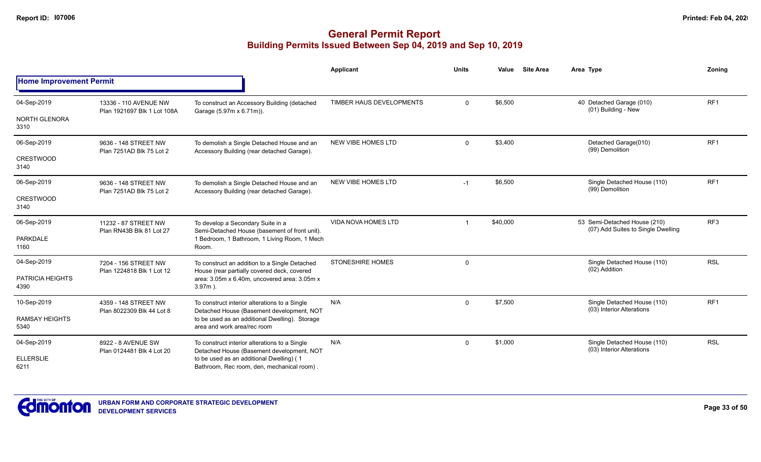|                                |                                                   |                                                                                              | <b>Applicant</b>           | <b>Units</b> | Value    | <b>Site Area</b> | Area Type                                                          | Zoning          |
|--------------------------------|---------------------------------------------------|----------------------------------------------------------------------------------------------|----------------------------|--------------|----------|------------------|--------------------------------------------------------------------|-----------------|
| <b>Home Improvement Permit</b> |                                                   |                                                                                              |                            |              |          |                  |                                                                    |                 |
| 04-Sep-2019                    | 13336 - 110 AVENUE NW                             | To construct an Accessory Building (detached                                                 | TIMBER HAUS DEVELOPMENTS   | $\mathbf{0}$ | \$6,500  |                  | 40 Detached Garage (010)<br>(01) Building - New                    | RF <sub>1</sub> |
| <b>NORTH GLENORA</b><br>3310   | Plan 1921697 Blk 1 Lot 108A                       | Garage (5.97m x 6.71m)).                                                                     |                            |              |          |                  |                                                                    |                 |
| 06-Sep-2019                    | 9636 - 148 STREET NW<br>Plan 7251AD Blk 75 Lot 2  | To demolish a Single Detached House and an<br>Accessory Building (rear detached Garage).     | NEW VIBE HOMES LTD         | $\mathbf{0}$ | \$3,400  |                  | Detached Garage(010)<br>(99) Demolition                            | RF <sub>1</sub> |
| <b>CRESTWOOD</b><br>3140       |                                                   |                                                                                              |                            |              |          |                  |                                                                    |                 |
| 06-Sep-2019                    | 9636 - 148 STREET NW<br>Plan 7251AD Blk 75 Lot 2  | To demolish a Single Detached House and an<br>Accessory Building (rear detached Garage).     | NEW VIBE HOMES LTD         | $-1$         | \$6,500  |                  | Single Detached House (110)<br>(99) Demolition                     | RF <sub>1</sub> |
| <b>CRESTWOOD</b><br>3140       |                                                   |                                                                                              |                            |              |          |                  |                                                                    |                 |
| 06-Sep-2019                    | 11232 - 87 STREET NW<br>Plan RN43B Blk 81 Lot 27  | To develop a Secondary Suite in a<br>Semi-Detached House (basement of front unit).           | <b>VIDA NOVA HOMES LTD</b> |              | \$40,000 |                  | 53 Semi-Detached House (210)<br>(07) Add Suites to Single Dwelling | RF <sub>3</sub> |
| <b>PARKDALE</b><br>1160        |                                                   | 1 Bedroom, 1 Bathroom, 1 Living Room, 1 Mech<br>Room.                                        |                            |              |          |                  |                                                                    |                 |
| 04-Sep-2019                    | 7204 - 156 STREET NW<br>Plan 1224818 Blk 1 Lot 12 | To construct an addition to a Single Detached<br>House (rear partially covered deck, covered | <b>STONESHIRE HOMES</b>    | $\mathbf 0$  |          |                  | Single Detached House (110)<br>(02) Addition                       | <b>RSL</b>      |
| PATRICIA HEIGHTS<br>4390       |                                                   | area: 3.05m x 6.40m, uncovered area: 3.05m x<br>$3.97m$ ).                                   |                            |              |          |                  |                                                                    |                 |
| 10-Sep-2019                    | 4359 - 148 STREET NW                              | To construct interior alterations to a Single<br>Detached House (Basement development, NOT   | N/A                        | $\mathbf 0$  | \$7,500  |                  | Single Detached House (110)<br>(03) Interior Alterations           | RF <sub>1</sub> |
| <b>RAMSAY HEIGHTS</b><br>5340  | Plan 8022309 Blk 44 Lot 8                         | to be used as an additional Dwelling). Storage<br>area and work area/rec room                |                            |              |          |                  |                                                                    |                 |
| 04-Sep-2019                    | 8922 - 8 AVENUE SW<br>Plan 0124481 Blk 4 Lot 20   | To construct interior alterations to a Single<br>Detached House (Basement development, NOT   | N/A                        | $\mathbf 0$  | \$1,000  |                  | Single Detached House (110)<br>(03) Interior Alterations           | <b>RSL</b>      |
| <b>ELLERSLIE</b><br>6211       |                                                   | to be used as an additional Dwelling) (1<br>Bathroom, Rec room, den, mechanical room).       |                            |              |          |                  |                                                                    |                 |

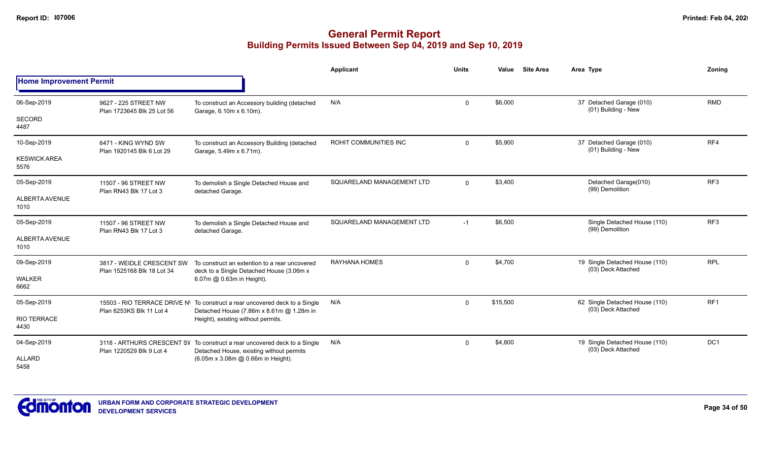|                                |                                                         |                                                                                                                         | <b>Applicant</b>          | <b>Units</b>   | Value    | <b>Site Area</b> | Area Type                                            | Zonina          |
|--------------------------------|---------------------------------------------------------|-------------------------------------------------------------------------------------------------------------------------|---------------------------|----------------|----------|------------------|------------------------------------------------------|-----------------|
| <b>Home Improvement Permit</b> |                                                         |                                                                                                                         |                           |                |          |                  |                                                      |                 |
| 06-Sep-2019                    | 9627 - 225 STREET NW<br>Plan 1723645 Blk 25 Lot 56      | To construct an Accessory building (detached<br>Garage, 6.10m x 6.10m).                                                 | N/A                       | $\mathbf 0$    | \$6,000  |                  | 37 Detached Garage (010)<br>(01) Building - New      | <b>RMD</b>      |
| SECORD<br>4487                 |                                                         |                                                                                                                         |                           |                |          |                  |                                                      |                 |
| 10-Sep-2019                    | 6471 - KING WYND SW<br>Plan 1920145 Blk 6 Lot 29        | To construct an Accessory Building (detached<br>Garage, 5.49m x 6.71m).                                                 | ROHIT COMMUNITIES INC     | $\Omega$       | \$5,900  |                  | 37 Detached Garage (010)<br>(01) Building - New      | RF4             |
| <b>KESWICK AREA</b><br>5576    |                                                         |                                                                                                                         |                           |                |          |                  |                                                      |                 |
| 05-Sep-2019                    | 11507 - 96 STREET NW<br>Plan RN43 Blk 17 Lot 3          | To demolish a Single Detached House and<br>detached Garage.                                                             | SQUARELAND MANAGEMENT LTD | $\overline{0}$ | \$3,400  |                  | Detached Garage(010)<br>(99) Demolition              | RF <sub>3</sub> |
| <b>ALBERTA AVENUE</b><br>1010  |                                                         |                                                                                                                         |                           |                |          |                  |                                                      |                 |
| 05-Sep-2019                    | 11507 - 96 STREET NW<br>Plan RN43 Blk 17 Lot 3          | To demolish a Single Detached House and<br>detached Garage.                                                             | SQUARELAND MANAGEMENT LTD | $-1$           | \$6,500  |                  | Single Detached House (110)<br>(99) Demolition       | RF <sub>3</sub> |
| <b>ALBERTA AVENUE</b><br>1010  |                                                         |                                                                                                                         |                           |                |          |                  |                                                      |                 |
| 09-Sep-2019                    | 3817 - WEIDLE CRESCENT SW<br>Plan 1525168 Blk 18 Lot 34 | To construct an extention to a rear uncovered<br>deck to a Single Detached House (3.06m x                               | RAYHANA HOMES             | $\mathbf 0$    | \$4,700  |                  | 19 Single Detached House (110)<br>(03) Deck Attached | <b>RPL</b>      |
| <b>WALKER</b><br>6662          |                                                         | 6.07m @ 0.63m in Height).                                                                                               |                           |                |          |                  |                                                      |                 |
| 05-Sep-2019                    | Plan 6253KS Blk 11 Lot 4                                | 15503 - RIO TERRACE DRIVE N' To construct a rear uncovered deck to a Single<br>Detached House (7.86m x 8.61m @ 1.28m in | N/A                       | $\mathbf 0$    | \$15,500 |                  | 62 Single Detached House (110)<br>(03) Deck Attached | RF1             |
| <b>RIO TERRACE</b><br>4430     |                                                         | Height), existing without permits.                                                                                      |                           |                |          |                  |                                                      |                 |
| 04-Sep-2019                    | Plan 1220529 Blk 9 Lot 4                                | 3118 - ARTHURS CRESCENT SV To construct a rear uncovered deck to a Single<br>Detached House, existing without permits   | N/A                       | $\mathbf 0$    | \$4,800  |                  | 19 Single Detached House (110)<br>(03) Deck Attached | DC <sub>1</sub> |
| <b>ALLARD</b><br>5458          |                                                         | (6.05m x 3.08m @ 0.66m in Height).                                                                                      |                           |                |          |                  |                                                      |                 |

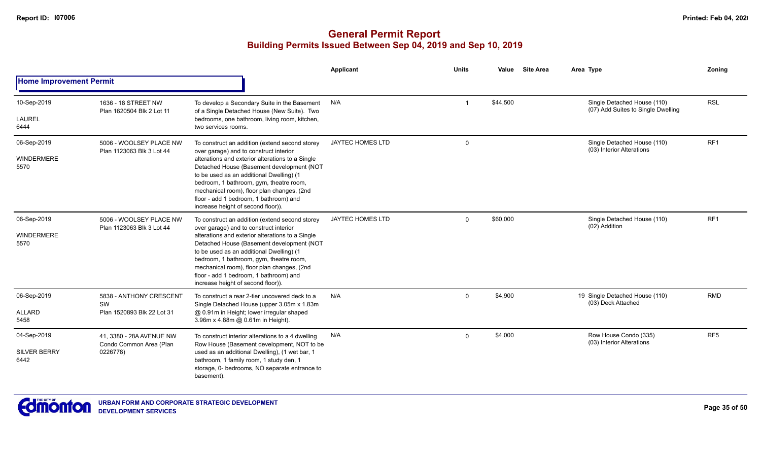|                                            |                                                                 |                                                                                                                                                                                                                                                                                                                                                                                                                | <b>Applicant</b>        | <b>Units</b> | Value    | <b>Site Area</b> | Area Type                                                         | Zoning          |
|--------------------------------------------|-----------------------------------------------------------------|----------------------------------------------------------------------------------------------------------------------------------------------------------------------------------------------------------------------------------------------------------------------------------------------------------------------------------------------------------------------------------------------------------------|-------------------------|--------------|----------|------------------|-------------------------------------------------------------------|-----------------|
| <b>Home Improvement Permit</b>             |                                                                 |                                                                                                                                                                                                                                                                                                                                                                                                                |                         |              |          |                  |                                                                   |                 |
| 10-Sep-2019                                | 1636 - 18 STREET NW<br>Plan 1620504 Blk 2 Lot 11                | To develop a Secondary Suite in the Basement<br>of a Single Detached House (New Suite). Two                                                                                                                                                                                                                                                                                                                    | N/A                     |              | \$44,500 |                  | Single Detached House (110)<br>(07) Add Suites to Single Dwelling | <b>RSL</b>      |
| <b>LAUREL</b><br>6444                      |                                                                 | bedrooms, one bathroom, living room, kitchen,<br>two services rooms.                                                                                                                                                                                                                                                                                                                                           |                         |              |          |                  |                                                                   |                 |
| 06-Sep-2019<br>WINDERMERE<br>5570          | 5006 - WOOLSEY PLACE NW<br>Plan 1123063 Blk 3 Lot 44            | To construct an addition (extend second storey<br>over garage) and to construct interior<br>alterations and exterior alterations to a Single<br>Detached House (Basement development (NOT<br>to be used as an additional Dwelling) (1<br>bedroom, 1 bathroom, gym, theatre room,<br>mechanical room), floor plan changes, (2nd<br>floor - add 1 bedroom, 1 bathroom) and<br>increase height of second floor)). | <b>JAYTEC HOMES LTD</b> | $\mathbf 0$  |          |                  | Single Detached House (110)<br>(03) Interior Alterations          | RF <sub>1</sub> |
| 06-Sep-2019<br>WINDERMERE<br>5570          | 5006 - WOOLSEY PLACE NW<br>Plan 1123063 Blk 3 Lot 44            | To construct an addition (extend second storey<br>over garage) and to construct interior<br>alterations and exterior alterations to a Single<br>Detached House (Basement development (NOT<br>to be used as an additional Dwelling) (1<br>bedroom, 1 bathroom, gym, theatre room,<br>mechanical room), floor plan changes, (2nd<br>floor - add 1 bedroom, 1 bathroom) and<br>increase height of second floor)). | <b>JAYTEC HOMES LTD</b> | $\Omega$     | \$60,000 |                  | Single Detached House (110)<br>(02) Addition                      | RF <sub>1</sub> |
| 06-Sep-2019<br><b>ALLARD</b><br>5458       | 5838 - ANTHONY CRESCENT<br>SW<br>Plan 1520893 Blk 22 Lot 31     | To construct a rear 2-tier uncovered deck to a<br>Single Detached House (upper 3.05m x 1.83m<br>@ 0.91m in Height; lower irregular shaped<br>3.96m x 4.88m @ 0.61m in Height).                                                                                                                                                                                                                                 | N/A                     | $\Omega$     | \$4,900  |                  | 19 Single Detached House (110)<br>(03) Deck Attached              | <b>RMD</b>      |
| 04-Sep-2019<br><b>SILVER BERRY</b><br>6442 | 41, 3380 - 28A AVENUE NW<br>Condo Common Area (Plan<br>0226778) | To construct interior alterations to a 4 dwelling<br>Row House (Basement development, NOT to be<br>used as an additional Dwelling), (1 wet bar, 1<br>bathroom, 1 family room, 1 study den, 1<br>storage, 0- bedrooms, NO separate entrance to<br>basement).                                                                                                                                                    | N/A                     | $\Omega$     | \$4,000  |                  | Row House Condo (335)<br>(03) Interior Alterations                | RF <sub>5</sub> |

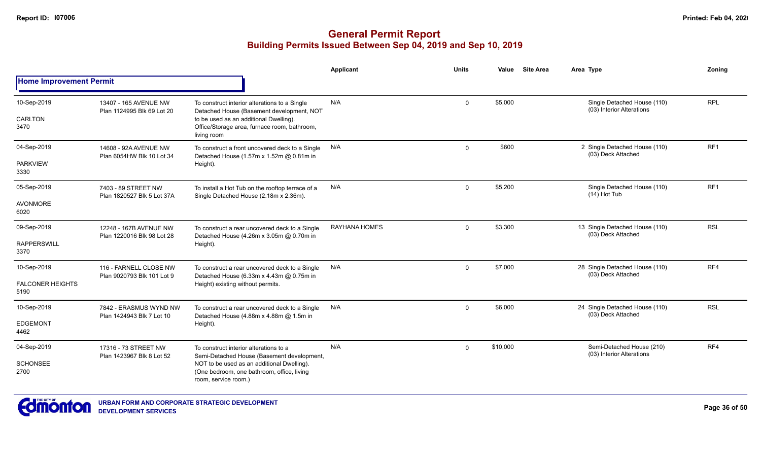|                                 |                                                                                                                                                                                                                                                               |                                                                                                       | Applicant            | <b>Units</b> | Value    | <b>Site Area</b> | Area Type                                                | Zoning          |
|---------------------------------|---------------------------------------------------------------------------------------------------------------------------------------------------------------------------------------------------------------------------------------------------------------|-------------------------------------------------------------------------------------------------------|----------------------|--------------|----------|------------------|----------------------------------------------------------|-----------------|
| <b>Home Improvement Permit</b>  |                                                                                                                                                                                                                                                               |                                                                                                       |                      |              |          |                  |                                                          |                 |
| 10-Sep-2019                     | 13407 - 165 AVENUE NW<br>Plan 1124995 Blk 69 Lot 20                                                                                                                                                                                                           | To construct interior alterations to a Single<br>Detached House (Basement development, NOT            | N/A                  | $\Omega$     | \$5,000  |                  | Single Detached House (110)<br>(03) Interior Alterations | <b>RPL</b>      |
| CARLTON<br>3470                 |                                                                                                                                                                                                                                                               | to be used as an additional Dwelling).<br>Office/Storage area, furnace room, bathroom,<br>living room |                      |              |          |                  |                                                          |                 |
| 04-Sep-2019                     | 14608 - 92A AVENUE NW<br>Plan 6054HW Blk 10 Lot 34                                                                                                                                                                                                            | To construct a front uncovered deck to a Single<br>Detached House (1.57m x 1.52m @ 0.81m in           | N/A                  | $\Omega$     | \$600    |                  | 2 Single Detached House (110)<br>(03) Deck Attached      | RF <sub>1</sub> |
| <b>PARKVIEW</b><br>3330         |                                                                                                                                                                                                                                                               | Height).                                                                                              |                      |              |          |                  |                                                          |                 |
| 05-Sep-2019                     | 7403 - 89 STREET NW<br>Plan 1820527 Blk 5 Lot 37A                                                                                                                                                                                                             | To install a Hot Tub on the rooftop terrace of a<br>Single Detached House (2.18m x 2.36m).            | N/A                  | $\mathbf 0$  | \$5,200  |                  | Single Detached House (110)<br>$(14)$ Hot Tub            | RF1             |
| <b>AVONMORE</b><br>6020         |                                                                                                                                                                                                                                                               |                                                                                                       |                      |              |          |                  |                                                          |                 |
| 09-Sep-2019                     | 12248 - 167B AVENUE NW<br>Plan 1220016 Blk 98 Lot 28                                                                                                                                                                                                          | To construct a rear uncovered deck to a Single<br>Detached House (4.26m x 3.05m @ 0.70m in            | <b>RAYHANA HOMES</b> | $\Omega$     | \$3,300  |                  | 13 Single Detached House (110)<br>(03) Deck Attached     | <b>RSL</b>      |
| <b>RAPPERSWILL</b><br>3370      |                                                                                                                                                                                                                                                               | Height).                                                                                              |                      |              |          |                  |                                                          |                 |
| 10-Sep-2019                     | 116 - FARNELL CLOSE NW<br>Plan 9020793 Blk 101 Lot 9                                                                                                                                                                                                          | To construct a rear uncovered deck to a Single<br>Detached House (6.33m x 4.43m @ 0.75m in            | N/A                  | $\mathbf 0$  | \$7,000  |                  | 28 Single Detached House (110)<br>(03) Deck Attached     | RF4             |
| <b>FALCONER HEIGHTS</b><br>5190 |                                                                                                                                                                                                                                                               | Height) existing without permits.                                                                     |                      |              |          |                  |                                                          |                 |
| 10-Sep-2019                     | 7842 - ERASMUS WYND NW                                                                                                                                                                                                                                        | To construct a rear uncovered deck to a Single<br>Detached House (4.88m x 4.88m @ 1.5m in             | N/A                  | $\Omega$     | \$6,000  |                  | 24 Single Detached House (110)<br>(03) Deck Attached     | <b>RSL</b>      |
| <b>EDGEMONT</b><br>4462         | Plan 1424943 Blk 7 Lot 10                                                                                                                                                                                                                                     | Height).                                                                                              |                      |              |          |                  |                                                          |                 |
| 04-Sep-2019                     | 17316 - 73 STREET NW<br>To construct interior alterations to a<br>Plan 1423967 Blk 8 Lot 52<br>Semi-Detached House (Basement development,<br>NOT to be used as an additional Dwelling).<br>(One bedroom, one bathroom, office, living<br>room, service room.) |                                                                                                       | N/A                  | $\Omega$     | \$10,000 |                  | Semi-Detached House (210)<br>(03) Interior Alterations   | RF4             |
| <b>SCHONSEE</b><br>2700         |                                                                                                                                                                                                                                                               |                                                                                                       |                      |              |          |                  |                                                          |                 |

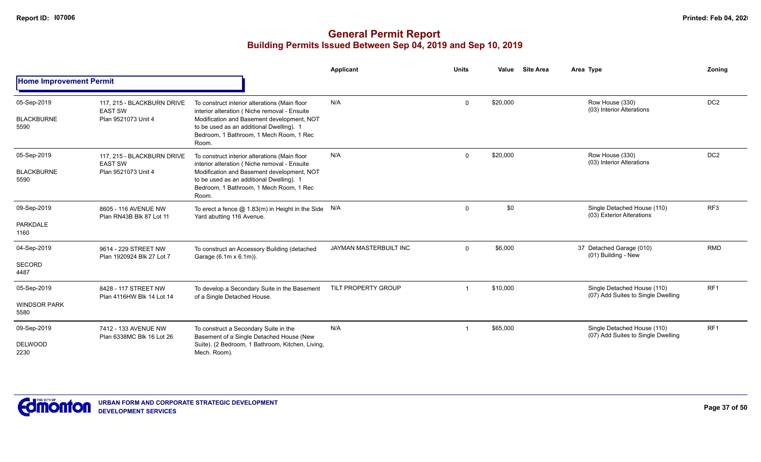|                                            |                                                                     |                                                                                                                                                                                                                                             | Applicant              | <b>Units</b> | Value    | <b>Site Area</b> | Area Type                                                         | Zoning          |
|--------------------------------------------|---------------------------------------------------------------------|---------------------------------------------------------------------------------------------------------------------------------------------------------------------------------------------------------------------------------------------|------------------------|--------------|----------|------------------|-------------------------------------------------------------------|-----------------|
| <b>Home Improvement Permit</b>             |                                                                     |                                                                                                                                                                                                                                             |                        |              |          |                  |                                                                   |                 |
| 05-Sep-2019<br><b>BLACKBURNE</b><br>5590   | 117. 215 - BLACKBURN DRIVE<br><b>EAST SW</b><br>Plan 9521073 Unit 4 | To construct interior alterations (Main floor<br>interior alteration (Niche removal - Ensuite<br>Modification and Basement development, NOT<br>to be used as an additional Dwelling). 1<br>Bedroom, 1 Bathroom, 1 Mech Room, 1 Rec<br>Room. | N/A                    | $\mathbf{0}$ | \$20,000 |                  | Row House (330)<br>(03) Interior Alterations                      | DC <sub>2</sub> |
| 05-Sep-2019<br><b>BLACKBURNE</b><br>5590   | 117, 215 - BLACKBURN DRIVE<br><b>EAST SW</b><br>Plan 9521073 Unit 4 | To construct interior alterations (Main floor<br>interior alteration (Niche removal - Ensuite<br>Modification and Basement development, NOT<br>to be used as an additional Dwelling). 1<br>Bedroom, 1 Bathroom, 1 Mech Room, 1 Rec<br>Room. | N/A                    | $\Omega$     | \$20,000 |                  | Row House (330)<br>(03) Interior Alterations                      | DC <sub>2</sub> |
| 09-Sep-2019<br><b>PARKDALE</b><br>1160     | 8605 - 116 AVENUE NW<br>Plan RN43B Blk 87 Lot 11                    | To erect a fence $@$ 1.83(m) in Height in the Side N/A<br>Yard abutting 116 Avenue.                                                                                                                                                         |                        | 0            | \$0      |                  | Single Detached House (110)<br>(03) Exterior Alterations          | RF <sub>3</sub> |
| 04-Sep-2019<br><b>SECORD</b><br>4487       | 9614 - 229 STREET NW<br>Plan 1920924 Blk 27 Lot 7                   | To construct an Accessory Building (detached<br>Garage (6.1m x 6.1m)).                                                                                                                                                                      | JAYMAN MASTERBUILT INC | $\Omega$     | \$6,000  |                  | 37 Detached Garage (010)<br>(01) Building - New                   | <b>RMD</b>      |
| 05-Sep-2019<br><b>WINDSOR PARK</b><br>5580 | 8428 - 117 STREET NW<br>Plan 4116HW Blk 14 Lot 14                   | To develop a Secondary Suite in the Basement<br>of a Single Detached House.                                                                                                                                                                 | TILT PROPERTY GROUP    |              | \$10,000 |                  | Single Detached House (110)<br>(07) Add Suites to Single Dwelling | RF <sub>1</sub> |
| 09-Sep-2019<br><b>DELWOOD</b><br>2230      | 7412 - 133 AVENUE NW<br>Plan 6338MC Blk 16 Lot 26                   | To construct a Secondary Suite in the<br>Basement of a Single Detached House (New<br>Suite). (2 Bedroom, 1 Bathroom, Kitchen, Living,<br>Mech. Room).                                                                                       | N/A                    |              | \$65,000 |                  | Single Detached House (110)<br>(07) Add Suites to Single Dwelling | RF1             |

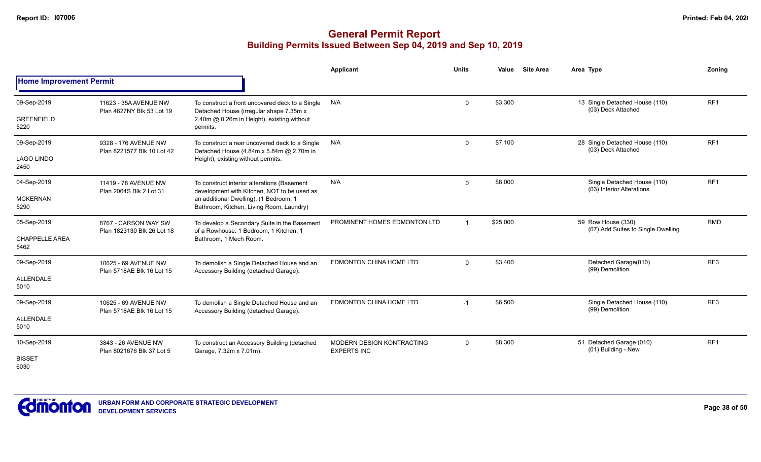|                                              |                                                    |                                                                                                                                                                                  | Applicant                                       | <b>Units</b> | Value    | <b>Site Area</b> | Area Type                                                | Zoning          |
|----------------------------------------------|----------------------------------------------------|----------------------------------------------------------------------------------------------------------------------------------------------------------------------------------|-------------------------------------------------|--------------|----------|------------------|----------------------------------------------------------|-----------------|
| <b>Home Improvement Permit</b>               |                                                    |                                                                                                                                                                                  |                                                 |              |          |                  |                                                          |                 |
| 09-Sep-2019<br><b>GREENFIELD</b><br>5220     | 11623 - 35A AVENUE NW<br>Plan 4627NY Blk 53 Lot 19 | To construct a front uncovered deck to a Single<br>Detached House (irregular shape 7.35m x<br>2.40m @ 0.26m in Height), existing without<br>permits.                             | N/A                                             | $\mathbf 0$  | \$3,300  |                  | 13 Single Detached House (110)<br>(03) Deck Attached     | RF <sub>1</sub> |
| 09-Sep-2019<br><b>LAGO LINDO</b><br>2450     | 9328 - 176 AVENUE NW<br>Plan 8221577 Blk 10 Lot 42 | To construct a rear uncovered deck to a Single<br>Detached House (4.84m x 5.84m @ 2.70m in<br>Height), existing without permits.                                                 | N/A                                             | $\mathbf 0$  | \$7,100  |                  | 28 Single Detached House (110)<br>(03) Deck Attached     | RF <sub>1</sub> |
| 04-Sep-2019<br><b>MCKERNAN</b><br>5290       | 11419 - 78 AVENUE NW<br>Plan 2064S Blk 2 Lot 31    | To construct interior alterations (Basement<br>development with Kitchen, NOT to be used as<br>an additional Dwelling). (1 Bedroom, 1<br>Bathroom, Kitchen, Living Room, Laundry) | N/A                                             | $\mathbf 0$  | \$8,000  |                  | Single Detached House (110)<br>(03) Interior Alterations | RF <sub>1</sub> |
| 05-Sep-2019<br><b>CHAPPELLE AREA</b><br>5462 | 8767 - CARSON WAY SW<br>Plan 1823130 Blk 26 Lot 18 | To develop a Secondary Suite in the Basement<br>of a Rowhouse. 1 Bedroom, 1 Kitchen, 1<br>Bathroom, 1 Mech Room.                                                                 | PROMINENT HOMES EDMONTON LTD                    |              | \$25,000 |                  | 59 Row House (330)<br>(07) Add Suites to Single Dwelling | <b>RMD</b>      |
| 09-Sep-2019<br><b>ALLENDALE</b><br>5010      | 10625 - 69 AVENUE NW<br>Plan 5718AE Blk 16 Lot 15  | To demolish a Single Detached House and an<br>Accessory Building (detached Garage).                                                                                              | EDMONTON CHINA HOME LTD.                        | $\Omega$     | \$3,400  |                  | Detached Garage(010)<br>(99) Demolition                  | RF <sub>3</sub> |
| 09-Sep-2019<br><b>ALLENDALE</b><br>5010      | 10625 - 69 AVENUE NW<br>Plan 5718AE Blk 16 Lot 15  | To demolish a Single Detached House and an<br>Accessory Building (detached Garage).                                                                                              | EDMONTON CHINA HOME LTD.                        | $-1$         | \$6,500  |                  | Single Detached House (110)<br>(99) Demolition           | RF3             |
| 10-Sep-2019<br><b>BISSET</b><br>6030         | 3843 - 26 AVENUE NW<br>Plan 8021676 Blk 37 Lot 5   | To construct an Accessory Building (detached<br>Garage, 7.32m x 7.01m).                                                                                                          | MODERN DESIGN KONTRACTING<br><b>EXPERTS INC</b> | $\mathbf 0$  | \$8,300  |                  | 51 Detached Garage (010)<br>(01) Building - New          | RF <sub>1</sub> |

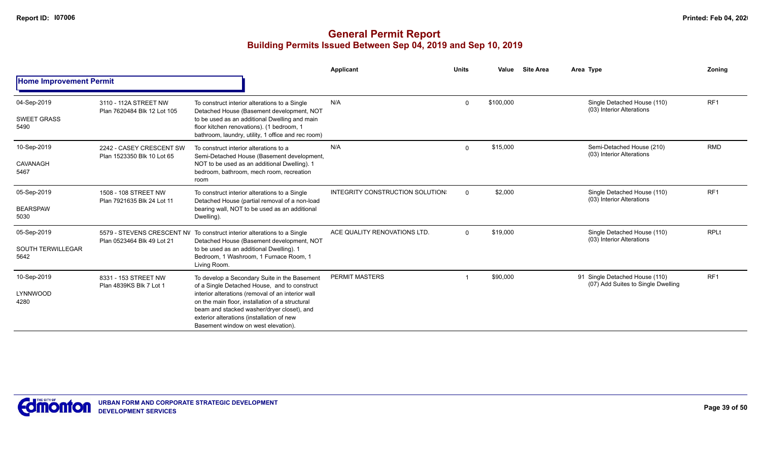|                                                 |                                                        |                                                                                                                                                                                                                                                                                                                                        | Applicant                       | <b>Units</b> | Value     | <b>Site Area</b> | Area Type                                                            | Zoning          |
|-------------------------------------------------|--------------------------------------------------------|----------------------------------------------------------------------------------------------------------------------------------------------------------------------------------------------------------------------------------------------------------------------------------------------------------------------------------------|---------------------------------|--------------|-----------|------------------|----------------------------------------------------------------------|-----------------|
| <b>Home Improvement Permit</b>                  |                                                        |                                                                                                                                                                                                                                                                                                                                        |                                 |              |           |                  |                                                                      |                 |
| 04-Sep-2019<br><b>SWEET GRASS</b><br>5490       | 3110 - 112A STREET NW<br>Plan 7620484 Blk 12 Lot 105   | To construct interior alterations to a Single<br>Detached House (Basement development, NOT<br>to be used as an additional Dwelling and main<br>floor kitchen renovations). (1 bedroom, 1<br>bathroom, laundry, utility, 1 office and rec room)                                                                                         | N/A                             | $\Omega$     | \$100,000 |                  | Single Detached House (110)<br>(03) Interior Alterations             | RF <sub>1</sub> |
| 10-Sep-2019<br>CAVANAGH<br>5467                 | 2242 - CASEY CRESCENT SW<br>Plan 1523350 Blk 10 Lot 65 | To construct interior alterations to a<br>Semi-Detached House (Basement development,<br>NOT to be used as an additional Dwelling). 1<br>bedroom, bathroom, mech room, recreation<br>room                                                                                                                                               | N/A                             | $\Omega$     | \$15,000  |                  | Semi-Detached House (210)<br>(03) Interior Alterations               | <b>RMD</b>      |
| 05-Sep-2019<br><b>BEARSPAW</b><br>5030          | 1508 - 108 STREET NW<br>Plan 7921635 Blk 24 Lot 11     | To construct interior alterations to a Single<br>Detached House (partial removal of a non-load<br>bearing wall, NOT to be used as an additional<br>Dwelling).                                                                                                                                                                          | INTEGRITY CONSTRUCTION SOLUTION | $\Omega$     | \$2,000   |                  | Single Detached House (110)<br>(03) Interior Alterations             | RF <sub>1</sub> |
| 05-Sep-2019<br><b>SOUTH TERWILLEGAR</b><br>5642 | Plan 0523464 Blk 49 Lot 21                             | 5579 - STEVENS CRESCENT NV To construct interior alterations to a Single<br>Detached House (Basement development, NOT<br>to be used as an additional Dwelling). 1<br>Bedroom, 1 Washroom, 1 Furnace Room, 1<br>Living Room.                                                                                                            | ACE QUALITY RENOVATIONS LTD.    | $\Omega$     | \$19,000  |                  | Single Detached House (110)<br>(03) Interior Alterations             | <b>RPLt</b>     |
| 10-Sep-2019<br>LYNNWOOD<br>4280                 | 8331 - 153 STREET NW<br>Plan 4839KS Blk 7 Lot 1        | To develop a Secondary Suite in the Basement<br>of a Single Detached House, and to construct<br>interior alterations (removal of an interior wall<br>on the main floor, installation of a structural<br>beam and stacked washer/dryer closet), and<br>exterior alterations (installation of new<br>Basement window on west elevation). | PERMIT MASTERS                  |              | \$90,000  |                  | 91 Single Detached House (110)<br>(07) Add Suites to Single Dwelling | RF <sub>1</sub> |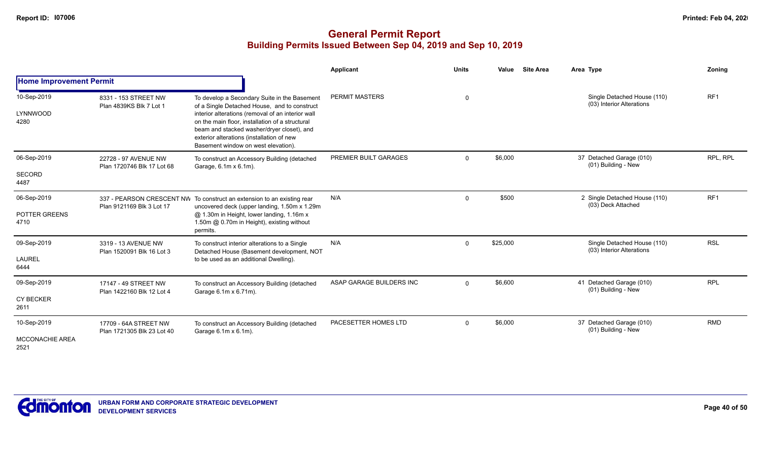|                                               |                                                     |                                                                                                                                                                                                                                                                                                                                        | Applicant                | <b>Units</b> | Value    | <b>Site Area</b> | Area Type                                                | Zoning          |
|-----------------------------------------------|-----------------------------------------------------|----------------------------------------------------------------------------------------------------------------------------------------------------------------------------------------------------------------------------------------------------------------------------------------------------------------------------------------|--------------------------|--------------|----------|------------------|----------------------------------------------------------|-----------------|
| <b>Home Improvement Permit</b>                |                                                     |                                                                                                                                                                                                                                                                                                                                        |                          |              |          |                  |                                                          |                 |
| 10-Sep-2019<br>LYNNWOOD<br>4280               | 8331 - 153 STREET NW<br>Plan 4839KS Blk 7 Lot 1     | To develop a Secondary Suite in the Basement<br>of a Single Detached House, and to construct<br>interior alterations (removal of an interior wall<br>on the main floor, installation of a structural<br>beam and stacked washer/dryer closet), and<br>exterior alterations (installation of new<br>Basement window on west elevation). | PERMIT MASTERS           | 0            |          |                  | Single Detached House (110)<br>(03) Interior Alterations | RF <sub>1</sub> |
| 06-Sep-2019<br>SECORD<br>4487                 | 22728 - 97 AVENUE NW<br>Plan 1720746 Blk 17 Lot 68  | To construct an Accessory Building (detached<br>Garage, 6.1m x 6.1m).                                                                                                                                                                                                                                                                  | PREMIER BUILT GARAGES    | $\Omega$     | \$6,000  |                  | 37 Detached Garage (010)<br>(01) Building - New          | RPL, RPL        |
| 06-Sep-2019<br>POTTER GREENS<br>4710          | Plan 9121169 Blk 3 Lot 17                           | 337 - PEARSON CRESCENT NW To construct an extension to an existing rear<br>uncovered deck (upper landing, 1.50m x 1.29m<br>@ 1.30m in Height, lower landing, 1.16m x<br>1.50m @ 0.70m in Height), existing without<br>permits.                                                                                                         | N/A                      | $\mathbf{0}$ | \$500    |                  | 2 Single Detached House (110)<br>(03) Deck Attached      | RF <sub>1</sub> |
| 09-Sep-2019<br><b>LAUREL</b><br>6444          | 3319 - 13 AVENUE NW<br>Plan 1520091 Blk 16 Lot 3    | To construct interior alterations to a Single<br>Detached House (Basement development, NOT<br>to be used as an additional Dwelling).                                                                                                                                                                                                   | N/A                      | $\Omega$     | \$25,000 |                  | Single Detached House (110)<br>(03) Interior Alterations | <b>RSL</b>      |
| 09-Sep-2019<br><b>CY BECKER</b><br>2611       | 17147 - 49 STREET NW<br>Plan 1422160 Blk 12 Lot 4   | To construct an Accessory Building (detached<br>Garage 6.1m x 6.71m).                                                                                                                                                                                                                                                                  | ASAP GARAGE BUILDERS INC | $\mathbf{0}$ | \$6,600  |                  | 41 Detached Garage (010)<br>(01) Building - New          | <b>RPL</b>      |
| 10-Sep-2019<br><b>MCCONACHIE AREA</b><br>2521 | 17709 - 64A STREET NW<br>Plan 1721305 Blk 23 Lot 40 | To construct an Accessory Building (detached<br>Garage 6.1m x 6.1m).                                                                                                                                                                                                                                                                   | PACESETTER HOMES LTD     | $\Omega$     | \$6,000  |                  | 37 Detached Garage (010)<br>(01) Building - New          | <b>RMD</b>      |

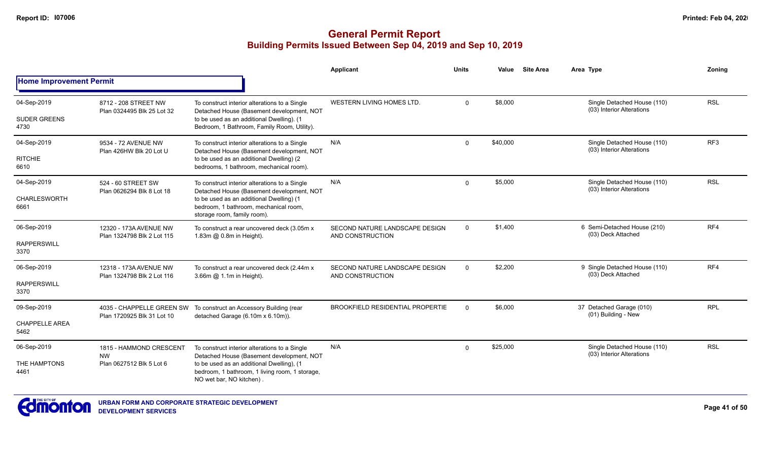|                                |                                                      |                                                                                                                                       | Applicant                                          | <b>Units</b>   | Value    | <b>Site Area</b> | Area Type                                                | Zonina          |
|--------------------------------|------------------------------------------------------|---------------------------------------------------------------------------------------------------------------------------------------|----------------------------------------------------|----------------|----------|------------------|----------------------------------------------------------|-----------------|
| <b>Home Improvement Permit</b> |                                                      |                                                                                                                                       |                                                    |                |          |                  |                                                          |                 |
| 04-Sep-2019                    | 8712 - 208 STREET NW                                 | To construct interior alterations to a Single                                                                                         | WESTERN LIVING HOMES LTD.                          | $\mathbf 0$    | \$8,000  |                  | Single Detached House (110)<br>(03) Interior Alterations | <b>RSL</b>      |
| <b>SUDER GREENS</b><br>4730    | Plan 0324495 Blk 25 Lot 32                           | Detached House (Basement development, NOT<br>to be used as an additional Dwelling). (1<br>Bedroom, 1 Bathroom, Family Room, Utility). |                                                    |                |          |                  |                                                          |                 |
| 04-Sep-2019                    | 9534 - 72 AVENUE NW<br>Plan 426HW Blk 20 Lot U       | To construct interior alterations to a Single<br>Detached House (Basement development, NOT                                            | N/A                                                | $\Omega$       | \$40,000 |                  | Single Detached House (110)<br>(03) Interior Alterations | RF <sub>3</sub> |
| <b>RITCHIE</b><br>6610         |                                                      | to be used as an additional Dwelling) (2<br>bedrooms, 1 bathroom, mechanical room).                                                   |                                                    |                |          |                  |                                                          |                 |
| 04-Sep-2019                    | 524 - 60 STREET SW                                   | To construct interior alterations to a Single<br>Detached House (Basement development, NOT                                            | N/A                                                | $\Omega$       | \$5,000  |                  | Single Detached House (110)<br>(03) Interior Alterations | <b>RSL</b>      |
| <b>CHARLESWORTH</b><br>6661    | Plan 0626294 Blk 8 Lot 18                            | to be used as an additional Dwelling) (1<br>bedroom, 1 bathroom, mechanical room,<br>storage room, family room).                      |                                                    |                |          |                  |                                                          |                 |
| 06-Sep-2019                    | 12320 - 173A AVENUE NW<br>Plan 1324798 Blk 2 Lot 115 | To construct a rear uncovered deck (3.05m x<br>1.83m @ 0.8m in Height).                                                               | SECOND NATURE LANDSCAPE DESIGN<br>AND CONSTRUCTION | $\overline{0}$ | \$1,400  |                  | 6 Semi-Detached House (210)<br>(03) Deck Attached        | RF4             |
| <b>RAPPERSWILL</b><br>3370     |                                                      |                                                                                                                                       |                                                    |                |          |                  |                                                          |                 |
| 06-Sep-2019                    | 12318 - 173A AVENUE NW<br>Plan 1324798 Blk 2 Lot 116 | To construct a rear uncovered deck (2.44m x)<br>3.66m @ 1.1m in Height).                                                              | SECOND NATURE LANDSCAPE DESIGN<br>AND CONSTRUCTION | $\mathbf 0$    | \$2,200  |                  | 9 Single Detached House (110)<br>(03) Deck Attached      | RF4             |
| <b>RAPPERSWILL</b><br>3370     |                                                      |                                                                                                                                       |                                                    |                |          |                  |                                                          |                 |
| 09-Sep-2019                    | Plan 1720925 Blk 31 Lot 10                           | 4035 - CHAPPELLE GREEN SW To construct an Accessory Building (rear<br>detached Garage (6.10m x 6.10m)).                               | <b>BROOKFIELD RESIDENTIAL PROPERTIE</b>            | $\Omega$       | \$6,000  |                  | 37 Detached Garage (010)<br>(01) Building - New          | <b>RPL</b>      |
| <b>CHAPPELLE AREA</b><br>5462  |                                                      |                                                                                                                                       |                                                    |                |          |                  |                                                          |                 |
| 06-Sep-2019                    | 1815 - HAMMOND CRESCENT<br><b>NW</b>                 | To construct interior alterations to a Single<br>Detached House (Basement development, NOT                                            | N/A                                                | $\Omega$       | \$25,000 |                  | Single Detached House (110)<br>(03) Interior Alterations | <b>RSL</b>      |
| THE HAMPTONS<br>4461           | Plan 0627512 Blk 5 Lot 6                             | to be used as an additional Dwelling), (1<br>bedroom, 1 bathroom, 1 living room, 1 storage,<br>NO wet bar, NO kitchen).               |                                                    |                |          |                  |                                                          |                 |

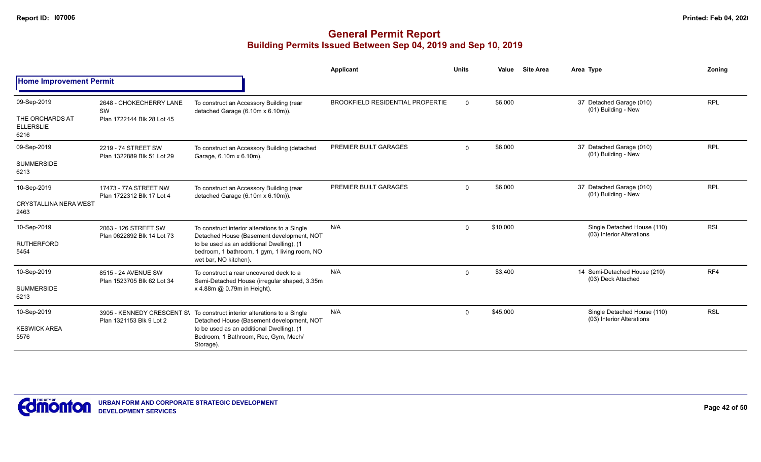|                                             |                                                                |                                                                                                                                             | <b>Applicant</b>                        | <b>Units</b> | Value    | <b>Site Area</b> | Area Type                                                | Zonina     |
|---------------------------------------------|----------------------------------------------------------------|---------------------------------------------------------------------------------------------------------------------------------------------|-----------------------------------------|--------------|----------|------------------|----------------------------------------------------------|------------|
| <b>Home Improvement Permit</b>              |                                                                |                                                                                                                                             |                                         |              |          |                  |                                                          |            |
| 09-Sep-2019                                 | 2648 - CHOKECHERRY LANE                                        | To construct an Accessory Building (rear                                                                                                    | <b>BROOKFIELD RESIDENTIAL PROPERTIE</b> | $\mathbf 0$  | \$6,000  |                  | 37 Detached Garage (010)<br>(01) Building - New          | <b>RPL</b> |
| THE ORCHARDS AT<br><b>ELLERSLIE</b><br>6216 | SW<br>Plan 1722144 Blk 28 Lot 45                               | detached Garage (6.10m x 6.10m)).                                                                                                           |                                         |              |          |                  |                                                          |            |
| 09-Sep-2019                                 | 2219 - 74 STREET SW<br>Plan 1322889 Blk 51 Lot 29              | To construct an Accessory Building (detached<br>Garage, 6.10m x 6.10m).                                                                     | PREMIER BUILT GARAGES                   | $\mathbf 0$  | \$6,000  |                  | 37 Detached Garage (010)<br>(01) Building - New          | <b>RPL</b> |
| <b>SUMMERSIDE</b><br>6213                   |                                                                |                                                                                                                                             |                                         |              |          |                  |                                                          |            |
| 10-Sep-2019                                 | 17473 - 77A STREET NW                                          | To construct an Accessory Building (rear                                                                                                    | PREMIER BUILT GARAGES                   | $\mathbf 0$  | \$6,000  |                  | 37 Detached Garage (010)<br>(01) Building - New          | <b>RPL</b> |
| <b>CRYSTALLINA NERA WEST</b><br>2463        | detached Garage (6.10m x 6.10m)).<br>Plan 1722312 Blk 17 Lot 4 |                                                                                                                                             |                                         |              |          |                  |                                                          |            |
| 10-Sep-2019                                 | 2063 - 126 STREET SW<br>Plan 0622892 Blk 14 Lot 73             | To construct interior alterations to a Single<br>Detached House (Basement development, NOT                                                  | N/A                                     | $\mathbf{0}$ | \$10,000 |                  | Single Detached House (110)<br>(03) Interior Alterations | <b>RSL</b> |
| <b>RUTHERFORD</b><br>5454                   |                                                                | to be used as an additional Dwelling), (1<br>bedroom, 1 bathroom, 1 gym, 1 living room, NO<br>wet bar, NO kitchen).                         |                                         |              |          |                  |                                                          |            |
| 10-Sep-2019                                 | 8515 - 24 AVENUE SW<br>Plan 1523705 Blk 62 Lot 34              | To construct a rear uncovered deck to a<br>Semi-Detached House (irregular shaped, 3.35m)                                                    | N/A                                     | $\mathbf 0$  | \$3,400  |                  | 14 Semi-Detached House (210)<br>(03) Deck Attached       | RF4        |
| <b>SUMMERSIDE</b><br>6213                   |                                                                | x 4.88m @ 0.79m in Height).                                                                                                                 |                                         |              |          |                  |                                                          |            |
| 10-Sep-2019                                 |                                                                | 3905 - KENNEDY CRESCENT SV To construct interior alterations to a Single                                                                    | N/A                                     | $\mathbf{0}$ | \$45,000 |                  | Single Detached House (110)<br>(03) Interior Alterations | <b>RSL</b> |
| <b>KESWICK AREA</b><br>5576                 | Plan 1321153 Blk 9 Lot 2                                       | Detached House (Basement development, NOT<br>to be used as an additional Dwelling). (1<br>Bedroom, 1 Bathroom, Rec, Gym, Mech/<br>Storage). |                                         |              |          |                  |                                                          |            |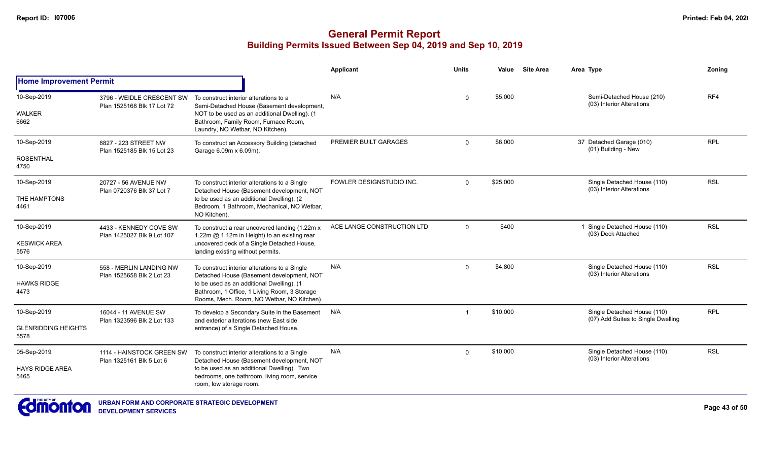|                                                   |                                                         |                                                                                                                                                                                                                                       | <b>Applicant</b>           | <b>Units</b> | Value    | <b>Site Area</b> | Area Type                                                         | Zoning     |
|---------------------------------------------------|---------------------------------------------------------|---------------------------------------------------------------------------------------------------------------------------------------------------------------------------------------------------------------------------------------|----------------------------|--------------|----------|------------------|-------------------------------------------------------------------|------------|
| <b>Home Improvement Permit</b>                    |                                                         |                                                                                                                                                                                                                                       |                            |              |          |                  |                                                                   |            |
| 10-Sep-2019<br><b>WALKER</b><br>6662              | 3796 - WEIDLE CRESCENT SW<br>Plan 1525168 Blk 17 Lot 72 | To construct interior alterations to a<br>Semi-Detached House (Basement development,<br>NOT to be used as an additional Dwelling). (1<br>Bathroom, Family Room, Furnace Room,<br>Laundry, NO Wetbar, NO Kitchen).                     | N/A                        | $\Omega$     | \$5,000  |                  | Semi-Detached House (210)<br>(03) Interior Alterations            | RF4        |
| 10-Sep-2019<br><b>ROSENTHAL</b><br>4750           | 8827 - 223 STREET NW<br>Plan 1525185 Blk 15 Lot 23      | To construct an Accessory Building (detached<br>Garage 6.09m x 6.09m).                                                                                                                                                                | PREMIER BUILT GARAGES      | $\Omega$     | \$6,000  |                  | 37 Detached Garage (010)<br>(01) Building - New                   | <b>RPL</b> |
| 10-Sep-2019<br>THE HAMPTONS<br>4461               | 20727 - 56 AVENUE NW<br>Plan 0720376 Blk 37 Lot 7       | To construct interior alterations to a Single<br>Detached House (Basement development, NOT<br>to be used as an additional Dwelling). (2)<br>Bedroom, 1 Bathroom, Mechanical, NO Wetbar,<br>NO Kitchen).                               | FOWLER DESIGNSTUDIO INC.   | $\Omega$     | \$25,000 |                  | Single Detached House (110)<br>(03) Interior Alterations          | <b>RSL</b> |
| 10-Sep-2019<br><b>KESWICK AREA</b><br>5576        | 4433 - KENNEDY COVE SW<br>Plan 1425027 Blk 9 Lot 107    | To construct a rear uncovered landing (1.22m x<br>1.22m @ 1.12m in Height) to an existing rear<br>uncovered deck of a Single Detached House,<br>landing existing without permits.                                                     | ACE LANGE CONSTRUCTION LTD | $\Omega$     | \$400    |                  | 1 Single Detached House (110)<br>(03) Deck Attached               | <b>RSL</b> |
| 10-Sep-2019<br><b>HAWKS RIDGE</b><br>4473         | 558 - MERLIN LANDING NW<br>Plan 1525658 Blk 2 Lot 23    | To construct interior alterations to a Single<br>Detached House (Basement development, NOT<br>to be used as an additional Dwelling). (1<br>Bathroom, 1 Office, 1 Living Room, 3 Storage<br>Rooms, Mech. Room, NO Wetbar, NO Kitchen). | N/A                        | $\Omega$     | \$4,800  |                  | Single Detached House (110)<br>(03) Interior Alterations          | <b>RSL</b> |
| 10-Sep-2019<br><b>GLENRIDDING HEIGHTS</b><br>5578 | 16044 - 11 AVENUE SW<br>Plan 1323596 Blk 2 Lot 133      | To develop a Secondary Suite in the Basement<br>and exterior alterations (new East side<br>entrance) of a Single Detached House.                                                                                                      | N/A                        |              | \$10,000 |                  | Single Detached House (110)<br>(07) Add Suites to Single Dwelling | <b>RPL</b> |
| 05-Sep-2019<br><b>HAYS RIDGE AREA</b><br>5465     | 1114 - HAINSTOCK GREEN SW<br>Plan 1325161 Blk 5 Lot 6   | To construct interior alterations to a Single<br>Detached House (Basement development, NOT<br>to be used as an additional Dwelling). Two<br>bedrooms, one bathroom, living room, service<br>room, low storage room.                   | N/A                        | $\Omega$     | \$10,000 |                  | Single Detached House (110)<br>(03) Interior Alterations          | <b>RSL</b> |

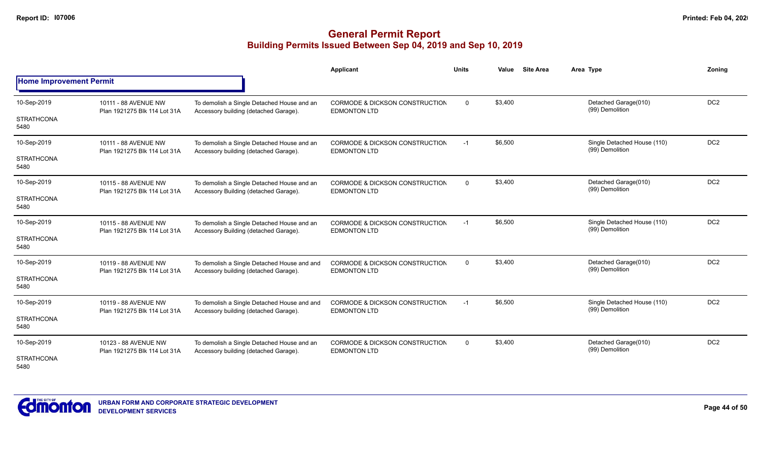## **General Permit Report Building Permits Issued Between Sep 04, 2019 and Sep 10, 2019**

|                                |                                                      |                                                                                      | <b>Applicant</b>                                                 | <b>Units</b> | <b>Site Area</b><br>Value                          | Area Type                                      | Zoning          |
|--------------------------------|------------------------------------------------------|--------------------------------------------------------------------------------------|------------------------------------------------------------------|--------------|----------------------------------------------------|------------------------------------------------|-----------------|
| <b>Home Improvement Permit</b> |                                                      |                                                                                      |                                                                  |              |                                                    |                                                |                 |
| 10-Sep-2019                    | 10111 - 88 AVENUE NW<br>Plan 1921275 Blk 114 Lot 31A | To demolish a Single Detached House and an<br>Accessory building (detached Garage).  | CORMODE & DICKSON CONSTRUCTION<br><b>EDMONTON LTD</b>            | $\mathbf 0$  | \$3,400                                            | Detached Garage(010)<br>(99) Demolition        | DC <sub>2</sub> |
| <b>STRATHCONA</b><br>5480      |                                                      |                                                                                      |                                                                  |              |                                                    |                                                |                 |
| 10-Sep-2019                    | 10111 - 88 AVENUE NW<br>Plan 1921275 Blk 114 Lot 31A | To demolish a Single Detached House and an<br>Accessory building (detached Garage).  | <b>CORMODE &amp; DICKSON CONSTRUCTION</b><br><b>EDMONTON LTD</b> | $-1$         | \$6,500                                            | Single Detached House (110)<br>(99) Demolition | DC <sub>2</sub> |
| <b>STRATHCONA</b><br>5480      |                                                      |                                                                                      |                                                                  |              |                                                    |                                                |                 |
| 10-Sep-2019                    | 10115 - 88 AVENUE NW<br>Plan 1921275 Blk 114 Lot 31A | To demolish a Single Detached House and an<br>Accessory Building (detached Garage).  | <b>CORMODE &amp; DICKSON CONSTRUCTION</b><br><b>EDMONTON LTD</b> | $\mathbf 0$  | \$3,400                                            | Detached Garage(010)<br>(99) Demolition        | DC <sub>2</sub> |
| <b>STRATHCONA</b><br>5480      |                                                      |                                                                                      |                                                                  |              |                                                    |                                                |                 |
| 10-Sep-2019                    | 10115 - 88 AVENUE NW<br>Plan 1921275 Blk 114 Lot 31A | To demolish a Single Detached House and an<br>Accessory Building (detached Garage).  | <b>CORMODE &amp; DICKSON CONSTRUCTION</b><br><b>EDMONTON LTD</b> | $-1$         | \$6,500                                            | Single Detached House (110)<br>(99) Demolition | DC <sub>2</sub> |
| <b>STRATHCONA</b><br>5480      |                                                      |                                                                                      |                                                                  |              |                                                    |                                                |                 |
| 10-Sep-2019                    | 10119 - 88 AVENUE NW<br>Plan 1921275 Blk 114 Lot 31A | To demolish a Single Detached House and and<br>Accessory building (detached Garage). | <b>CORMODE &amp; DICKSON CONSTRUCTION</b>                        | $\Omega$     | \$3,400<br>Detached Garage(010)<br>(99) Demolition |                                                | DC <sub>2</sub> |
| <b>STRATHCONA</b><br>5480      |                                                      |                                                                                      | <b>EDMONTON LTD</b>                                              |              |                                                    |                                                |                 |
| 10-Sep-2019                    | 10119 - 88 AVENUE NW                                 | To demolish a Single Detached House and and<br>Accessory building (detached Garage). | <b>CORMODE &amp; DICKSON CONSTRUCTION</b><br><b>EDMONTON LTD</b> | $-1$         | \$6,500                                            | Single Detached House (110)<br>(99) Demolition | DC <sub>2</sub> |
| <b>STRATHCONA</b><br>5480      | Plan 1921275 Blk 114 Lot 31A                         |                                                                                      |                                                                  |              |                                                    |                                                |                 |
| 10-Sep-2019                    | 10123 - 88 AVENUE NW<br>Plan 1921275 Blk 114 Lot 31A | To demolish a Single Detached House and an<br>Accessory building (detached Garage).  | CORMODE & DICKSON CONSTRUCTION<br><b>EDMONTON LTD</b>            | $\mathbf 0$  | \$3,400                                            | Detached Garage(010)<br>(99) Demolition        | DC <sub>2</sub> |
| <b>STRATHCONA</b><br>5480      |                                                      |                                                                                      |                                                                  |              |                                                    |                                                |                 |



**Page 44 of 50**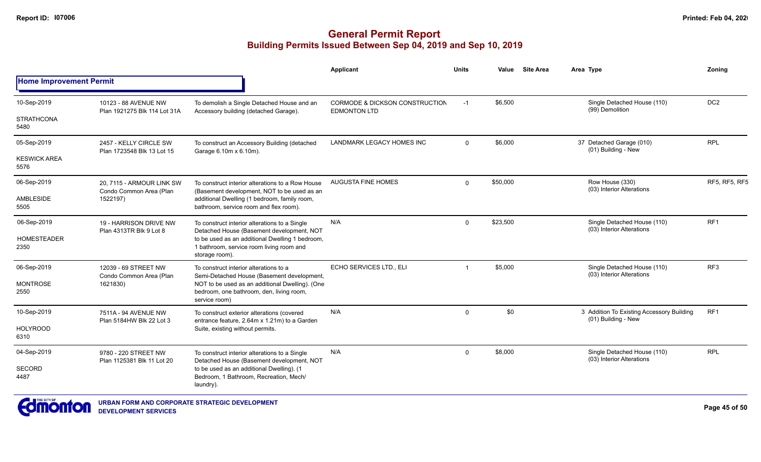|                                |                                                      |                                                                                                               | Applicant                                             | <b>Units</b> | Value    | <b>Site Area</b> | Area Type                                                        | Zoning               |
|--------------------------------|------------------------------------------------------|---------------------------------------------------------------------------------------------------------------|-------------------------------------------------------|--------------|----------|------------------|------------------------------------------------------------------|----------------------|
| <b>Home Improvement Permit</b> |                                                      |                                                                                                               |                                                       |              |          |                  |                                                                  |                      |
| 10-Sep-2019                    | 10123 - 88 AVENUE NW<br>Plan 1921275 Blk 114 Lot 31A | To demolish a Single Detached House and an<br>Accessory building (detached Garage).                           | CORMODE & DICKSON CONSTRUCTION<br><b>EDMONTON LTD</b> | $-1$         | \$6,500  |                  | Single Detached House (110)<br>(99) Demolition                   | DC <sub>2</sub>      |
| <b>STRATHCONA</b><br>5480      |                                                      |                                                                                                               |                                                       |              |          |                  |                                                                  |                      |
| 05-Sep-2019                    | 2457 - KELLY CIRCLE SW<br>Plan 1723548 Blk 13 Lot 15 | To construct an Accessory Building (detached<br>Garage 6.10m x 6.10m).                                        | <b>LANDMARK LEGACY HOMES INC</b>                      | $\Omega$     | \$6,000  |                  | 37 Detached Garage (010)<br>(01) Building - New                  | <b>RPL</b>           |
| <b>KESWICK AREA</b><br>5576    |                                                      |                                                                                                               |                                                       |              |          |                  |                                                                  |                      |
| 06-Sep-2019                    | 20. 7115 - ARMOUR LINK SW<br>Condo Common Area (Plan | To construct interior alterations to a Row House<br>(Basement development, NOT to be used as an               | <b>AUGUSTA FINE HOMES</b>                             | $\Omega$     | \$50,000 |                  | Row House (330)<br>(03) Interior Alterations                     | <b>RF5, RF5, RF5</b> |
| <b>AMBLESIDE</b><br>5505       | 1522197)                                             | additional Dwelling (1 bedroom, family room,<br>bathroom, service room and flex room).                        |                                                       |              |          |                  |                                                                  |                      |
| 06-Sep-2019                    | 19 - HARRISON DRIVE NW<br>Plan 4313TR Blk 9 Lot 8    | To construct interior alterations to a Single<br>Detached House (Basement development, NOT                    | N/A                                                   | $\Omega$     | \$23,500 |                  | Single Detached House (110)<br>(03) Interior Alterations         | RF1                  |
| <b>HOMESTEADER</b><br>2350     |                                                      | to be used as an additional Dwelling 1 bedroom,<br>1 bathroom, service room living room and<br>storage room). |                                                       |              |          |                  | Single Detached House (110)                                      |                      |
| 06-Sep-2019                    | 12039 - 69 STREET NW<br>Condo Common Area (Plan      | To construct interior alterations to a<br>Semi-Detached House (Basement development,                          | ECHO SERVICES LTD., ELI                               | $\mathbf 1$  | \$5,000  |                  | (03) Interior Alterations                                        | RF <sub>3</sub>      |
| <b>MONTROSE</b><br>2550        | 1621830)                                             | NOT to be used as an additional Dwelling). (One<br>bedroom, one bathroom, den, living room,<br>service room)  |                                                       |              |          |                  |                                                                  |                      |
| 10-Sep-2019                    | 7511A - 94 AVENUE NW<br>Plan 5184HW Blk 22 Lot 3     | To construct exterior alterations (covered<br>entrance feature, 2.64m x 1.21m) to a Garden                    | N/A                                                   | $\Omega$     | \$0      |                  | 3 Addition To Existing Accessory Building<br>(01) Building - New | RF <sub>1</sub>      |
| <b>HOLYROOD</b><br>6310        | Suite, existing without permits.                     |                                                                                                               |                                                       |              |          |                  |                                                                  |                      |
| 04-Sep-2019                    | 9780 - 220 STREET NW<br>Plan 1125381 Blk 11 Lot 20   | To construct interior alterations to a Single<br>Detached House (Basement development, NOT                    | N/A                                                   | $\Omega$     | \$8,000  |                  | Single Detached House (110)<br>(03) Interior Alterations         | <b>RPL</b>           |
| SECORD<br>4487                 |                                                      | to be used as an additional Dwelling). (1<br>Bedroom, 1 Bathroom, Recreation, Mech/<br>laundry).              |                                                       |              |          |                  |                                                                  |                      |

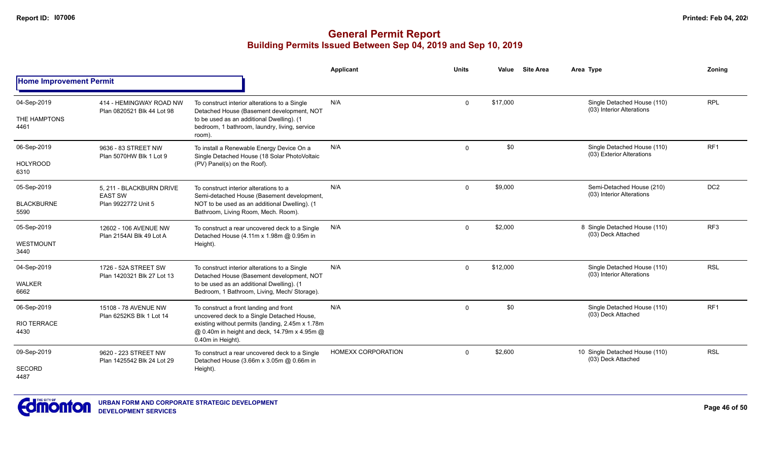|                                           |                                                                   |                                                                                                                                                                                                               | <b>Applicant</b>          | <b>Units</b> | Value    | <b>Site Area</b> | Area Type                                                | Zonina          |
|-------------------------------------------|-------------------------------------------------------------------|---------------------------------------------------------------------------------------------------------------------------------------------------------------------------------------------------------------|---------------------------|--------------|----------|------------------|----------------------------------------------------------|-----------------|
| <b>Home Improvement Permit</b>            |                                                                   |                                                                                                                                                                                                               |                           |              |          |                  |                                                          |                 |
| 04-Sep-2019<br>THE HAMPTONS<br>4461       | 414 - HEMINGWAY ROAD NW<br>Plan 0820521 Blk 44 Lot 98             | To construct interior alterations to a Single<br>Detached House (Basement development, NOT<br>to be used as an additional Dwelling). (1<br>bedroom, 1 bathroom, laundry, living, service<br>room).            | N/A                       | $\mathbf 0$  | \$17,000 |                  | Single Detached House (110)<br>(03) Interior Alterations | <b>RPL</b>      |
| 06-Sep-2019<br><b>HOLYROOD</b><br>6310    | 9636 - 83 STREET NW<br>Plan 5070HW Blk 1 Lot 9                    | To install a Renewable Energy Device On a<br>Single Detached House (18 Solar PhotoVoltaic<br>(PV) Panel(s) on the Roof).                                                                                      | N/A                       | $\Omega$     | \$0      |                  | Single Detached House (110)<br>(03) Exterior Alterations | RF <sub>1</sub> |
| 05-Sep-2019<br><b>BLACKBURNE</b><br>5590  | 5, 211 - BLACKBURN DRIVE<br><b>EAST SW</b><br>Plan 9922772 Unit 5 | To construct interior alterations to a<br>Semi-detached House (Basement development,<br>NOT to be used as an additional Dwelling). (1<br>Bathroom, Living Room, Mech. Room).                                  | N/A                       | $\mathbf 0$  | \$9,000  |                  | Semi-Detached House (210)<br>(03) Interior Alterations   | DC <sub>2</sub> |
| 05-Sep-2019<br>WESTMOUNT<br>3440          | 12602 - 106 AVENUE NW<br>Plan 2154AI Blk 49 Lot A                 | To construct a rear uncovered deck to a Single<br>Detached House (4.11m x 1.98m @ 0.95m in<br>Height).                                                                                                        | N/A                       | $\mathbf{0}$ | \$2,000  |                  | 8 Single Detached House (110)<br>(03) Deck Attached      | RF <sub>3</sub> |
| 04-Sep-2019<br><b>WALKER</b><br>6662      | 1726 - 52A STREET SW<br>Plan 1420321 Blk 27 Lot 13                | To construct interior alterations to a Single<br>Detached House (Basement development, NOT<br>to be used as an additional Dwelling). (1<br>Bedroom, 1 Bathroom, Living, Mech/ Storage).                       | N/A                       | $\Omega$     | \$12,000 |                  | Single Detached House (110)<br>(03) Interior Alterations | <b>RSL</b>      |
| 06-Sep-2019<br><b>RIO TERRACE</b><br>4430 | 15108 - 78 AVENUE NW<br>Plan 6252KS Blk 1 Lot 14                  | To construct a front landing and front<br>uncovered deck to a Single Detached House,<br>existing without permits (landing, 2.45m x 1.78m<br>@ 0.40m in height and deck, 14.79m x 4.95m @<br>0.40m in Height). | N/A                       | $\mathbf 0$  | \$0      |                  | Single Detached House (110)<br>(03) Deck Attached        | RF <sub>1</sub> |
| 09-Sep-2019<br><b>SECORD</b><br>4487      | 9620 - 223 STREET NW<br>Plan 1425542 Blk 24 Lot 29                | To construct a rear uncovered deck to a Single<br>Detached House (3.66m x 3.05m @ 0.66m in<br>Height).                                                                                                        | <b>HOMEXX CORPORATION</b> | $\Omega$     | \$2,600  |                  | 10 Single Detached House (110)<br>(03) Deck Attached     | <b>RSL</b>      |

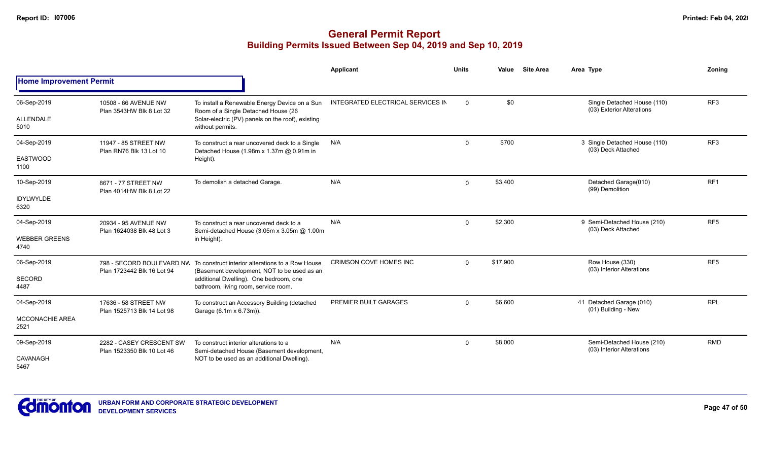|                                             |                                                        |                                                                                                                                                               | <b>Applicant</b>                  | <b>Units</b> | Value    | <b>Site Area</b> | Area Type                                                | Zonina          |
|---------------------------------------------|--------------------------------------------------------|---------------------------------------------------------------------------------------------------------------------------------------------------------------|-----------------------------------|--------------|----------|------------------|----------------------------------------------------------|-----------------|
| <b>Home Improvement Permit</b>              |                                                        |                                                                                                                                                               |                                   |              |          |                  |                                                          |                 |
| 06-Sep-2019<br>ALLENDALE<br>5010            | 10508 - 66 AVENUE NW<br>Plan 3543HW Blk 8 Lot 32       | To install a Renewable Energy Device on a Sun<br>Room of a Single Detached House (26<br>Solar-electric (PV) panels on the roof), existing<br>without permits. | INTEGRATED ELECTRICAL SERVICES IN | $\Omega$     | \$0      |                  | Single Detached House (110)<br>(03) Exterior Alterations | RF <sub>3</sub> |
|                                             |                                                        |                                                                                                                                                               |                                   |              |          |                  |                                                          |                 |
| 04-Sep-2019<br><b>EASTWOOD</b><br>1100      | 11947 - 85 STREET NW<br>Plan RN76 Blk 13 Lot 10        | To construct a rear uncovered deck to a Single<br>Detached House (1.98m x 1.37m @ 0.91m in<br>Height).                                                        | N/A                               | $\mathbf 0$  | \$700    |                  | 3 Single Detached House (110)<br>(03) Deck Attached      | RF <sub>3</sub> |
| 10-Sep-2019                                 | 8671 - 77 STREET NW                                    | To demolish a detached Garage.                                                                                                                                | N/A                               | $\mathbf 0$  | \$3,400  |                  | Detached Garage(010)<br>(99) Demolition                  | RF <sub>1</sub> |
| <b>IDYLWYLDE</b><br>6320                    | Plan 4014HW Blk 8 Lot 22                               |                                                                                                                                                               |                                   |              |          |                  |                                                          |                 |
| 04-Sep-2019<br><b>WEBBER GREENS</b><br>4740 | 20934 - 95 AVENUE NW<br>Plan 1624038 Blk 48 Lot 3      | To construct a rear uncovered deck to a<br>Semi-detached House (3.05m x 3.05m @ 1.00m<br>in Height).                                                          | N/A                               | $\mathbf 0$  | \$2,300  |                  | 9 Semi-Detached House (210)<br>(03) Deck Attached        | RF <sub>5</sub> |
| 06-Sep-2019                                 | Plan 1723442 Blk 16 Lot 94                             | 798 - SECORD BOULEVARD NW To construct interior alterations to a Row House<br>(Basement development, NOT to be used as an                                     | <b>CRIMSON COVE HOMES INC</b>     | $\Omega$     | \$17,900 |                  | Row House (330)<br>(03) Interior Alterations             | RF <sub>5</sub> |
| <b>SECORD</b><br>4487                       |                                                        | additional Dwelling). One bedroom, one<br>bathroom, living room, service room.                                                                                |                                   |              |          |                  |                                                          |                 |
| 04-Sep-2019                                 | 17636 - 58 STREET NW<br>Plan 1525713 Blk 14 Lot 98     | To construct an Accessory Building (detached<br>Garage (6.1m x 6.73m)).                                                                                       | PREMIER BUILT GARAGES             | $\mathbf 0$  | \$6,600  |                  | 41 Detached Garage (010)<br>(01) Building - New          | <b>RPL</b>      |
| <b>MCCONACHIE AREA</b><br>2521              |                                                        |                                                                                                                                                               |                                   |              |          |                  |                                                          |                 |
| 09-Sep-2019<br>CAVANAGH<br>5467             | 2282 - CASEY CRESCENT SW<br>Plan 1523350 Blk 10 Lot 46 | To construct interior alterations to a<br>Semi-detached House (Basement development,<br>NOT to be used as an additional Dwelling).                            | N/A                               | $\mathbf 0$  | \$8,000  |                  | Semi-Detached House (210)<br>(03) Interior Alterations   | <b>RMD</b>      |

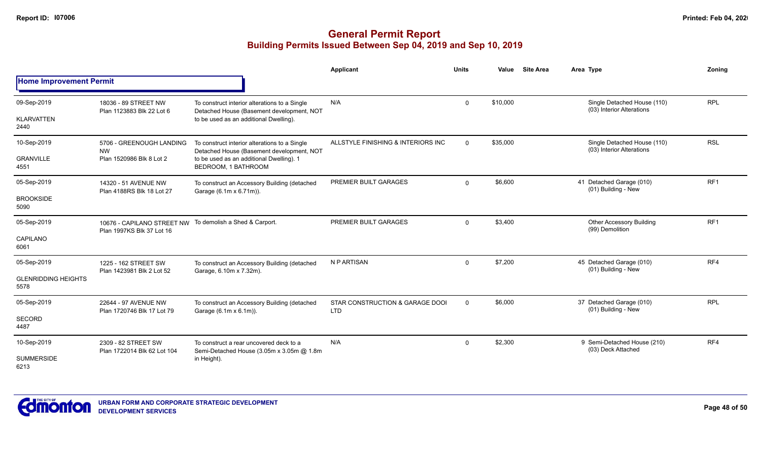## **General Permit Report Building Permits Issued Between Sep 04, 2019 and Sep 10, 2019**

|                                    |                                                         |                                                                                            | Applicant                                     | <b>Units</b> | Value    | <b>Site Area</b> | Area Type                                                | Zonina          |
|------------------------------------|---------------------------------------------------------|--------------------------------------------------------------------------------------------|-----------------------------------------------|--------------|----------|------------------|----------------------------------------------------------|-----------------|
| <b>Home Improvement Permit</b>     |                                                         |                                                                                            |                                               |              |          |                  |                                                          |                 |
| 09-Sep-2019                        | 18036 - 89 STREET NW<br>Plan 1123883 Blk 22 Lot 6       | To construct interior alterations to a Single<br>Detached House (Basement development, NOT | N/A                                           | $\Omega$     | \$10,000 |                  | Single Detached House (110)<br>(03) Interior Alterations | <b>RPL</b>      |
| <b>KLARVATTEN</b><br>2440          |                                                         | to be used as an additional Dwelling).                                                     |                                               |              |          |                  |                                                          |                 |
| 10-Sep-2019                        | 5706 - GREENOUGH LANDING<br><b>NW</b>                   | To construct interior alterations to a Single<br>Detached House (Basement development, NOT | ALLSTYLE FINISHING & INTERIORS INC            | $\mathbf 0$  | \$35,000 |                  | Single Detached House (110)<br>(03) Interior Alterations | <b>RSL</b>      |
| <b>GRANVILLE</b><br>4551           | Plan 1520986 Blk 8 Lot 2                                | to be used as an additional Dwelling). 1<br>BEDROOM, 1 BATHROOM                            |                                               |              |          |                  |                                                          |                 |
| 05-Sep-2019                        | 14320 - 51 AVENUE NW<br>Plan 4188RS Blk 18 Lot 27       | To construct an Accessory Building (detached<br>Garage (6.1m x 6.71m)).                    | PREMIER BUILT GARAGES                         | $\mathbf 0$  | \$6,600  |                  | 41 Detached Garage (010)<br>(01) Building - New          | RF <sub>1</sub> |
| <b>BROOKSIDE</b><br>5090           |                                                         |                                                                                            |                                               |              |          |                  |                                                          |                 |
| 05-Sep-2019                        | 10676 - CAPILANO STREET NW<br>Plan 1997KS Blk 37 Lot 16 | To demolish a Shed & Carport.                                                              | PREMIER BUILT GARAGES                         | $\mathbf 0$  | \$3,400  |                  | <b>Other Accessory Building</b><br>(99) Demolition       | RF <sub>1</sub> |
| CAPILANO<br>6061                   |                                                         |                                                                                            |                                               |              |          |                  |                                                          |                 |
| 05-Sep-2019                        | 1225 - 162 STREET SW<br>Plan 1423981 Blk 2 Lot 52       | To construct an Accessory Building (detached<br>Garage, 6.10m x 7.32m).                    | N P ARTISAN                                   | $\mathbf{0}$ | \$7,200  |                  | 45 Detached Garage (010)<br>(01) Building - New          | RF4             |
| <b>GLENRIDDING HEIGHTS</b><br>5578 |                                                         |                                                                                            |                                               |              |          |                  |                                                          |                 |
| 05-Sep-2019                        | 22644 - 97 AVENUE NW                                    | To construct an Accessory Building (detached<br>Garage (6.1m x 6.1m)).                     | STAR CONSTRUCTION & GARAGE DOOI<br><b>LTD</b> | $\mathbf 0$  | \$6,000  |                  | 37 Detached Garage (010)<br>(01) Building - New          | <b>RPL</b>      |
| SECORD<br>4487                     | Plan 1720746 Blk 17 Lot 79                              |                                                                                            |                                               |              |          |                  |                                                          |                 |
| 10-Sep-2019                        | 2309 - 82 STREET SW<br>Plan 1722014 Blk 62 Lot 104      | To construct a rear uncovered deck to a<br>Semi-Detached House (3.05m x 3.05m @ 1.8m       | N/A                                           | 0            | \$2,300  |                  | 9 Semi-Detached House (210)<br>(03) Deck Attached        | RF4             |
| <b>SUMMERSIDE</b><br>6213          |                                                         | in Height).                                                                                |                                               |              |          |                  |                                                          |                 |



**Page 48 of 50**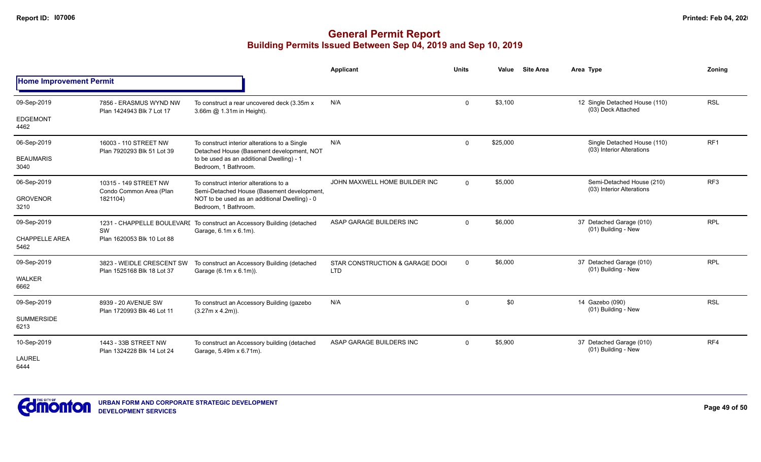|                                |                                                         |                                                                                                                                                                 | <b>Applicant</b>                              | <b>Units</b> | Value    | <b>Site Area</b> | Area Type                                                | Zoning          |  |  |  |
|--------------------------------|---------------------------------------------------------|-----------------------------------------------------------------------------------------------------------------------------------------------------------------|-----------------------------------------------|--------------|----------|------------------|----------------------------------------------------------|-----------------|--|--|--|
| <b>Home Improvement Permit</b> |                                                         |                                                                                                                                                                 |                                               |              |          |                  |                                                          |                 |  |  |  |
| 09-Sep-2019                    | 7856 - ERASMUS WYND NW<br>Plan 1424943 Blk 7 Lot 17     | To construct a rear uncovered deck (3.35m x)<br>3.66m @ 1.31m in Height).                                                                                       | N/A                                           | $\mathbf 0$  | \$3,100  |                  | 12 Single Detached House (110)<br>(03) Deck Attached     | <b>RSL</b>      |  |  |  |
| <b>EDGEMONT</b><br>4462        |                                                         |                                                                                                                                                                 |                                               |              |          |                  |                                                          |                 |  |  |  |
| 06-Sep-2019                    | 16003 - 110 STREET NW<br>Plan 7920293 Blk 51 Lot 39     | To construct interior alterations to a Single<br>Detached House (Basement development, NOT<br>to be used as an additional Dwelling) - 1<br>Bedroom, 1 Bathroom. | N/A                                           | $\mathbf 0$  | \$25,000 |                  | Single Detached House (110)<br>(03) Interior Alterations | RF <sub>1</sub> |  |  |  |
| <b>BEAUMARIS</b><br>3040       |                                                         |                                                                                                                                                                 |                                               |              |          |                  |                                                          |                 |  |  |  |
| 06-Sep-2019                    | 10315 - 149 STREET NW<br>Condo Common Area (Plan        | To construct interior alterations to a<br>Semi-Detached House (Basement development,<br>NOT to be used as an additional Dwelling) - 0<br>Bedroom, 1 Bathroom.   | JOHN MAXWELL HOME BUILDER INC                 | $\Omega$     | \$5,000  |                  | Semi-Detached House (210)<br>(03) Interior Alterations   | RF <sub>3</sub> |  |  |  |
| <b>GROVENOR</b><br>3210        | 1821104)                                                |                                                                                                                                                                 |                                               |              |          |                  |                                                          |                 |  |  |  |
| 09-Sep-2019                    | SW                                                      | 1231 - CHAPPELLE BOULEVARI To construct an Accessory Building (detached<br>Garage, 6.1m x 6.1m).                                                                | ASAP GARAGE BUILDERS INC                      | $\Omega$     | \$6,000  |                  | 37 Detached Garage (010)<br>(01) Building - New          | <b>RPL</b>      |  |  |  |
| <b>CHAPPELLE AREA</b><br>5462  | Plan 1620053 Blk 10 Lot 88                              |                                                                                                                                                                 |                                               |              |          |                  |                                                          |                 |  |  |  |
| 09-Sep-2019                    | 3823 - WEIDLE CRESCENT SW<br>Plan 1525168 Blk 18 Lot 37 | To construct an Accessory Building (detached<br>Garage (6.1m x 6.1m)).                                                                                          | STAR CONSTRUCTION & GARAGE DOOL<br><b>LTD</b> | $\Omega$     | \$6,000  |                  | 37 Detached Garage (010)<br>(01) Building - New          | <b>RPL</b>      |  |  |  |
| <b>WALKER</b><br>6662          |                                                         |                                                                                                                                                                 |                                               |              |          |                  |                                                          |                 |  |  |  |
| 09-Sep-2019                    | 8939 - 20 AVENUE SW<br>Plan 1720993 Blk 46 Lot 11       | To construct an Accessory Building (gazebo<br>$(3.27m \times 4.2m)$ ).                                                                                          | N/A                                           | $\mathbf 0$  | \$0      |                  | 14 Gazebo (090)<br>(01) Building - New                   | <b>RSL</b>      |  |  |  |
| <b>SUMMERSIDE</b><br>6213      |                                                         |                                                                                                                                                                 |                                               |              |          |                  |                                                          |                 |  |  |  |
| 10-Sep-2019                    | 1443 - 33B STREET NW<br>Plan 1324228 Blk 14 Lot 24      | To construct an Accessory building (detached<br>Garage, 5.49m x 6.71m).                                                                                         | ASAP GARAGE BUILDERS INC                      | $\mathbf 0$  | \$5,900  |                  | 37 Detached Garage (010)<br>(01) Building - New          | RF4             |  |  |  |
| <b>LAUREL</b><br>6444          |                                                         |                                                                                                                                                                 |                                               |              |          |                  |                                                          |                 |  |  |  |